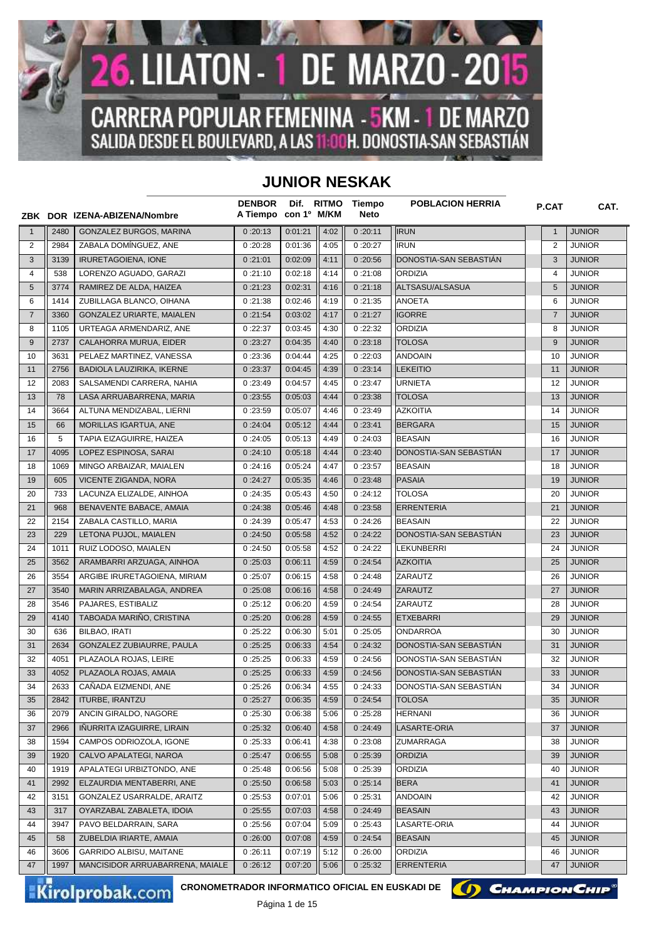

## **JUNIOR NESKAK**

|                |      | ZBK DOR IZENA-ABIZENA/Nombre     | <b>DENBOR</b><br>A Tiempo con 1º M/KM |         | Dif. RITMO | Tiempo<br>Neto | <b>POBLACION HERRIA</b> | P.CAT          | CAT.          |
|----------------|------|----------------------------------|---------------------------------------|---------|------------|----------------|-------------------------|----------------|---------------|
| $\mathbf{1}$   | 2480 | GONZALEZ BURGOS, MARINA          | 0:20:13                               | 0:01:21 | 4:02       | 0:20:11        | <b>IRUN</b>             | $\mathbf{1}$   | <b>JUNIOR</b> |
| $\overline{2}$ | 2984 | ZABALA DOMÍNGUEZ, ANE            | 0:20:28                               | 0:01:36 | 4:05       | 0:20:27        | <b>IRUN</b>             | 2              | <b>JUNIOR</b> |
| 3              | 3139 | <b>IRURETAGOIENA, IONE</b>       | 0:21:01                               | 0:02:09 | 4:11       | 0:20:56        | DONOSTIA-SAN SEBASTIÁN  | 3              | <b>JUNIOR</b> |
| 4              | 538  | LORENZO AGUADO, GARAZI           | 0:21:10                               | 0:02:18 | 4:14       | 0:21:08        | <b>ORDIZIA</b>          | 4              | <b>JUNIOR</b> |
| 5              | 3774 | RAMIREZ DE ALDA, HAIZEA          | 0:21:23                               | 0:02:31 | 4:16       | 0:21:18        | ALTSASU/ALSASUA         | 5              | <b>JUNIOR</b> |
| 6              | 1414 | ZUBILLAGA BLANCO, OIHANA         | 0:21:38                               | 0:02:46 | 4:19       | 0:21:35        | <b>ANOETA</b>           | 6              | <b>JUNIOR</b> |
| $\overline{7}$ | 3360 | <b>GONZALEZ URIARTE, MAIALEN</b> | 0:21:54                               | 0:03:02 | 4:17       | 0:21:27        | <b>IGORRE</b>           | $\overline{7}$ | <b>JUNIOR</b> |
| 8              | 1105 | URTEAGA ARMENDARIZ, ANE          | 0:22:37                               | 0:03:45 | 4:30       | 0:22:32        | <b>ORDIZIA</b>          | 8              | <b>JUNIOR</b> |
| 9              | 2737 | CALAHORRA MURUA, EIDER           | 0:23:27                               | 0:04:35 | 4:40       | 0:23:18        | <b>TOLOSA</b>           | 9              | <b>JUNIOR</b> |
| 10             | 3631 | PELAEZ MARTINEZ, VANESSA         | 0:23:36                               | 0:04:44 | 4:25       | 0:22:03        | <b>ANDOAIN</b>          | 10             | <b>JUNIOR</b> |
| 11             | 2756 | BADIOLA LAUZIRIKA, IKERNE        | 0:23:37                               | 0:04:45 | 4:39       | 0:23:14        | <b>LEKEITIO</b>         | 11             | <b>JUNIOR</b> |
| 12             | 2083 | SALSAMENDI CARRERA, NAHIA        | 0:23:49                               | 0:04:57 | 4:45       | 0:23:47        | <b>URNIETA</b>          | 12             | <b>JUNIOR</b> |
| 13             | 78   | LASA ARRUABARRENA, MARIA         | 0:23:55                               | 0:05:03 | 4:44       | 0:23:38        | <b>TOLOSA</b>           | 13             | <b>JUNIOR</b> |
| 14             | 3664 | ALTUNA MENDIZABAL, LIERNI        | 0:23:59                               | 0:05:07 | 4:46       | 0:23:49        | <b>AZKOITIA</b>         | 14             | <b>JUNIOR</b> |
| 15             | 66   | MORILLAS IGARTUA, ANE            | 0:24:04                               | 0:05:12 | 4:44       | 0:23:41        | <b>BERGARA</b>          | 15             | <b>JUNIOR</b> |
| 16             | 5    | TAPIA EIZAGUIRRE, HAIZEA         | 0:24:05                               | 0:05:13 | 4:49       | 0:24:03        | <b>BEASAIN</b>          | 16             | <b>JUNIOR</b> |
| 17             | 4095 | LOPEZ ESPINOSA, SARAI            | 0:24:10                               | 0:05:18 | 4:44       | 0:23:40        | DONOSTIA-SAN SEBASTIÁN  | 17             | <b>JUNIOR</b> |
| 18             | 1069 | MINGO ARBAIZAR, MAIALEN          | 0:24:16                               | 0:05:24 | 4:47       | 0:23:57        | <b>BEASAIN</b>          | 18             | <b>JUNIOR</b> |
| 19             | 605  | VICENTE ZIGANDA, NORA            | 0:24:27                               | 0:05:35 | 4:46       | 0:23:48        | <b>PASAIA</b>           | 19             | <b>JUNIOR</b> |
| 20             | 733  | LACUNZA ELIZALDE, AINHOA         | 0:24:35                               | 0:05:43 | 4:50       | 0:24:12        | <b>TOLOSA</b>           | 20             | <b>JUNIOR</b> |
| 21             | 968  | BENAVENTE BABACE, AMAIA          | 0:24:38                               | 0:05:46 | 4:48       | 0:23:58        | <b>ERRENTERIA</b>       | 21             | <b>JUNIOR</b> |
| 22             | 2154 | ZABALA CASTILLO, MARIA           | 0:24:39                               | 0:05:47 | 4:53       | 0:24:26        | <b>BEASAIN</b>          | 22             | <b>JUNIOR</b> |
| 23             | 229  | LETONA PUJOL, MAIALEN            | 0:24:50                               | 0:05:58 | 4:52       | 0:24:22        | DONOSTIA-SAN SEBASTIAN  | 23             | <b>JUNIOR</b> |
| 24             | 1011 | RUIZ LODOSO, MAIALEN             | 0:24:50                               | 0:05:58 | 4:52       | 0:24:22        | <b>LEKUNBERRI</b>       | 24             | <b>JUNIOR</b> |
| 25             | 3562 | ARAMBARRI ARZUAGA, AINHOA        | 0:25:03                               | 0:06:11 | 4:59       | 0:24:54        | <b>AZKOITIA</b>         | 25             | <b>JUNIOR</b> |
| 26             | 3554 | ARGIBE IRURETAGOIENA, MIRIAM     | 0:25:07                               | 0:06:15 | 4:58       | 0:24:48        | ZARAUTZ                 | 26             | <b>JUNIOR</b> |
| 27             | 3540 | MARIN ARRIZABALAGA, ANDREA       | 0:25:08                               | 0:06:16 | 4:58       | 0:24:49        | <b>ZARAUTZ</b>          | 27             | <b>JUNIOR</b> |
| 28             | 3546 | PAJARES, ESTIBALIZ               | 0:25:12                               | 0:06:20 | 4:59       | 0:24:54        | ZARAUTZ                 | 28             | <b>JUNIOR</b> |
| 29             | 4140 | TABOADA MARIÑO, CRISTINA         | 0:25:20                               | 0:06:28 | 4:59       | 0:24:55        | <b>ETXEBARRI</b>        | 29             | <b>JUNIOR</b> |
| 30             | 636  | BILBAO, IRATI                    | 0:25:22                               | 0:06:30 | 5:01       | 0:25:05        | <b>ONDARROA</b>         | 30             | <b>JUNIOR</b> |
| 31             | 2634 | GONZALEZ ZUBIAURRE, PAULA        | 0:25:25                               | 0:06:33 | 4:54       | 0:24:32        | DONOSTIA-SAN SEBASTIAN  | 31             | <b>JUNIOR</b> |
| 32             | 4051 | PLAZAOLA ROJAS, LEIRE            | 0:25:25                               | 0:06:33 | 4:59       | 0:24:56        | DONOSTIA-SAN SEBASTIAN  | 32             | <b>JUNIOR</b> |
| 33             | 4052 | PLAZAOLA ROJAS, AMAIA            | 0:25:25                               | 0:06:33 | 4:59       | 0:24:56        | DONOSTIA-SAN SEBASTIÁN  | 33             | <b>JUNIOR</b> |
| 34             | 2633 | CAÑADA EIZMENDI, ANE             | 0:25:26                               | 0:06:34 | 4:55       | 0:24:33        | DONOSTIA-SAN SEBASTIAN  | 34             | <b>JUNIOR</b> |
| 35             | 2842 | <b>ITURBE, IRANTZU</b>           | 0:25:27                               | 0:06:35 | 4:59       | 0:24:54        | <b>TOLOSA</b>           | 35             | <b>JUNIOR</b> |
| 36             | 2079 | ANCIN GIRALDO. NAGORE            | 0:25:30                               | 0:06:38 | 5:06       | 0:25:28        | <b>HERNANI</b>          | 36             | <b>JUNIOR</b> |
| 37             | 2966 | IÑURRITA IZAGUIRRE, LIRAIN       | 0:25:32                               | 0:06:40 | 4:58       | 0:24:49        | LASARTE-ORIA            | 37             | <b>JUNIOR</b> |
| 38             | 1594 | CAMPOS ODRIOZOLA, IGONE          | 0:25:33                               | 0:06:41 | 4:38       | 0:23:08        | <b>ZUMARRAGA</b>        | 38             | <b>JUNIOR</b> |
| 39             | 1920 | CALVO APALATEGI, NAROA           | 0:25:47                               | 0:06:55 | 5:08       | 0:25:39        | <b>ORDIZIA</b>          | 39             | <b>JUNIOR</b> |
| 40             | 1919 | APALATEGI URBIZTONDO, ANE        | 0:25:48                               | 0:06:56 | 5:08       | 0:25:39        | <b>ORDIZIA</b>          | 40             | <b>JUNIOR</b> |
| 41             | 2992 | ELZAURDIA MENTABERRI, ANE        | 0:25:50                               | 0:06:58 | 5:03       | 0:25:14        | <b>BERA</b>             | 41             | <b>JUNIOR</b> |
| 42             | 3151 | GONZALEZ USARRALDE, ARAITZ       | 0:25:53                               | 0:07:01 | 5:06       | 0:25:31        | <b>ANDOAIN</b>          | 42             | <b>JUNIOR</b> |
| 43             | 317  | OYARZABAL ZABALETA, IDOIA        | 0:25:55                               | 0:07:03 | 4:58       | 0:24:49        | <b>BEASAIN</b>          | 43             | <b>JUNIOR</b> |
| 44             | 3947 | PAVO BELDARRAIN, SARA            | 0:25:56                               | 0:07:04 | 5:09       | 0:25:43        | LASARTE-ORIA            | 44             | <b>JUNIOR</b> |
| 45             | 58   | ZUBELDIA IRIARTE, AMAIA          | 0:26:00                               | 0:07:08 | 4:59       | 0:24:54        | <b>BEASAIN</b>          | 45             | <b>JUNIOR</b> |
| 46             | 3606 | <b>GARRIDO ALBISU, MAITANE</b>   | 0:26:11                               | 0:07:19 | 5:12       | 0:26:00        | <b>ORDIZIA</b>          | 46             | <b>JUNIOR</b> |
| 47             | 1997 | MANCISIDOR ARRUABARRENA, MAIALE  | 0:26:12                               | 0:07:20 | 5:06       | 0:25:32        | <b>ERRENTERIA</b>       | 47             | <b>JUNIOR</b> |
|                |      |                                  |                                       |         |            |                |                         |                |               |

Kirolprobak.com

CRONOMETRADOR INFORMATICO OFICIAL EN EUSKADI DE **CHAMPION CHIP** 

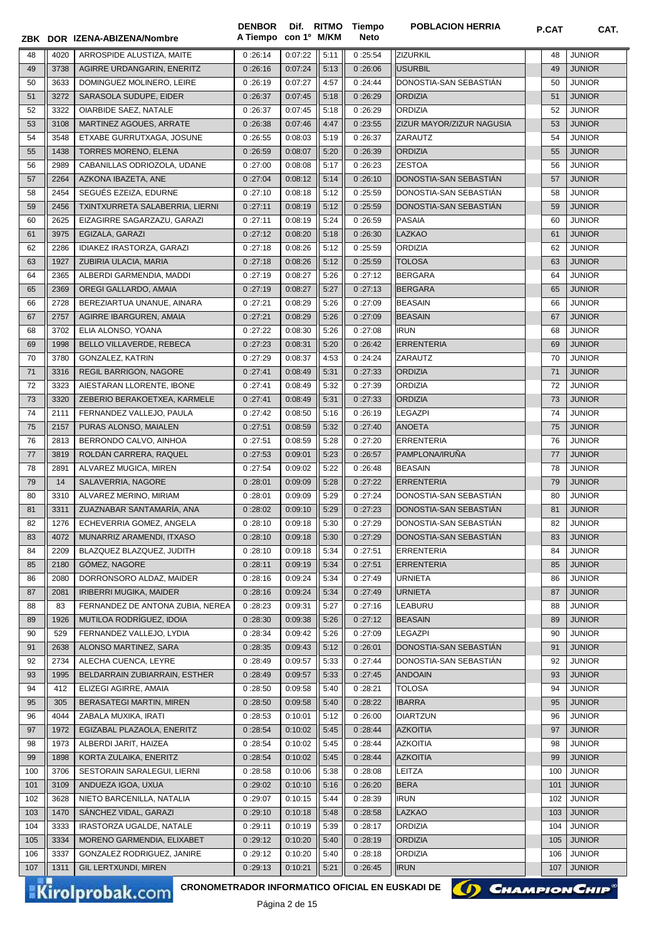|          |              | ZBK DOR IZENA-ABIZENA/Nombre                    | <b>DENBOR</b><br>A Tiempo con 1º M/KM |                    |              | Dif. RITMO Tiempo<br><b>Neto</b> | <b>POBLACION HERRIA</b>                     | <b>P.CAT</b> | CAT.                           |
|----------|--------------|-------------------------------------------------|---------------------------------------|--------------------|--------------|----------------------------------|---------------------------------------------|--------------|--------------------------------|
| 48       | 4020         | ARROSPIDE ALUSTIZA, MAITE                       | 0:26:14                               | 0:07:22            | 5:11         | 0:25:54                          | ZIZURKIL                                    | 48           | <b>JUNIOR</b>                  |
| 49       | 3738         | AGIRRE URDANGARIN, ENERITZ                      | 0:26:16                               | 0:07:24            | 5:13         | 0:26:06                          | <b>USURBIL</b>                              | 49           | <b>JUNIOR</b>                  |
| 50       | 3633         | DOMINGUEZ MOLINERO. LEIRE                       | 0:26:19                               | 0:07:27            | 4:57         | 0:24:44                          | DONOSTIA-SAN SEBASTIAN                      | 50           | <b>JUNIOR</b>                  |
| 51       | 3272         | SARASOLA SUDUPE, EIDER                          | 0:26:37                               | 0:07:45            | 5:18         | 0:26:29                          | <b>ORDIZIA</b>                              | 51           | <b>JUNIOR</b>                  |
| 52       | 3322         | OIARBIDE SAEZ, NATALE                           | 0:26:37                               | 0:07:45            | 5:18         | 0:26:29                          | <b>ORDIZIA</b>                              | 52           | <b>JUNIOR</b>                  |
| 53       | 3108         | MARTINEZ AGOUES, ARRATE                         | 0:26:38                               | 0:07:46            | 4:47         | 0:23:55                          | ZIZUR MAYOR/ZIZUR NAGUSIA                   | 53           | <b>JUNIOR</b>                  |
| 54       | 3548         | ETXABE GURRUTXAGA, JOSUNE                       | 0:26:55                               | 0:08:03            | 5:19         | 0:26:37                          | ZARAUTZ                                     | 54           | <b>JUNIOR</b>                  |
| 55       | 1438         | TORRES MORENO, ELENA                            | 0:26:59                               | 0:08:07            | 5:20         | 0:26:39                          | <b>ORDIZIA</b>                              | 55           | <b>JUNIOR</b>                  |
| 56       | 2989         | CABANILLAS ODRIOZOLA, UDANE                     | 0:27:00                               | 0:08:08            | 5:17         | 0:26:23                          | <b>ZESTOA</b>                               | 56           | <b>JUNIOR</b>                  |
| 57       | 2264         | AZKONA IBAZETA, ANE                             | 0:27:04                               | 0:08:12            | 5:14         | 0:26:10                          | DONOSTIA-SAN SEBASTIÁN                      | 57           | <b>JUNIOR</b>                  |
| 58       | 2454         | SEGUÉS EZEIZA, EDURNE                           | 0:27:10                               | 0:08:18            | 5:12         | 0:25:59                          | DONOSTIA-SAN SEBASTIÁN                      | 58           | <b>JUNIOR</b>                  |
| 59       | 2456         | TXINTXURRETA SALABERRIA, LIERNI                 | 0:27:11                               | 0:08:19            | 5:12         | 0:25:59                          | DONOSTIA-SAN SEBASTIAN                      | 59           | <b>JUNIOR</b>                  |
| 60       | 2625         | EIZAGIRRE SAGARZAZU, GARAZI                     | 0:27:11                               | 0:08:19            | 5:24         | 0:26:59                          | <b>PASAIA</b>                               | 60           | <b>JUNIOR</b>                  |
| 61       | 3975         | EGIZALA, GARAZI                                 | 0:27:12                               | 0:08:20            | 5:18         | 0:26:30                          | <b>LAZKAO</b>                               | 61           | <b>JUNIOR</b>                  |
| 62       | 2286         | IDIAKEZ IRASTORZA, GARAZI                       | 0:27:18                               | 0:08:26            | 5:12         | 0:25:59                          | <b>ORDIZIA</b>                              | 62           | <b>JUNIOR</b>                  |
| 63       | 1927         | ZUBIRIA ULACIA, MARIA                           | 0:27:18                               | 0:08:26            | 5:12         | 0:25:59                          | <b>TOLOSA</b>                               | 63           | <b>JUNIOR</b>                  |
| 64       | 2365         | ALBERDI GARMENDIA, MADDI                        | 0:27:19                               | 0:08:27            | 5:26         | 0:27:12                          | <b>BERGARA</b>                              | 64           | <b>JUNIOR</b>                  |
| 65       | 2369         | OREGI GALLARDO, AMAIA                           | 0:27:19                               | 0:08:27            | 5:27         | 0:27:13                          | <b>BERGARA</b>                              | 65           | <b>JUNIOR</b>                  |
| 66       | 2728         | BEREZIARTUA UNANUE, AINARA                      | 0:27:21                               | 0:08:29            | 5:26         | 0:27:09                          | <b>BEASAIN</b>                              | 66           | <b>JUNIOR</b>                  |
| 67       | 2757         | AGIRRE IBARGUREN, AMAIA                         | 0:27:21                               | 0:08:29            | 5:26         | 0:27:09                          | <b>BEASAIN</b>                              | 67           | <b>JUNIOR</b>                  |
| 68       | 3702         | ELIA ALONSO, YOANA                              | 0:27:22                               | 0:08:30            | 5:26         | 0:27:08                          | <b>IRUN</b>                                 | 68           | <b>JUNIOR</b>                  |
| 69       | 1998         | BELLO VILLAVERDE, REBECA                        | 0:27:23                               | 0:08:31            | 5:20         | 0:26:42                          | <b>ERRENTERIA</b>                           | 69           | <b>JUNIOR</b>                  |
| 70       | 3780         | GONZALEZ, KATRIN                                | 0:27:29                               | 0:08:37            | 4:53         | 0:24:24                          | ZARAUTZ                                     | 70           | <b>JUNIOR</b>                  |
| 71       | 3316         | REGIL BARRIGON, NAGORE                          | 0:27:41                               | 0:08:49            | 5:31         | 0:27:33                          | <b>ORDIZIA</b>                              | 71           | <b>JUNIOR</b>                  |
| 72       | 3323         | AIESTARAN LLORENTE, IBONE                       | 0:27:41                               | 0:08:49            | 5:32         | 0:27:39                          | <b>ORDIZIA</b>                              | 72           | JUNIOR                         |
| 73       | 3320         | ZEBERIO BERAKOETXEA, KARMELE                    | 0:27:41                               | 0:08:49            | 5:31         | 0:27:33                          | <b>ORDIZIA</b>                              | 73           | <b>JUNIOR</b>                  |
| 74       | 2111         | FERNANDEZ VALLEJO, PAULA                        | 0:27:42                               | 0:08:50            | 5:16         | 0:26:19                          | <b>LEGAZPI</b>                              | 74           | <b>JUNIOR</b>                  |
| 75       | 2157         | PURAS ALONSO, MAIALEN                           | 0:27:51                               | 0:08:59            | 5:32         | 0:27:40                          | <b>ANOETA</b>                               | 75           | <b>JUNIOR</b>                  |
| 76       | 2813         | BERRONDO CALVO, AINHOA                          | 0:27:51                               | 0:08:59            | 5:28         | 0:27:20                          | <b>ERRENTERIA</b>                           | 76           | <b>JUNIOR</b>                  |
| 77       | 3819         | ROLDÁN CARRERA, RAQUEL                          | 0:27:53                               | 0:09:01            | 5:23         | 0:26:57                          | PAMPLONA/IRUÑA                              | 77           | <b>JUNIOR</b>                  |
| 78       | 2891         | ALVAREZ MUGICA, MIREN                           | 0:27:54                               | 0:09:02            | 5:22         | 0:26:48                          | <b>BEASAIN</b>                              | 78           | <b>JUNIOR</b>                  |
| 79       | 14           | SALAVERRIA, NAGORE                              | 0:28:01                               | 0:09:09            | 5:28         | 0:27:22                          | <b>ERRENTERIA</b>                           | 79           | <b>JUNIOR</b>                  |
| 80       | 3310         | ALVAREZ MERINO, MIRIAM                          | 0:28:01                               | 0:09:09            | 5:29         | 0:27:24                          | DONOSTIA-SAN SEBASTIÁN                      | 80           | <b>JUNIOR</b>                  |
| 81       | 3311         | ZUAZNABAR SANTAMARÍA, ANA                       | 0:28:02                               | 0:09:10            | 5:29         | 0:27:23                          | DONOSTIA-SAN SEBASTIÁN                      | 81           | <b>JUNIOR</b>                  |
| 82       | 1276         | ECHEVERRIA GOMEZ, ANGELA                        | $0:28:10$ 0:09:18                     |                    | 5:30         | 0:27:29                          | DONOSTIA-SAN SEBASTIÁN                      | 82           | <b>JUNIOR</b>                  |
| 83<br>84 | 4072<br>2209 | MUNARRIZ ARAMENDI, ITXASO                       | 0:28:10                               | 0:09:18            | 5:30         | 0:27:29                          | DONOSTIA-SAN SEBASTIAN<br><b>ERRENTERIA</b> | 83<br>84     | <b>JUNIOR</b><br><b>JUNIOR</b> |
| 85       | 2180         | BLAZQUEZ BLAZQUEZ, JUDITH<br>GÓMEZ, NAGORE      | 0:28:10<br>0:28:11                    | 0:09:18<br>0:09:19 | 5:34<br>5:34 | 0:27:51<br>0:27:51               | <b>ERRENTERIA</b>                           | 85           | <b>JUNIOR</b>                  |
| 86       | 2080         | DORRONSORO ALDAZ, MAIDER                        | 0:28:16                               | 0:09:24            | 5:34         | 0:27:49                          | URNIETA                                     | 86           | JUNIOR                         |
| 87       | 2081         | <b>IRIBERRI MUGIKA, MAIDER</b>                  | 0:28:16                               | 0:09:24            | 5:34         | 0:27:49                          | <b>URNIETA</b>                              | 87           | <b>JUNIOR</b>                  |
| 88       | 83           | FERNANDEZ DE ANTONA ZUBIA, NEREA                | 0:28:23                               | 0:09:31            | 5:27         | 0:27:16                          | LEABURU                                     | 88           | <b>JUNIOR</b>                  |
| 89       | 1926         | MUTILOA RODRÍGUEZ, IDOIA                        | 0:28:30                               | 0:09:38            | 5:26         | 0:27:12                          | <b>BEASAIN</b>                              | 89           | <b>JUNIOR</b>                  |
| 90       | 529          | FERNANDEZ VALLEJO, LYDIA                        | 0:28:34                               | 0:09:42            | 5:26         | 0:27:09                          | LEGAZPI                                     | 90           | JUNIOR                         |
| 91       | 2638         | ALONSO MARTINEZ, SARA                           | 0:28:35                               | 0:09:43            | 5:12         | 0:26:01                          | DONOSTIA-SAN SEBASTIÁN                      | 91           | <b>JUNIOR</b>                  |
| 92       | 2734         | ALECHA CUENCA, LEYRE                            | 0:28:49                               | 0:09:57            | 5:33         | 0:27:44                          | DONOSTIA-SAN SEBASTIÁN                      | 92           | <b>JUNIOR</b>                  |
| 93       | 1995         | BELDARRAIN ZUBIARRAIN, ESTHER                   | 0:28:49                               | 0:09:57            | 5:33         | 0:27:45                          | <b>ANDOAIN</b>                              | 93           | <b>JUNIOR</b>                  |
| 94       | 412          | ELIZEGI AGIRRE, AMAIA                           | 0:28:50                               | 0:09:58            | 5:40         | 0:28:21                          | <b>TOLOSA</b>                               | 94           | <b>JUNIOR</b>                  |
| 95       | 305          | BERASATEGI MARTIN, MIREN                        | 0:28:50                               | 0:09:58            | 5:40         | 0:28:22                          | <b>IBARRA</b>                               | 95           | <b>JUNIOR</b>                  |
| 96       | 4044         | ZABALA MUXIKA, IRATI                            | 0:28:53                               | 0:10:01            | 5:12         | 0:26:00                          | <b>OIARTZUN</b>                             | 96           | <b>JUNIOR</b>                  |
| 97       | 1972         | EGIZABAL PLAZAOLA, ENERITZ                      | 0:28:54                               | 0:10:02            | 5:45         | 0:28:44                          | <b>AZKOITIA</b>                             | 97           | <b>JUNIOR</b>                  |
| 98       | 1973         | ALBERDI JARIT, HAIZEA                           | 0:28:54                               | 0:10:02            | 5:45         | 0:28:44                          | <b>AZKOITIA</b>                             | 98           | <b>JUNIOR</b>                  |
| 99       | 1898         | KORTA ZULAIKA, ENERITZ                          | 0:28:54                               | 0:10:02            | 5:45         | 0:28:44                          | <b>AZKOITIA</b>                             | 99           | <b>JUNIOR</b>                  |
| 100      | 3706         | SESTORAIN SARALEGUI, LIERNI                     | 0:28:58                               | 0:10:06            | 5:38         | 0:28:08                          | LEITZA                                      | 100          | <b>JUNIOR</b>                  |
| 101      | 3109         | ANDUEZA IGOA, UXUA                              | 0:29:02                               | 0:10:10            | 5:16         | 0:26:20                          | <b>BERA</b>                                 | 101          | <b>JUNIOR</b>                  |
| 102      | 3628         | NIETO BARCENILLA, NATALIA                       | 0:29:07                               | 0:10:15            | 5:44         | 0:28:39                          | <b>IRUN</b>                                 | 102          | <b>JUNIOR</b>                  |
| 103      | 1470         | SÁNCHEZ VIDAL, GARAZI                           | 0:29:10                               | 0:10:18            | 5:48         | 0:28:58                          | LAZKAO                                      | 103          | <b>JUNIOR</b>                  |
| 104      | 3333         | IRASTORZA UGALDE, NATALE                        | 0:29:11                               | 0:10:19            | 5:39         | 0:28:17                          | ORDIZIA                                     | 104          | <b>JUNIOR</b>                  |
| 105      | 3334         | MORENO GARMENDIA, ELIXABET                      | 0:29:12                               | 0:10:20            | 5:40         | 0:28:19                          | <b>ORDIZIA</b>                              | 105          | <b>JUNIOR</b>                  |
| 106      | 3337         | GONZALEZ RODRIGUEZ, JANIRE                      | 0:29:12                               | 0:10:20            | 5:40         | 0:28:18                          | ORDIZIA                                     | 106          | JUNIOR                         |
| 107      | 1311         | GIL LERTXUNDI, MIREN                            | 0:29:13                               | 0:10:21            | 5:21         | 0:26:45                          | <b>IRUN</b>                                 | 107          | <b>JUNIOR</b>                  |
|          |              | CRONOMETRADOR INFORMATICO OFICIAL EN EUSKADI DE |                                       |                    |              |                                  | () CHAMPION CHIP                            |              |                                |
|          |              | <b>Kirolprobak.com</b>                          |                                       | Dáaina 2 do 45     |              |                                  |                                             |              |                                |

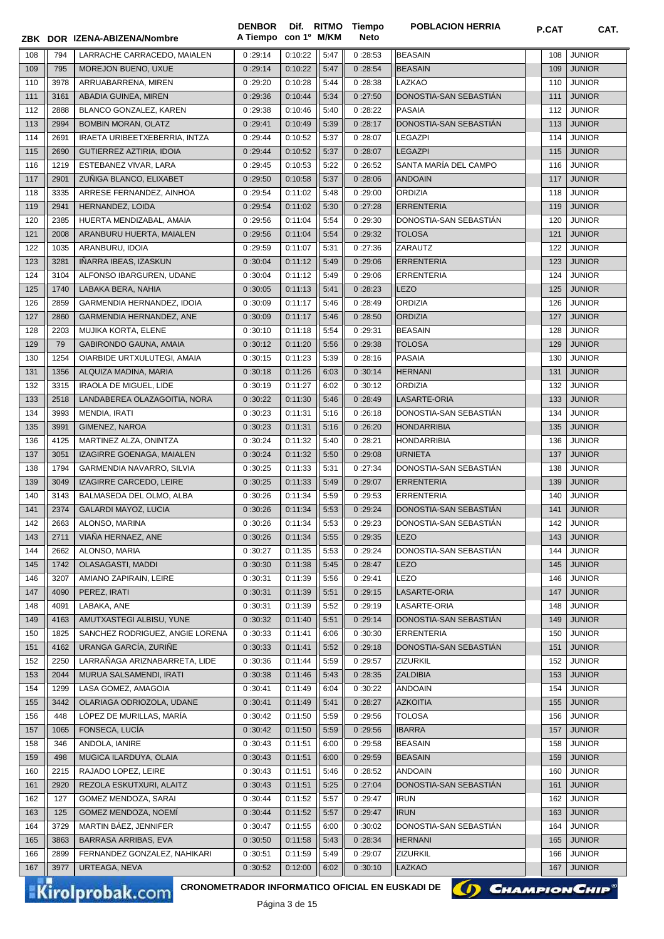|     |      | ZBK DOR IZENA-ABIZENA/Nombre    | <b>DENBOR</b><br>A Tiempo con 1º M/KM |         |      | Dif. RITMO Tiempo<br><b>Neto</b> | <b>POBLACION HERRIA</b> | P.CAT | CAT.          |
|-----|------|---------------------------------|---------------------------------------|---------|------|----------------------------------|-------------------------|-------|---------------|
| 108 | 794  | LARRACHE CARRACEDO, MAIALEN     | 0:29:14                               | 0:10:22 | 5:47 | 0:28:53                          | <b>BEASAIN</b>          | 108   | <b>JUNIOR</b> |
| 109 | 795  | MOREJON BUENO, UXUE             | 0:29:14                               | 0:10:22 | 5:47 | 0:28:54                          | <b>BEASAIN</b>          | 109   | <b>JUNIOR</b> |
| 110 | 3978 | ARRUABARRENA, MIREN             | 0:29:20                               | 0:10:28 | 5:44 | 0:28:38                          | <b>LAZKAO</b>           | 110   | <b>JUNIOR</b> |
| 111 | 3161 | ABADIA GUINEA, MIREN            | 0:29:36                               | 0:10:44 | 5:34 | 0:27:50                          | DONOSTIA-SAN SEBASTIAN  | 111   | <b>JUNIOR</b> |
|     |      |                                 |                                       |         |      |                                  | <b>PASAIA</b>           |       |               |
| 112 | 2888 | BLANCO GONZALEZ, KAREN          | 0:29:38                               | 0:10:46 | 5:40 | 0:28:22                          |                         | 112   | <b>JUNIOR</b> |
| 113 | 2994 | <b>BOMBIN MORAN, OLATZ</b>      | 0:29:41                               | 0:10:49 | 5:39 | 0:28:17                          | DONOSTIA-SAN SEBASTIAN  | 113   | <b>JUNIOR</b> |
| 114 | 2691 | IRAETA URIBEETXEBERRIA, INTZA   | 0:29:44                               | 0:10:52 | 5:37 | 0:28:07                          | <b>LEGAZPI</b>          | 114   | <b>JUNIOR</b> |
| 115 | 2690 | GUTIERREZ AZTIRIA, IDOIA        | 0:29:44                               | 0:10:52 | 5:37 | 0:28:07                          | <b>LEGAZPI</b>          | 115   | <b>JUNIOR</b> |
| 116 | 1219 | ESTEBANEZ VIVAR, LARA           | 0:29:45                               | 0:10:53 | 5:22 | 0:26:52                          | SANTA MARÍA DEL CAMPO   | 116   | <b>JUNIOR</b> |
| 117 | 2901 | ZUÑIGA BLANCO, ELIXABET         | 0:29:50                               | 0:10:58 | 5:37 | 0:28:06                          | <b>ANDOAIN</b>          | 117   | <b>JUNIOR</b> |
| 118 | 3335 | ARRESE FERNANDEZ, AINHOA        | 0:29:54                               | 0:11:02 | 5:48 | 0:29:00                          | <b>ORDIZIA</b>          | 118   | <b>JUNIOR</b> |
| 119 | 2941 | HERNANDEZ, LOIDA                | 0:29:54                               | 0:11:02 | 5:30 | 0:27:28                          | <b>ERRENTERIA</b>       | 119   | <b>JUNIOR</b> |
| 120 | 2385 | HUERTA MENDIZABAL, AMAIA        | 0:29:56                               | 0:11:04 | 5:54 | 0:29:30                          | DONOSTIA-SAN SEBASTIAN  | 120   | <b>JUNIOR</b> |
| 121 | 2008 | ARANBURU HUERTA, MAIALEN        | 0:29:56                               | 0:11:04 | 5:54 | 0:29:32                          | <b>TOLOSA</b>           | 121   | <b>JUNIOR</b> |
| 122 | 1035 | ARANBURU, IDOIA                 | 0:29:59                               | 0:11:07 | 5:31 | 0:27:36                          | <b>ZARAUTZ</b>          | 122   | <b>JUNIOR</b> |
| 123 | 3281 | IÑARRA IBEAS, IZASKUN           | 0:30:04                               | 0:11:12 | 5:49 | 0:29:06                          | <b>ERRENTERIA</b>       | 123   | <b>JUNIOR</b> |
| 124 | 3104 | ALFONSO IBARGUREN, UDANE        | 0:30:04                               | 0:11:12 | 5:49 | 0:29:06                          | <b>ERRENTERIA</b>       | 124   | <b>JUNIOR</b> |
| 125 | 1740 | LABAKA BERA, NAHIA              | 0:30:05                               | 0:11:13 | 5:41 | 0:28:23                          | <b>LEZO</b>             | 125   | <b>JUNIOR</b> |
| 126 | 2859 | GARMENDIA HERNANDEZ, IDOIA      | 0:30:09                               | 0:11:17 | 5:46 | 0:28:49                          | <b>ORDIZIA</b>          | 126   | <b>JUNIOR</b> |
| 127 | 2860 | GARMENDIA HERNANDEZ, ANE        | 0:30:09                               | 0:11:17 | 5:46 | 0:28:50                          | <b>ORDIZIA</b>          | 127   | <b>JUNIOR</b> |
| 128 | 2203 | MUJIKA KORTA, ELENE             | 0:30:10                               | 0:11:18 | 5:54 | 0:29:31                          | <b>BEASAIN</b>          | 128   | <b>JUNIOR</b> |
| 129 | 79   | GABIRONDO GAUNA, AMAIA          | 0:30:12                               | 0:11:20 | 5:56 | 0:29:38                          | <b>TOLOSA</b>           | 129   | <b>JUNIOR</b> |
| 130 | 1254 | OIARBIDE URTXULUTEGI, AMAIA     | 0:30:15                               | 0:11:23 | 5:39 | 0:28:16                          | <b>PASAIA</b>           | 130   | <b>JUNIOR</b> |
| 131 | 1356 | ALQUIZA MADINA, MARIA           | 0:30:18                               | 0:11:26 | 6:03 | 0:30:14                          | <b>HERNANI</b>          | 131   | <b>JUNIOR</b> |
| 132 | 3315 | <b>IRAOLA DE MIGUEL, LIDE</b>   | 0:30:19                               | 0:11:27 | 6:02 | 0:30:12                          | <b>ORDIZIA</b>          | 132   | <b>JUNIOR</b> |
|     |      |                                 |                                       |         |      |                                  |                         |       |               |
| 133 | 2518 | LANDABEREA OLAZAGOITIA, NORA    | 0:30:22                               | 0:11:30 | 5:46 | 0:28:49                          | LASARTE-ORIA            | 133   | <b>JUNIOR</b> |
| 134 | 3993 | MENDIA, IRATI                   | 0:30:23                               | 0:11:31 | 5:16 | 0:26:18                          | DONOSTIA-SAN SEBASTIAN  | 134   | <b>JUNIOR</b> |
| 135 | 3991 | GIMENEZ, NAROA                  | 0:30:23                               | 0:11:31 | 5:16 | 0:26:20                          | <b>HONDARRIBIA</b>      | 135   | <b>JUNIOR</b> |
| 136 | 4125 | MARTINEZ ALZA, ONINTZA          | 0:30:24                               | 0:11:32 | 5:40 | 0:28:21                          | <b>HONDARRIBIA</b>      | 136   | <b>JUNIOR</b> |
| 137 | 3051 | IZAGIRRE GOENAGA, MAIALEN       | 0:30:24                               | 0:11:32 | 5:50 | 0:29:08                          | <b>URNIETA</b>          | 137   | <b>JUNIOR</b> |
| 138 | 1794 | GARMENDIA NAVARRO, SILVIA       | 0:30:25                               | 0:11:33 | 5:31 | 0:27:34                          | DONOSTIA-SAN SEBASTIAN  | 138   | <b>JUNIOR</b> |
| 139 | 3049 | IZAGIRRE CARCEDO, LEIRE         | 0:30:25                               | 0:11:33 | 5:49 | 0:29:07                          | <b>ERRENTERIA</b>       | 139   | <b>JUNIOR</b> |
| 140 | 3143 | BALMASEDA DEL OLMO, ALBA        | 0:30:26                               | 0:11:34 | 5:59 | 0:29:53                          | <b>ERRENTERIA</b>       | 140   | <b>JUNIOR</b> |
| 141 | 2374 | <b>GALARDI MAYOZ, LUCIA</b>     | 0:30:26                               | 0:11:34 | 5:53 | 0:29:24                          | DONOSTIA-SAN SEBASTIÁN  | 141   | <b>JUNIOR</b> |
| 142 | 2663 | ALONSO, MARINA                  | 0:30:26                               | 0:11:34 | 5:53 | 0:29:23                          | DONOSTIA-SAN SEBASTIÁN  | 142   | <b>JUNIOR</b> |
| 143 | 2711 | VIAÑA HERNAEZ, ANE              | 0:30:26                               | 0:11:34 | 5:55 | 0:29:35                          | <b>LEZO</b>             | 143   | <b>JUNIOR</b> |
| 144 | 2662 | ALONSO, MARIA                   | 0:30:27                               | 0:11:35 | 5:53 | 0:29:24                          | DONOSTIA-SAN SEBASTIAN  | 144   | <b>JUNIOR</b> |
| 145 | 1742 | OLASAGASTI, MADDI               | 0:30:30                               | 0:11:38 | 5:45 | 0:28:47                          | <b>LEZO</b>             | 145   | <b>JUNIOR</b> |
| 146 | 3207 | AMIANO ZAPIRAIN, LEIRE          | 0:30:31                               | 0:11:39 | 5:56 | 0:29:41                          | <b>LEZO</b>             | 146   | <b>JUNIOR</b> |
| 147 | 4090 | PEREZ, IRATI                    | 0:30:31                               | 0:11:39 | 5:51 | 0:29:15                          | LASARTE-ORIA            | 147   | <b>JUNIOR</b> |
| 148 | 4091 | LABAKA, ANE                     | 0:30:31                               | 0:11:39 | 5:52 | 0:29:19                          | LASARTE-ORIA            | 148   | <b>JUNIOR</b> |
| 149 | 4163 | AMUTXASTEGI ALBISU, YUNE        | 0:30:32                               | 0:11:40 | 5:51 | 0:29:14                          | DONOSTIA-SAN SEBASTIÁN  | 149   | <b>JUNIOR</b> |
| 150 | 1825 | SANCHEZ RODRIGUEZ, ANGIE LORENA | 0:30:33                               | 0:11:41 | 6:06 | 0:30:30                          | <b>ERRENTERIA</b>       | 150   | <b>JUNIOR</b> |
| 151 | 4162 | URANGA GARCÍA, ZURIÑE           | 0:30:33                               | 0:11:41 | 5:52 | 0:29:18                          | DONOSTIA-SAN SEBASTIÁN  | 151   | <b>JUNIOR</b> |
| 152 | 2250 | LARRAÑAGA ARIZNABARRETA, LIDE   | 0:30:36                               | 0:11:44 | 5:59 | 0:29:57                          | ZIZURKIL                | 152   | <b>JUNIOR</b> |
| 153 | 2044 | MURUA SALSAMENDI, IRATI         | 0:30:38                               | 0:11:46 | 5:43 | 0:28:35                          | <b>ZALDIBIA</b>         | 153   | <b>JUNIOR</b> |
| 154 | 1299 | LASA GOMEZ, AMAGOIA             | 0:30:41                               | 0:11:49 | 6:04 | 0:30:22                          | <b>ANDOAIN</b>          | 154   | <b>JUNIOR</b> |
| 155 | 3442 | OLARIAGA ODRIOZOLA, UDANE       | 0:30:41                               | 0:11:49 | 5:41 | 0:28:27                          | <b>AZKOITIA</b>         | 155   | <b>JUNIOR</b> |
| 156 | 448  | LÓPEZ DE MURILLAS, MARÍA        | 0:30:42                               | 0:11:50 | 5:59 | 0:29:56                          | <b>TOLOSA</b>           | 156   | <b>JUNIOR</b> |
| 157 | 1065 | FONSECA, LUCÍA                  | 0:30:42                               | 0:11:50 | 5:59 | 0:29:56                          | <b>IBARRA</b>           | 157   | <b>JUNIOR</b> |
| 158 | 346  | ANDOLA, IANIRE                  | 0:30:43                               | 0:11:51 | 6:00 | 0:29:58                          | <b>BEASAIN</b>          | 158   | <b>JUNIOR</b> |
| 159 | 498  | MUGICA ILARDUYA, OLAIA          | 0:30:43                               | 0:11:51 | 6:00 | 0:29:59                          | <b>BEASAIN</b>          | 159   | <b>JUNIOR</b> |
|     |      |                                 |                                       |         |      |                                  |                         |       |               |
| 160 | 2215 | RAJADO LOPEZ, LEIRE             | 0:30:43                               | 0:11:51 | 5:46 | 0:28:52                          | <b>ANDOAIN</b>          | 160   | <b>JUNIOR</b> |
| 161 | 2920 | REZOLA ESKUTXURI, ALAITZ        | 0:30:43                               | 0:11:51 | 5:25 | 0:27:04                          | DONOSTIA-SAN SEBASTIAN  | 161   | <b>JUNIOR</b> |
| 162 | 127  | GOMEZ MENDOZA, SARAI            | 0:30:44                               | 0:11:52 | 5:57 | 0:29:47                          | <b>IRUN</b>             | 162   | <b>JUNIOR</b> |
| 163 | 125  | GOMEZ MENDOZA, NOEMÍ            | 0:30:44                               | 0:11:52 | 5:57 | 0:29:47                          | <b>IRUN</b>             | 163   | <b>JUNIOR</b> |
| 164 | 3729 | MARTIN BÁEZ, JENNIFER           | 0:30:47                               | 0:11:55 | 6:00 | 0:30:02                          | DONOSTIA-SAN SEBASTIAN  | 164   | <b>JUNIOR</b> |
| 165 | 3863 | <b>BARRASA ARRIBAS, EVA</b>     | 0:30:50                               | 0:11:58 | 5:43 | 0:28:34                          | <b>HERNANI</b>          | 165   | <b>JUNIOR</b> |
| 166 | 2899 | FERNANDEZ GONZALEZ, NAHIKARI    | 0:30:51                               | 0:11:59 | 5:49 | 0:29:07                          | <b>ZIZURKIL</b>         | 166   | <b>JUNIOR</b> |
| 167 | 3977 | URTEAGA, NEVA                   | 0:30:52                               | 0:12:00 | 6:02 | 0:30:10                          | LAZKAO                  | 167   | <b>JUNIOR</b> |

Kirolprobak.com

CRONOMETRADOR INFORMATICO OFICIAL EN EUSKADI DE **(1) CHAMPION CHIP**<sup>®</sup>

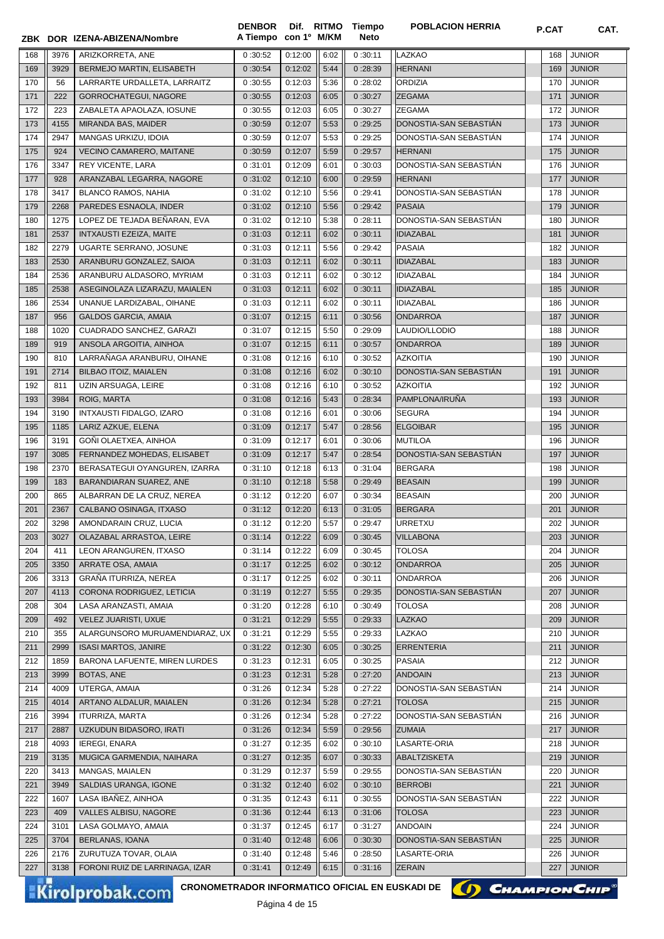|            |              | ZBK DOR IZENA-ABIZENA/Nombre                                              | A Tiempo con 1º M/KM |                    |              | Neto               |                                          | <b>P.GAI</b> | UAI.                           |
|------------|--------------|---------------------------------------------------------------------------|----------------------|--------------------|--------------|--------------------|------------------------------------------|--------------|--------------------------------|
| 168        | 3976         | ARIZKORRETA, ANE                                                          | 0:30:52              | 0:12:00            | 6:02         | 0:30:11            | LAZKAO                                   | 168          | <b>JUNIOR</b>                  |
| 169        | 3929         | BERMEJO MARTIN, ELISABETH                                                 | 0:30:54              | 0:12:02            | 5:44         | 0:28:39            | <b>HERNANI</b>                           | 169          | <b>JUNIOR</b>                  |
| 170        | 56           | LARRARTE URDALLETA, LARRAITZ                                              | 0:30:55              | 0:12:03            | 5:36         | 0:28:02            | <b>ORDIZIA</b>                           | 170          | <b>JUNIOR</b>                  |
| 171        | 222          | GORROCHATEGUI, NAGORE                                                     | 0:30:55              | 0:12:03            | 6:05         | 0:30:27            | <b>ZEGAMA</b>                            | 171          | <b>JUNIOR</b>                  |
| 172        | 223          | ZABALETA APAOLAZA, IOSUNE                                                 | 0:30:55              | 0:12:03            | 6:05         | 0:30:27            | <b>ZEGAMA</b>                            | 172          | <b>JUNIOR</b>                  |
| 173        | 4155         | MIRANDA BAS, MAIDER                                                       | 0:30:59              | 0:12:07            | 5:53         | 0:29:25            | DONOSTIA-SAN SEBASTIAN                   | 173          | <b>JUNIOR</b>                  |
| 174        | 2947         | MANGAS URKIZU, IDOIA                                                      | 0:30:59              | 0:12:07            | 5:53         | 0:29:25            | DONOSTIA-SAN SEBASTIAN                   | 174          | <b>JUNIOR</b>                  |
| 175        | 924          | VECINO CAMARERO, MAITANE                                                  | 0:30:59              | 0:12:07            | 5:59         | 0:29:57            | <b>HERNANI</b>                           | 175          | <b>JUNIOR</b>                  |
| 176        | 3347         | REY VICENTE, LARA                                                         | 0:31:01              | 0:12:09            | 6:01         | 0:30:03            | DONOSTIA-SAN SEBASTIAN                   | 176          | <b>JUNIOR</b>                  |
| 177        | 928          | ARANZABAL LEGARRA, NAGORE                                                 | 0:31:02              | 0:12:10            | 6:00         | 0:29:59            | <b>HERNANI</b>                           | 177          | <b>JUNIOR</b>                  |
| 178        | 3417         | <b>BLANCO RAMOS, NAHIA</b>                                                | 0:31:02              | 0:12:10            | 5:56         | 0:29:41            | DONOSTIA-SAN SEBASTIAN                   | 178          | <b>JUNIOR</b>                  |
| 179        | 2268         | PAREDES ESNAOLA, INDER                                                    | 0:31:02              | 0:12:10            | 5:56         | 0:29:42            | <b>PASAIA</b>                            | 179          | <b>JUNIOR</b>                  |
| 180        | 1275         | LOPEZ DE TEJADA BEÑARAN, EVA                                              | 0:31:02              | 0:12:10            | 5:38         | 0:28:11            | DONOSTIA-SAN SEBASTIAN                   | 180          | <b>JUNIOR</b>                  |
| 181        | 2537         | INTXAUSTI EZEIZA, MAITE                                                   | 0:31:03              | 0:12:11            | 6:02         | 0:30:11            | <b>IDIAZABAL</b>                         | 181          | <b>JUNIOR</b>                  |
| 182        | 2279         | UGARTE SERRANO, JOSUNE                                                    | 0:31:03              | 0:12:11            | 5:56         | 0:29:42            | <b>PASAIA</b>                            | 182          | <b>JUNIOR</b>                  |
| 183        | 2530         | ARANBURU GONZALEZ, SAIOA                                                  | 0:31:03              | 0:12:11            | 6:02         | 0:30:11            | <b>IDIAZABAL</b>                         | 183          | <b>JUNIOR</b>                  |
| 184        | 2536         | ARANBURU ALDASORO, MYRIAM                                                 | 0:31:03              | 0:12:11            | 6:02         | 0:30:12            | <b>IDIAZABAL</b>                         | 184          | <b>JUNIOR</b>                  |
| 185<br>186 | 2538<br>2534 | ASEGINOLAZA LIZARAZU, MAIALEN<br>UNANUE LARDIZABAL, OIHANE                | 0:31:03<br>0:31:03   | 0:12:11<br>0:12:11 | 6:02<br>6:02 | 0:30:11<br>0:30:11 | <b>IDIAZABAL</b><br><b>IDIAZABAL</b>     | 185<br>186   | <b>JUNIOR</b><br><b>JUNIOR</b> |
| 187        | 956          | <b>GALDOS GARCIA, AMAIA</b>                                               | 0:31:07              | 0:12:15            | 6:11         | 0:30:56            | <b>ONDARROA</b>                          | 187          | <b>JUNIOR</b>                  |
| 188        | 1020         | CUADRADO SANCHEZ, GARAZI                                                  | 0:31:07              | 0:12:15            | 5:50         | 0:29:09            | LAUDIO/LLODIO                            | 188          | <b>JUNIOR</b>                  |
| 189        | 919          | ANSOLA ARGOITIA, AINHOA                                                   | 0:31:07              | 0:12:15            | 6:11         | 0:30:57            | <b>ONDARROA</b>                          | 189          | <b>JUNIOR</b>                  |
| 190        | 810          | LARRAÑAGA ARANBURU, OIHANE                                                | 0:31:08              | 0:12:16            | 6:10         | 0:30:52            | <b>AZKOITIA</b>                          | 190          | <b>JUNIOR</b>                  |
| 191        | 2714         | BILBAO ITOIZ, MAIALEN                                                     | 0:31:08              | 0:12:16            | 6:02         | 0:30:10            | DONOSTIA-SAN SEBASTIAN                   | 191          | <b>JUNIOR</b>                  |
| 192        | 811          | UZIN ARSUAGA, LEIRE                                                       | 0:31:08              | 0:12:16            | 6:10         | 0:30:52            | <b>AZKOITIA</b>                          | 192          | <b>JUNIOR</b>                  |
| 193        | 3984         | ROIG, MARTA                                                               | 0:31:08              | 0:12:16            | 5:43         | 0:28:34            | PAMPLONA/IRUÑA                           | 193          | <b>JUNIOR</b>                  |
| 194        | 3190         | INTXAUSTI FIDALGO, IZARO                                                  | 0:31:08              | 0:12:16            | 6:01         | 0:30:06            | <b>SEGURA</b>                            | 194          | <b>JUNIOR</b>                  |
| 195        | 1185         | LARIZ AZKUE, ELENA                                                        | 0:31:09              | 0:12:17            | 5:47         | 0:28:56            | <b>ELGOIBAR</b>                          | 195          | <b>JUNIOR</b>                  |
| 196        | 3191         | GOÑI OLAETXEA, AINHOA                                                     | 0:31:09              | 0:12:17            | 6:01         | 0:30:06            | <b>MUTILOA</b>                           | 196          | <b>JUNIOR</b>                  |
| 197        | 3085         | FERNANDEZ MOHEDAS, ELISABET                                               | 0:31:09              | 0:12:17            | 5:47         | 0:28:54            | DONOSTIA-SAN SEBASTIAN                   | 197          | <b>JUNIOR</b>                  |
| 198        | 2370         | BERASATEGUI OYANGUREN, IZARRA                                             | 0:31:10              | 0:12:18            | 6:13         | 0:31:04            | <b>BERGARA</b>                           | 198          | <b>JUNIOR</b>                  |
| 199        | 183          | BARANDIARAN SUAREZ, ANE                                                   | 0:31:10              | 0:12:18            | 5:58         | 0:29:49            | <b>BEASAIN</b>                           | 199          | <b>JUNIOR</b>                  |
| 200        | 865          | ALBARRAN DE LA CRUZ, NEREA                                                | 0:31:12              | 0:12:20            | 6:07         | 0:30:34            | <b>BEASAIN</b>                           | 200          | <b>JUNIOR</b>                  |
| 201        | 2367         | CALBANO OSINAGA, ITXASO                                                   | 0:31:12              | 0:12:20            | 6:13         | 0:31:05            | <b>BERGARA</b>                           | 201          | <b>JUNIOR</b>                  |
| 202        | 3298         | AMONDARAIN CRUZ, LUCIA                                                    | 0:31:12              | 0:12:20            | 5:57         | 0:29:47            | URRETXU                                  | 202          | <b>JUNIOR</b>                  |
| 203        | 3027         | OLAZABAL ARRASTOA, LEIRE                                                  | 0:31:14              | 0:12:22            | 6:09         | 0:30:45            | <b>VILLABONA</b>                         | 203          | <b>JUNIOR</b>                  |
| 204        | 411          | LEON ARANGUREN, ITXASO                                                    | 0:31:14              | 0:12:22            | 6:09         | 0:30:45            | <b>TOLOSA</b>                            | 204          | <b>JUNIOR</b>                  |
| 205        | 3350         | ARRATE OSA, AMAIA                                                         | 0:31:17              | 0:12:25            | 6:02         | 0:30:12            | <b>ONDARROA</b>                          | 205          | <b>JUNIOR</b>                  |
| 206        | 3313         | GRAÑA ITURRIZA, NEREA                                                     | 0:31:17              | 0:12:25            | 6:02         | 0:30:11            | <b>ONDARROA</b>                          | 206          | <b>JUNIOR</b>                  |
| 207        | 4113         | CORONA RODRIGUEZ, LETICIA                                                 | 0:31:19              | 0:12:27            | 5:55         | 0:29:35            | DONOSTIA-SAN SEBASTIAN                   | 207          | <b>JUNIOR</b>                  |
| 208        | 304          | LASA ARANZASTI, AMAIA                                                     | 0:31:20              | 0:12:28            | 6:10         | 0:30:49            | <b>TOLOSA</b>                            | 208          | <b>JUNIOR</b>                  |
| 209        | 492          | <b>VELEZ JUARISTI, UXUE</b>                                               | 0:31:21              | 0:12:29            | 5:55         | 0:29:33            | LAZKAO                                   | 209          | <b>JUNIOR</b>                  |
| 210        | 355          | ALARGUNSORO MURUAMENDIARAZ, UX                                            | 0:31:21              | 0:12:29            | 5:55         | 0:29:33            | LAZKAO                                   | 210          | <b>JUNIOR</b>                  |
| 211        | 2999         | <b>ISASI MARTOS, JANIRE</b>                                               | 0:31:22              | 0:12:30            | 6:05         | 0:30:25            | <b>ERRENTERIA</b>                        | 211          | <b>JUNIOR</b>                  |
| 212        | 1859         | BARONA LAFUENTE, MIREN LURDES                                             | 0:31:23              | 0:12:31            | 6:05         | 0:30:25            | <b>PASAIA</b>                            | 212          | <b>JUNIOR</b>                  |
| 213<br>214 | 3999<br>4009 | BOTAS, ANE                                                                | 0:31:23              | 0:12:31<br>0:12:34 | 5:28         | 0:27:20<br>0:27:22 | <b>ANDOAIN</b><br>DONOSTIA-SAN SEBASTIAN | 213<br>214   | <b>JUNIOR</b><br><b>JUNIOR</b> |
| 215        | 4014         | UTERGA, AMAIA<br>ARTANO ALDALUR, MAIALEN                                  | 0:31:26<br>0:31:26   | 0:12:34            | 5:28<br>5:28 | 0:27:21            | <b>TOLOSA</b>                            | 215          | <b>JUNIOR</b>                  |
| 216        | 3994         | <b>ITURRIZA, MARTA</b>                                                    | 0:31:26              | 0:12:34            | 5:28         | 0:27:22            | DONOSTIA-SAN SEBASTIAN                   | 216          | <b>JUNIOR</b>                  |
| 217        | 2887         | UZKUDUN BIDASORO, IRATI                                                   | 0:31:26              | 0:12:34            | 5:59         | 0:29:56            | <b>ZUMAIA</b>                            | 217          | <b>JUNIOR</b>                  |
| 218        | 4093         | <b>IEREGI, ENARA</b>                                                      | 0:31:27              | 0:12:35            | 6:02         | 0:30:10            | LASARTE-ORIA                             | 218          | <b>JUNIOR</b>                  |
| 219        | 3135         | MUGICA GARMENDIA, NAIHARA                                                 | 0:31:27              | 0:12:35            | 6:07         | 0:30:33            | ABALTZISKETA                             | 219          | <b>JUNIOR</b>                  |
| 220        | 3413         | MANGAS, MAIALEN                                                           | 0:31:29              | 0:12:37            | 5:59         | 0:29:55            | DONOSTIA-SAN SEBASTIAN                   | 220          | <b>JUNIOR</b>                  |
| 221        | 3949         | SALDIAS URANGA, IGONE                                                     | 0:31:32              | 0:12:40            | 6:02         | 0:30:10            | <b>BERROBI</b>                           | 221          | <b>JUNIOR</b>                  |
| 222        | 1607         | LASA IBAÑEZ, AINHOA                                                       | 0:31:35              | 0:12:43            | 6:11         | 0:30:55            | DONOSTIA-SAN SEBASTIAN                   | 222          | <b>JUNIOR</b>                  |
| 223        | 409          | VALLES ALBISU, NAGORE                                                     | 0:31:36              | 0:12:44            | 6:13         | 0:31:06            | <b>TOLOSA</b>                            | 223          | <b>JUNIOR</b>                  |
| 224        | 3101         | LASA GOLMAYO, AMAIA                                                       | 0:31:37              | 0:12:45            | 6:17         | 0:31:27            | <b>ANDOAIN</b>                           | 224          | <b>JUNIOR</b>                  |
| 225        | 3704         | <b>BERLANAS, IOANA</b>                                                    | 0:31:40              | 0:12:48            | 6:06         | 0:30:30            | DONOSTIA-SAN SEBASTIAN                   | 225          | <b>JUNIOR</b>                  |
| 226        | 2176         | ZURUTUZA TOVAR, OLAIA                                                     | 0:31:40              | 0:12:48            | 5:46         | 0:28:50            | LASARTE-ORIA                             | 226          | <b>JUNIOR</b>                  |
| 227        | 3138         | FORONI RUIZ DE LARRINAGA, IZAR                                            | 0:31:41              | 0:12:49            | 6:15         | 0:31:16            | <b>ZERAIN</b>                            | 227          | <b>JUNIOR</b>                  |
|            |              | CRONOMETRADOR INFORMATICO OFICIAL EN EUSKADI DE<br><b>Kirolprobak.com</b> |                      |                    |              |                    | (D) CHAMPION CHIP®                       |              |                                |

**Tiempo** 

**DENBOR**

Kirolprobak.com

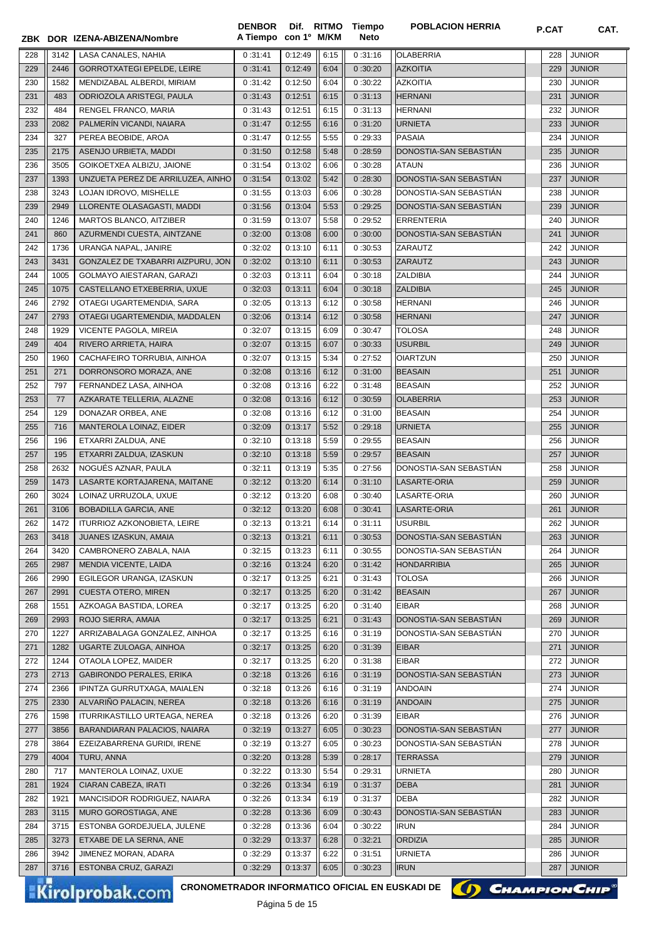|            |              | ZBK DOR IZENA-ABIZENA/Nombre                                                     | <b>DENBOR</b><br>A Tiempo con 1º M/KM |                    |              | Dif. RITMO Tiempo<br><b>Neto</b> | <b>POBLACION HERRIA</b>             | P.CAT      | CAT.                    |
|------------|--------------|----------------------------------------------------------------------------------|---------------------------------------|--------------------|--------------|----------------------------------|-------------------------------------|------------|-------------------------|
|            |              |                                                                                  | 0:31:41                               | 0:12:49            |              |                                  |                                     |            | <b>JUNIOR</b>           |
| 228<br>229 | 3142<br>2446 | LASA CANALES, NAHIA<br><b>GORROTXATEGI EPELDE, LEIRE</b>                         | 0:31:41                               | 0:12:49            | 6:15<br>6:04 | 0:31:16<br>0:30:20               | <b>OLABERRIA</b><br><b>AZKOITIA</b> | 228<br>229 | <b>JUNIOR</b>           |
| 230        | 1582         | MENDIZABAL ALBERDI, MIRIAM                                                       | 0:31:42                               | 0:12:50            | 6:04         | 0:30:22                          | <b>AZKOITIA</b>                     | 230        | <b>JUNIOR</b>           |
| 231        | 483          | ODRIOZOLA ARISTEGI, PAULA                                                        | 0:31:43                               | 0:12:51            | 6:15         | 0:31:13                          | <b>HERNANI</b>                      | 231        | <b>JUNIOR</b>           |
| 232        | 484          | RENGEL FRANCO, MARIA                                                             | 0:31:43                               | 0:12:51            | 6:15         | 0:31:13                          | <b>HERNANI</b>                      | 232        | <b>JUNIOR</b>           |
| 233        | 2082         | PALMERÍN VICANDI, NAIARA                                                         | 0:31:47                               | 0:12:55            | 6:16         | 0:31:20                          | <b>URNIETA</b>                      | 233        | <b>JUNIOR</b>           |
| 234        | 327          | PEREA BEOBIDE, AROA                                                              | 0:31:47                               | 0:12:55            | 5:55         | 0:29:33                          | <b>PASAIA</b>                       | 234        | <b>JUNIOR</b>           |
| 235        | 2175         | ASENJO URBIETA, MADDI                                                            | 0:31:50                               | 0:12:58            | 5:48         | 0:28:59                          | DONOSTIA-SAN SEBASTIÁN              | 235        | <b>JUNIOR</b>           |
| 236        | 3505         | GOIKOETXEA ALBIZU, JAIONE                                                        | 0:31:54                               | 0:13:02            | 6:06         | 0:30:28                          | <b>ATAUN</b>                        | 236        | JUNIOR                  |
| 237        | 1393         | UNZUETA PEREZ DE ARRILUZEA, AINHO                                                | 0:31:54                               | 0:13:02            | 5:42         | 0:28:30                          | DONOSTIA-SAN SEBASTIAN              | 237        | <b>JUNIOR</b>           |
| 238        | 3243         | LOJAN IDROVO, MISHELLE                                                           | 0:31:55                               | 0:13:03            | 6:06         | 0:30:28                          | DONOSTIA-SAN SEBASTIAN              | 238        | <b>JUNIOR</b>           |
| 239        | 2949         | LLORENTE OLASAGASTI, MADDI                                                       | 0:31:56                               | 0:13:04            | 5:53         | 0:29:25                          | DONOSTIA-SAN SEBASTIAN              | 239        | <b>JUNIOR</b>           |
| 240        | 1246         | MARTOS BLANCO, AITZIBER                                                          | 0:31:59                               | 0:13:07            | 5:58         | 0:29:52                          | <b>ERRENTERIA</b>                   | 240        | <b>JUNIOR</b>           |
| 241        | 860          | AZURMENDI CUESTA, AINTZANE                                                       | 0:32:00                               | 0:13:08            | 6:00         | 0:30:00                          | DONOSTIA-SAN SEBASTIAN              | 241        | <b>JUNIOR</b>           |
| 242        | 1736         | URANGA NAPAL, JANIRE                                                             | 0:32:02                               | 0:13:10            | 6:11         | 0:30:53                          | ZARAUTZ                             | 242        | <b>JUNIOR</b>           |
| 243        | 3431         | GONZALEZ DE TXABARRI AIZPURU, JON                                                | 0:32:02                               | 0:13:10            | 6:11         | 0:30:53                          | ZARAUTZ                             | 243        | <b>JUNIOR</b>           |
| 244        | 1005         | GOLMAYO AIESTARAN, GARAZI                                                        | 0:32:03                               | 0:13:11            | 6:04         | 0:30:18                          | <b>ZALDIBIA</b>                     | 244        | <b>JUNIOR</b>           |
| 245        | 1075         | CASTELLANO ETXEBERRIA, UXUE                                                      | 0:32:03                               | 0:13:11            | 6:04         | 0:30:18                          | <b>ZALDIBIA</b>                     | 245        | <b>JUNIOR</b>           |
| 246        | 2792         | OTAEGI UGARTEMENDIA, SARA                                                        | 0:32:05                               | 0:13:13            | 6:12         | 0:30:58                          | HERNANI                             | 246        | <b>JUNIOR</b>           |
| 247        | 2793         | OTAEGI UGARTEMENDIA, MADDALEN                                                    | 0:32:06                               | 0:13:14            | 6:12         | 0:30:58                          | <b>HERNANI</b>                      | 247        | <b>JUNIOR</b>           |
| 248        | 1929         | VICENTE PAGOLA, MIREIA                                                           | 0:32:07                               | 0:13:15            | 6:09         | 0:30:47                          | <b>TOLOSA</b>                       | 248        | <b>JUNIOR</b>           |
| 249        | 404          | RIVERO ARRIETA, HAIRA                                                            | 0:32:07                               | 0:13:15            | 6:07         | 0:30:33                          | <b>USURBIL</b>                      | 249        | <b>JUNIOR</b>           |
| 250        | 1960         | CACHAFEIRO TORRUBIA, AINHOA                                                      | 0:32:07                               | 0:13:15            | 5:34         | 0:27:52                          | <b>OIARTZUN</b>                     | 250        | <b>JUNIOR</b>           |
| 251        | 271          | DORRONSORO MORAZA, ANE                                                           | 0:32:08                               | 0:13:16            | 6:12         | 0:31:00                          | <b>BEASAIN</b>                      | 251        | <b>JUNIOR</b>           |
| 252        | 797          | FERNANDEZ LASA, AINHOA                                                           | 0:32:08                               | 0:13:16            | 6:22         | 0:31:48                          | <b>BEASAIN</b>                      | 252        | <b>JUNIOR</b>           |
| 253        | 77           | AZKARATE TELLERIA, ALAZNE                                                        | 0:32:08                               | 0:13:16            | 6:12         | 0:30:59                          | <b>OLABERRIA</b>                    | 253        | <b>JUNIOR</b>           |
| 254        | 129          | DONAZAR ORBEA, ANE                                                               | 0:32:08                               | 0:13:16            | 6:12         | 0:31:00                          | <b>BEASAIN</b>                      | 254        | <b>JUNIOR</b>           |
| 255        | 716          | MANTEROLA LOINAZ, EIDER                                                          | 0:32:09                               | 0:13:17            | 5:52         | 0:29:18                          | <b>URNIETA</b>                      | 255        | <b>JUNIOR</b>           |
| 256        | 196          | ETXARRI ZALDUA, ANE                                                              | 0:32:10                               | 0:13:18            | 5:59         | 0:29:55                          | <b>BEASAIN</b>                      | 256        | <b>JUNIOR</b>           |
| 257        | 195          | ETXARRI ZALDUA, IZASKUN                                                          | 0:32:10                               | 0:13:18            | 5:59         | 0:29:57                          | <b>BEASAIN</b>                      | 257        | <b>JUNIOR</b>           |
| 258        | 2632         | NOGUÉS AZNAR. PAULA                                                              | 0:32:11                               | 0:13:19            | 5:35         | 0:27:56                          | DONOSTIA-SAN SEBASTIAN              | 258        | <b>JUNIOR</b>           |
| 259        | 1473         | LASARTE KORTAJARENA, MAITANE                                                     | 0:32:12                               | 0:13:20            | 6:14         | 0:31:10                          | LASARTE-ORIA                        | 259        | <b>JUNIOR</b>           |
| 260        | 3024         | LOINAZ URRUZOLA, UXUE                                                            | 0:32:12                               | 0:13:20            | 6:08         | 0:30:40                          | LASARTE-ORIA                        | 260        | <b>JUNIOR</b>           |
| 261        | 3106         | <b>BOBADILLA GARCIA, ANE</b>                                                     | 0:32:12                               | 0:13:20            | 6:08         | 0:30:41                          | LASARTE-ORIA                        | 261        | <b>JUNIOR</b>           |
| 262        | 1472         | ITURRIOZ AZKONOBIETA, LEIRE                                                      | $0:32:13$ $0:13:21$                   |                    | 6:14         | 0:31:11                          | <b>USURBIL</b>                      |            | $262$ JUNIOR            |
| 263        | 3418         | <b>JUANES IZASKUN, AMAIA</b>                                                     | 0:32:13                               | 0:13:21            | 6:11         | 0:30:53                          | DONOSTIA-SAN SEBASTIAN              | 263        | <b>JUNIOR</b>           |
| 264        | 3420         | CAMBRONERO ZABALA, NAIA                                                          | 0:32:15                               | 0:13:23            | 6:11         | 0:30:55                          | DONOSTIA-SAN SEBASTIAN              | 264        | <b>JUNIOR</b>           |
| 265        | 2987         | MENDIA VICENTE, LAIDA                                                            | 0:32:16                               | 0:13:24            | 6:20         | 0:31:42                          | <b>HONDARRIBIA</b>                  | 265        | <b>JUNIOR</b>           |
| 266        | 2990         | EGILEGOR URANGA, IZASKUN                                                         | 0:32:17                               | 0:13:25            | 6:21         | 0:31:43                          | <b>TOLOSA</b>                       | 266        | <b>JUNIOR</b>           |
| 267        | 2991         | <b>CUESTA OTERO, MIREN</b>                                                       | 0:32:17                               | 0:13:25            | 6:20         | 0:31:42                          | <b>BEASAIN</b>                      | 267        | JUNIOR                  |
| 268        | 1551         | AZKOAGA BASTIDA, LOREA                                                           | 0:32:17                               | 0:13:25            | 6:20         | 0:31:40                          | <b>EIBAR</b>                        | 268        | <b>JUNIOR</b>           |
| 269        | 2993         | ROJO SIERRA, AMAIA                                                               | 0:32:17                               | 0:13:25            | 6:21         | 0:31:43                          | DONOSTIA-SAN SEBASTIAN              | 269        | JUNIOR                  |
| 270        | 1227         | ARRIZABALAGA GONZALEZ, AINHOA                                                    | 0:32:17                               | 0:13:25            | 6:16         | 0:31:19                          | DONOSTIA-SAN SEBASTIAN              | 270        | JUNIOR                  |
| 271        | 1282         | UGARTE ZULOAGA, AINHOA                                                           | 0:32:17                               | 0:13:25            | 6:20         | 0:31:39                          | <b>EIBAR</b>                        | 271        | JUNIOR                  |
| 272        | 1244         | OTAOLA LOPEZ, MAIDER                                                             | 0:32:17                               | 0:13:25            | 6:20         | 0:31:38                          | <b>EIBAR</b>                        | 272        | <b>JUNIOR</b>           |
| 273        | 2713         | <b>GABIRONDO PERALES, ERIKA</b>                                                  | 0:32:18                               | 0:13:26            | 6:16         | 0:31:19                          | DONOSTIA-SAN SEBASTIAN              | 273        | <b>JUNIOR</b>           |
| 274<br>275 | 2366<br>2330 | IPINTZA GURRUTXAGA, MAIALEN<br>ALVARIÑO PALACIN, NEREA                           | 0:32:18<br>0:32:18                    | 0:13:26<br>0:13:26 | 6:16<br>6:16 | 0:31:19<br>0:31:19               | <b>ANDOAIN</b><br><b>ANDOAIN</b>    | 274<br>275 | JUNIOR<br><b>JUNIOR</b> |
| 276        | 1598         | ITURRIKASTILLO URTEAGA, NEREA                                                    | 0:32:18                               | 0:13:26            | 6:20         | 0:31:39                          | <b>EIBAR</b>                        | 276        | <b>JUNIOR</b>           |
| 277        | 3856         | BARANDIARAN PALACIOS, NAIARA                                                     | 0:32:19                               | 0:13:27            | 6:05         | 0:30:23                          | DONOSTIA-SAN SEBASTIÁN              | 277        | <b>JUNIOR</b>           |
| 278        | 3864         | EZEIZABARRENA GURIDI, IRENE                                                      | 0:32:19                               | 0:13:27            | 6:05         | 0:30:23                          | DONOSTIA-SAN SEBASTIAN              | 278        | <b>JUNIOR</b>           |
| 279        | 4004         | TURU, ANNA                                                                       | 0:32:20                               | 0:13:28            | 5:39         | 0:28:17                          | <b>TERRASSA</b>                     | 279        | <b>JUNIOR</b>           |
| 280        | 717          | MANTEROLA LOINAZ, UXUE                                                           | 0:32:22                               | 0:13:30            | 5:54         | 0:29:31                          | <b>URNIETA</b>                      | 280        | <b>JUNIOR</b>           |
| 281        | 1924         | CIARAN CABEZA, IRATI                                                             | 0:32:26                               | 0:13:34            | 6:19         | 0:31:37                          | <b>DEBA</b>                         | 281        | <b>JUNIOR</b>           |
| 282        | 1921         | MANCISIDOR RODRIGUEZ, NAIARA                                                     | 0:32:26                               | 0:13:34            | 6:19         | 0:31:37                          | <b>DEBA</b>                         | 282        | JUNIOR                  |
| 283        | 3115         | MURO GOROSTIAGA, ANE                                                             | 0:32:28                               | 0:13:36            | 6:09         | 0:30:43                          | DONOSTIA-SAN SEBASTIAN              | 283        | <b>JUNIOR</b>           |
| 284        | 3715         | ESTONBA GORDEJUELA, JULENE                                                       | 0:32:28                               | 0:13:36            | 6:04         | 0:30:22                          | <b>IRUN</b>                         | 284        | <b>JUNIOR</b>           |
| 285        | 3273         | ETXABE DE LA SERNA, ANE                                                          | 0:32:29                               | 0:13:37            | 6:28         | 0:32:21                          | <b>ORDIZIA</b>                      | 285        | <b>JUNIOR</b>           |
| 286        | 3942         | JIMENEZ MORAN, ADARA                                                             | 0:32:29                               | 0:13:37            | 6:22         | 0:31:51                          | <b>URNIETA</b>                      | 286        | <b>JUNIOR</b>           |
| 287        | 3716         | ESTONBA CRUZ, GARAZI                                                             | 0:32:29                               | 0:13:37            | 6:05         | 0:30:23                          | <b>IRUN</b>                         | 287        | <b>JUNIOR</b>           |
|            |              |                                                                                  |                                       |                    |              |                                  |                                     |            |                         |
|            |              | <b>CRONOMETRADOR INFORMATICO OFICIAL EN EUSKADI DE</b><br><b>Kirolprobak.com</b> |                                       | Dáaina E do AE     |              |                                  | () CHAMPION CHIP                    |            |                         |

Página 5 de 15

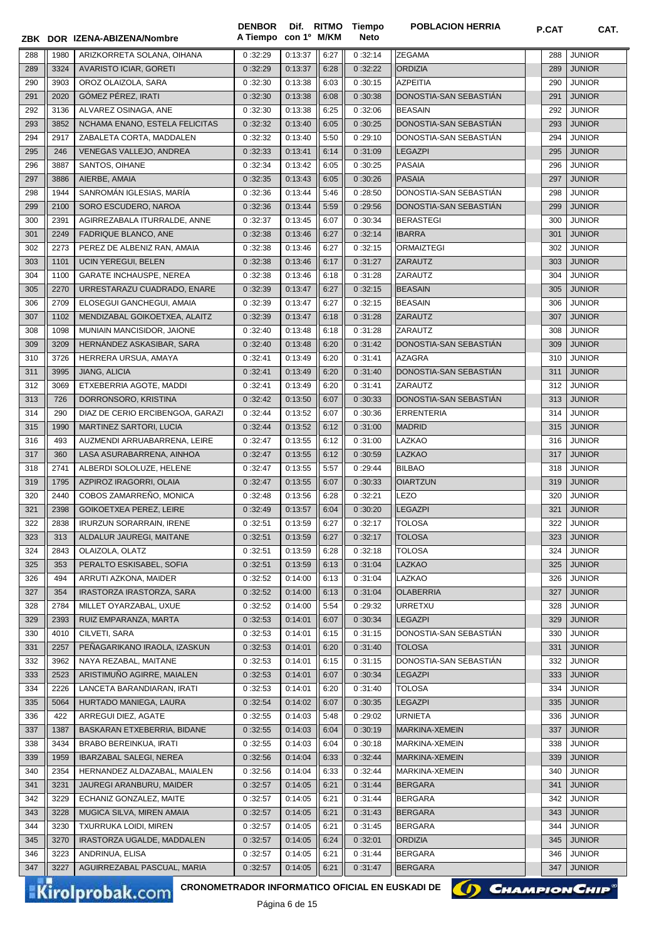|     |      | ZBK DOR IZENA-ABIZENA/Nombre                                              | <b>DENBOR</b><br>A Tiempo con 1º M/KM | Dif. RITMO     |      | Tiempo<br>Neto | <b>POBLACION HERRIA</b> | P.CAT | CAT.          |
|-----|------|---------------------------------------------------------------------------|---------------------------------------|----------------|------|----------------|-------------------------|-------|---------------|
| 288 | 1980 | ARIZKORRETA SOLANA, OIHANA                                                | 0:32:29                               | 0:13:37        | 6:27 | 0:32:14        | <b>ZEGAMA</b>           | 288   | <b>JUNIOR</b> |
| 289 | 3324 | <b>AVARISTO ICIAR, GORETI</b>                                             | 0:32:29                               | 0:13:37        | 6:28 | 0:32:22        | <b>ORDIZIA</b>          | 289   | <b>JUNIOR</b> |
| 290 | 3903 | OROZ OLAIZOLA, SARA                                                       | 0:32:30                               | 0:13:38        | 6:03 | 0:30:15        | <b>AZPEITIA</b>         | 290   | <b>JUNIOR</b> |
| 291 | 2020 | GÓMEZ PÉREZ, IRATI                                                        | 0:32:30                               | 0:13:38        | 6:08 | 0:30:38        | DONOSTIA-SAN SEBASTIAN  | 291   | <b>JUNIOR</b> |
| 292 | 3136 | ALVAREZ OSINAGA, ANE                                                      | 0:32:30                               | 0:13:38        | 6:25 | 0:32:06        | <b>BEASAIN</b>          | 292   | <b>JUNIOR</b> |
| 293 | 3852 | NCHAMA ENANO, ESTELA FELICITAS                                            | 0:32:32                               | 0:13:40        | 6:05 | 0:30:25        | DONOSTIA-SAN SEBASTIAN  | 293   | <b>JUNIOR</b> |
| 294 | 2917 | ZABALETA CORTA, MADDALEN                                                  | 0:32:32                               | 0:13:40        | 5:50 | 0:29:10        | DONOSTIA-SAN SEBASTIAN  | 294   | JUNIOR        |
| 295 | 246  | VENEGAS VALLEJO, ANDREA                                                   | 0:32:33                               | 0:13:41        | 6:14 | 0:31:09        | <b>LEGAZPI</b>          | 295   | <b>JUNIOR</b> |
| 296 | 3887 | SANTOS, OIHANE                                                            | 0:32:34                               | 0:13:42        | 6:05 | 0:30:25        | <b>PASAIA</b>           | 296   | <b>JUNIOR</b> |
| 297 | 3886 | AIERBE, AMAIA                                                             | 0:32:35                               | 0:13:43        | 6:05 | 0:30:26        | <b>PASAIA</b>           | 297   | <b>JUNIOR</b> |
| 298 | 1944 | SANROMÁN IGLESIAS, MARÍA                                                  | 0:32:36                               | 0:13:44        | 5:46 | 0:28:50        | DONOSTIA-SAN SEBASTIAN  | 298   | <b>JUNIOR</b> |
| 299 | 2100 |                                                                           |                                       | 0:13:44        |      |                |                         |       |               |
|     |      | SORO ESCUDERO, NAROA                                                      | 0:32:36                               |                | 5:59 | 0:29:56        | DONOSTIA-SAN SEBASTIAN  | 299   | <b>JUNIOR</b> |
| 300 | 2391 | AGIRREZABALA ITURRALDE, ANNE                                              | 0:32:37                               | 0:13:45        | 6:07 | 0:30:34        | <b>BERASTEGI</b>        | 300   | <b>JUNIOR</b> |
| 301 | 2249 | FADRIQUE BLANCO, ANE                                                      | 0:32:38                               | 0:13:46        | 6:27 | 0:32:14        | <b>IBARRA</b>           | 301   | <b>JUNIOR</b> |
| 302 | 2273 | PEREZ DE ALBENIZ RAN, AMAIA                                               | 0:32:38                               | 0:13:46        | 6:27 | 0:32:15        | <b>ORMAIZTEGI</b>       | 302   | <b>JUNIOR</b> |
| 303 | 1101 | <b>UCIN YEREGUI, BELEN</b>                                                | 0:32:38                               | 0:13:46        | 6:17 | 0:31:27        | <b>ZARAUTZ</b>          | 303   | <b>JUNIOR</b> |
| 304 | 1100 | <b>GARATE INCHAUSPE, NEREA</b>                                            | 0:32:38                               | 0:13:46        | 6:18 | 0:31:28        | ZARAUTZ                 | 304   | <b>JUNIOR</b> |
| 305 | 2270 | URRESTARAZU CUADRADO, ENARE                                               | 0:32:39                               | 0:13:47        | 6:27 | 0:32:15        | <b>BEASAIN</b>          | 305   | <b>JUNIOR</b> |
| 306 | 2709 | ELOSEGUI GANCHEGUI, AMAIA                                                 | 0:32:39                               | 0:13:47        | 6:27 | 0:32:15        | <b>BEASAIN</b>          | 306   | <b>JUNIOR</b> |
| 307 | 1102 | MENDIZABAL GOIKOETXEA, ALAITZ                                             | 0:32:39                               | 0:13:47        | 6:18 | 0:31:28        | <b>ZARAUTZ</b>          | 307   | <b>JUNIOR</b> |
| 308 | 1098 | MUNIAIN MANCISIDOR, JAIONE                                                | 0:32:40                               | 0:13:48        | 6:18 | 0:31:28        | <b>ZARAUTZ</b>          | 308   | <b>JUNIOR</b> |
| 309 | 3209 | HERNANDEZ ASKASIBAR, SARA                                                 | 0:32:40                               | 0:13:48        | 6:20 | 0:31:42        | DONOSTIA-SAN SEBASTIAN  | 309   | <b>JUNIOR</b> |
| 310 | 3726 | HERRERA URSUA, AMAYA                                                      | 0:32:41                               | 0:13:49        | 6:20 | 0:31:41        | AZAGRA                  | 310   | <b>JUNIOR</b> |
| 311 | 3995 | JIANG, ALICIA                                                             | 0:32:41                               | 0:13:49        | 6:20 | 0:31:40        | DONOSTIA-SAN SEBASTIAN  | 311   | <b>JUNIOR</b> |
| 312 | 3069 | ETXEBERRIA AGOTE, MADDI                                                   | 0:32:41                               | 0:13:49        | 6:20 | 0:31:41        | ZARAUTZ                 | 312   | <b>JUNIOR</b> |
| 313 | 726  | DORRONSORO, KRISTINA                                                      | 0:32:42                               | 0:13:50        | 6:07 | 0:30:33        | DONOSTIA-SAN SEBASTIAN  | 313   | <b>JUNIOR</b> |
| 314 | 290  | DIAZ DE CERIO ERCIBENGOA, GARAZI                                          | 0:32:44                               | 0:13:52        | 6:07 | 0:30:36        | <b>ERRENTERIA</b>       | 314   | <b>JUNIOR</b> |
| 315 | 1990 | MARTINEZ SARTORI, LUCIA                                                   | 0:32:44                               | 0:13:52        | 6:12 | 0:31:00        | <b>MADRID</b>           | 315   | <b>JUNIOR</b> |
| 316 | 493  | AUZMENDI ARRUABARRENA, LEIRE                                              | 0:32:47                               | 0:13:55        | 6:12 | 0:31:00        | LAZKAO                  | 316   | <b>JUNIOR</b> |
| 317 | 360  | LASA ASURABARRENA, AINHOA                                                 | 0:32:47                               | 0:13:55        | 6:12 | 0:30:59        | <b>LAZKAO</b>           | 317   | <b>JUNIOR</b> |
| 318 | 2741 | ALBERDI SOLOLUZE, HELENE                                                  | 0:32:47                               | 0:13:55        | 5:57 | 0:29:44        | <b>BILBAO</b>           | 318   | <b>JUNIOR</b> |
| 319 | 1795 | AZPIROZ IRAGORRI, OLAIA                                                   | 0:32:47                               | 0:13:55        | 6:07 | 0:30:33        | <b>OIARTZUN</b>         | 319   | <b>JUNIOR</b> |
| 320 | 2440 | COBOS ZAMARREÑO, MONICA                                                   | 0:32:48                               | 0:13:56        | 6:28 | 0:32:21        | <b>LEZO</b>             | 320   | <b>JUNIOR</b> |
| 321 | 2398 | <b>GOIKOETXEA PEREZ, LEIRE</b>                                            | 0:32:49                               | 0:13:57        | 6:04 | 0:30:20        | <b>LEGAZPI</b>          | 321   | <b>JUNIOR</b> |
| 322 | 2838 | <b>IRURZUN SORARRAIN, IRENE</b>                                           | 0:32:51                               | 0:13:59        | 6:27 | 0:32:17        | <b>TOLOSA</b>           |       | 322 JUNIOR    |
| 323 | 313  | ALDALUR JAUREGI, MAITANE                                                  | 0:32:51                               | 0:13:59        | 6:27 | 0:32:17        | <b>TOLOSA</b>           | 323   | <b>JUNIOR</b> |
| 324 | 2843 | OLAIZOLA, OLATZ                                                           | 0:32:51                               | 0:13:59        | 6:28 | 0:32:18        | <b>TOLOSA</b>           | 324   | <b>JUNIOR</b> |
| 325 | 353  | PERALTO ESKISABEL, SOFIA                                                  | 0:32:51                               | 0:13:59        | 6:13 | 0:31:04        | <b>LAZKAO</b>           | 325   | <b>JUNIOR</b> |
| 326 | 494  | ARRUTI AZKONA, MAIDER                                                     | 0:32:52                               | 0:14:00        | 6:13 | 0:31:04        | LAZKAO                  | 326   | <b>JUNIOR</b> |
| 327 | 354  | IRASTORZA IRASTORZA, SARA                                                 | 0:32:52                               | 0:14:00        | 6:13 | 0:31:04        | <b>OLABERRIA</b>        | 327   | JUNIOR        |
| 328 | 2784 | MILLET OYARZABAL, UXUE                                                    | 0:32:52                               | 0:14:00        | 5:54 | 0:29:32        | URRETXU                 | 328   | JUNIOR        |
| 329 | 2393 | RUIZ EMPARANZA, MARTA                                                     | 0:32:53                               | 0:14:01        | 6:07 | 0:30:34        | <b>LEGAZPI</b>          | 329   | <b>JUNIOR</b> |
| 330 | 4010 | CILVETI, SARA                                                             | 0:32:53                               | 0:14:01        | 6:15 | 0:31:15        | DONOSTIA-SAN SEBASTIAN  | 330   | JUNIOR        |
| 331 | 2257 | PEÑAGARIKANO IRAOLA, IZASKUN                                              | 0:32:53                               | 0:14:01        | 6:20 | 0:31:40        | <b>TOLOSA</b>           | 331   | JUNIOR        |
| 332 | 3962 | NAYA REZABAL, MAITANE                                                     | 0:32:53                               | 0:14:01        | 6:15 | 0:31:15        | DONOSTIA-SAN SEBASTIAN  | 332   | JUNIOR        |
| 333 | 2523 | ARISTIMUÑO AGIRRE, MAIALEN                                                | 0:32:53                               | 0:14:01        | 6:07 | 0:30:34        | <b>LEGAZPI</b>          | 333   | <b>JUNIOR</b> |
| 334 | 2226 | LANCETA BARANDIARAN, IRATI                                                | 0:32:53                               | 0:14:01        | 6:20 | 0:31:40        | <b>TOLOSA</b>           | 334   | JUNIOR        |
| 335 | 5064 | HURTADO MANIEGA, LAURA                                                    | 0:32:54                               | 0:14:02        | 6:07 | 0:30:35        | <b>LEGAZPI</b>          | 335   | <b>JUNIOR</b> |
| 336 | 422  | ARREGUI DIEZ, AGATE                                                       | 0:32:55                               | 0:14:03        | 5:48 | 0:29:02        | <b>URNIETA</b>          | 336   | JUNIOR        |
| 337 | 1387 | BASKARAN ETXEBERRIA, BIDANE                                               | 0:32:55                               | 0:14:03        | 6:04 | 0:30:19        | MARKINA-XEMEIN          | 337   | <b>JUNIOR</b> |
| 338 | 3434 | <b>BRABO BEREINKUA, IRATI</b>                                             | 0:32:55                               | 0:14:03        | 6:04 | 0:30:18        | MARKINA-XEMEIN          | 338   | JUNIOR        |
| 339 | 1959 | <b>IBARZABAL SALEGI, NEREA</b>                                            | 0:32:56                               | 0:14:04        | 6:33 | 0:32:44        | MARKINA-XEMEIN          | 339   | <b>JUNIOR</b> |
| 340 | 2354 | HERNANDEZ ALDAZABAL, MAIALEN                                              | 0:32:56                               | 0:14:04        | 6:33 | 0:32:44        | MARKINA-XEMEIN          | 340   | <b>JUNIOR</b> |
| 341 | 3231 | JAUREGI ARANBURU, MAIDER                                                  |                                       |                | 6:21 | 0:31:44        | <b>BERGARA</b>          | 341   | <b>JUNIOR</b> |
|     |      |                                                                           | 0:32:57                               | 0:14:05        |      |                |                         |       |               |
| 342 | 3229 | ECHANIZ GONZALEZ, MAITE                                                   | 0:32:57                               | 0:14:05        | 6:21 | 0:31:44        | <b>BERGARA</b>          | 342   | JUNIOR        |
| 343 | 3228 | MUGICA SILVA, MIREN AMAIA                                                 | 0:32:57                               | 0:14:05        | 6:21 | 0:31:43        | <b>BERGARA</b>          | 343   | <b>JUNIOR</b> |
| 344 | 3230 | <b>TXURRUKA LOIDI, MIREN</b>                                              | 0:32:57                               | 0:14:05        | 6:21 | 0:31:45        | <b>BERGARA</b>          | 344   | <b>JUNIOR</b> |
| 345 | 3270 | IRASTORZA UGALDE, MADDALEN                                                | 0:32:57                               | 0:14:05        | 6:24 | 0:32:01        | <b>ORDIZIA</b>          | 345   | JUNIOR        |
| 346 | 3223 | ANDRINUA, ELISA                                                           | 0:32:57                               | 0:14:05        | 6:21 | 0:31:44        | <b>BERGARA</b>          | 346   | <b>JUNIOR</b> |
| 347 | 3227 | AGUIRREZABAL PASCUAL, MARIA                                               | 0:32:57                               | 0:14:05        | 6:21 | 0:31:47        | <b>BERGARA</b>          | 347   | <b>JUNIOR</b> |
|     |      | CRONOMETRADOR INFORMATICO OFICIAL EN EUSKADI DE<br><b>Kirolprobak.com</b> |                                       | Dáaina C do AE |      |                | () CHAMPION CHIP        |       |               |

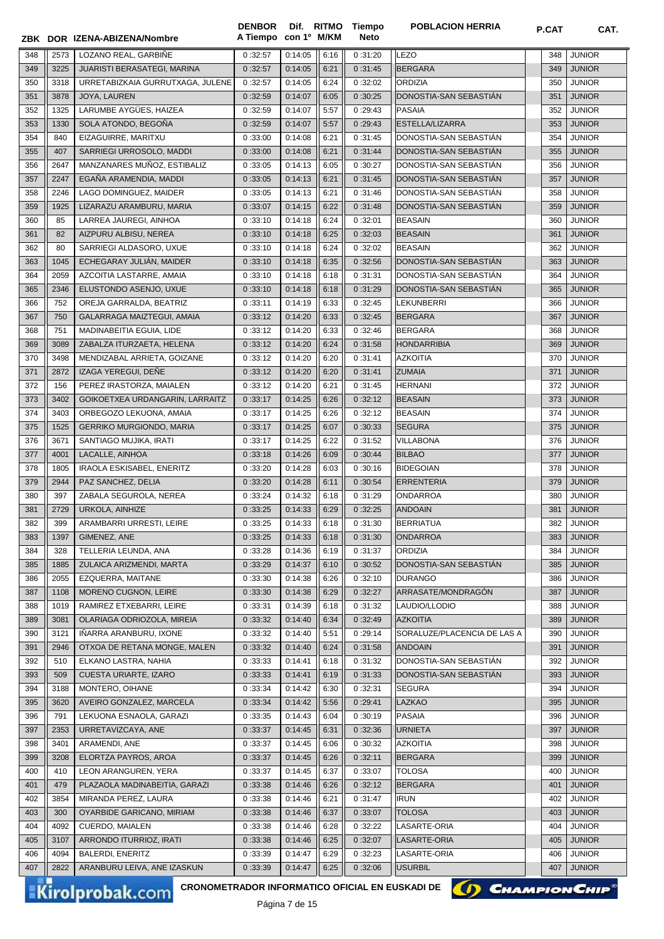|            |              | ZBK DOR IZENA-ABIZENA/Nombre                                              | <b>DENBOR</b><br>A Tiempo con 1º M/KM |                    |              | Dif. RITMO Tiempo<br>Neto | <b>POBLACION HERRIA</b>                          | P.CAT      | CAT.                           |
|------------|--------------|---------------------------------------------------------------------------|---------------------------------------|--------------------|--------------|---------------------------|--------------------------------------------------|------------|--------------------------------|
|            |              |                                                                           |                                       |                    |              |                           |                                                  |            |                                |
| 348        | 2573         | LOZANO REAL, GARBIÑE                                                      | 0:32:57                               | 0:14:05            | 6:16         | 0:31:20                   | <b>LEZO</b>                                      | 348        | <b>JUNIOR</b>                  |
| 349        | 3225         | JUARISTI BERASATEGI, MARINA                                               | 0:32:57                               | 0:14:05            | 6:21         | 0:31:45                   | <b>BERGARA</b>                                   | 349        | <b>JUNIOR</b>                  |
| 350        | 3318         | URRETABIZKAIA GURRUTXAGA, JULENE                                          | 0:32:57                               | 0:14:05            | 6:24         | 0:32:02                   | <b>ORDIZIA</b>                                   | 350        | <b>JUNIOR</b>                  |
| 351        | 3878         | JOYA, LAUREN                                                              | 0:32:59                               | 0:14:07            | 6:05         | 0:30:25                   | DONOSTIA-SAN SEBASTIAN                           | 351        | <b>JUNIOR</b>                  |
| 352        | 1325         | LARUMBE AYGÜES, HAIZEA                                                    | 0:32:59                               | 0:14:07            | 5:57         | 0:29:43                   | <b>PASAIA</b>                                    | 352        | <b>JUNIOR</b>                  |
| 353<br>354 | 1330<br>840  | SOLA ATONDO, BEGOÑA<br>EIZAGUIRRE, MARITXU                                | 0:32:59<br>0:33:00                    | 0:14:07            | 5:57         | 0:29:43<br>0:31:45        | <b>ESTELLA/LIZARRA</b><br>DONOSTIA-SAN SEBASTIAN | 353        | <b>JUNIOR</b><br><b>JUNIOR</b> |
|            |              |                                                                           |                                       | 0:14:08            | 6:21         |                           | DONOSTIA-SAN SEBASTIÁN                           | 354        |                                |
| 355        | 407<br>2647  | SARRIEGI URROSOLO, MADDI<br>MANZANARES MUÑOZ, ESTIBALIZ                   | 0:33:00<br>0:33:05                    | 0:14:08<br>0:14:13 | 6:21         | 0:31:44<br>0:30:27        | DONOSTIA-SAN SEBASTIÁN                           | 355        | <b>JUNIOR</b><br><b>JUNIOR</b> |
| 356        |              | EGAÑA ARAMENDIA, MADDI                                                    |                                       | 0:14:13            | 6:05         |                           | DONOSTIA-SAN SEBASTIÁN                           | 356        | <b>JUNIOR</b>                  |
| 357        | 2247         |                                                                           | 0:33:05                               |                    | 6:21         | 0:31:45                   |                                                  | 357        |                                |
| 358        | 2246         | LAGO DOMINGUEZ, MAIDER                                                    | 0:33:05                               | 0:14:13            | 6:21         | 0:31:46                   | DONOSTIA-SAN SEBASTIAN                           | 358        | JUNIOR                         |
| 359<br>360 | 1925<br>85   | LIZARAZU ARAMBURU, MARIA                                                  | 0:33:07                               | 0:14:15<br>0:14:18 | 6:22         | 0:31:48                   | DONOSTIA-SAN SEBASTIAN<br><b>BEASAIN</b>         | 359        | <b>JUNIOR</b><br><b>JUNIOR</b> |
| 361        | 82           | LARREA JAUREGI, AINHOA<br>AIZPURU ALBISU, NEREA                           | 0:33:10                               |                    | 6:24         | 0:32:01                   |                                                  | 360<br>361 | <b>JUNIOR</b>                  |
| 362        | 80           | SARRIEGI ALDASORO, UXUE                                                   | 0:33:10                               | 0:14:18<br>0:14:18 | 6:25<br>6:24 | 0:32:03                   | <b>BEASAIN</b><br><b>BEASAIN</b>                 | 362        | <b>JUNIOR</b>                  |
| 363        | 1045         | ECHEGARAY JULIÁN, MAIDER                                                  | 0:33:10                               | 0:14:18            | 6:35         | 0:32:02                   | DONOSTIA-SAN SEBASTIAN                           | 363        |                                |
| 364        | 2059         | AZCOITIA LASTARRE, AMAIA                                                  | 0:33:10<br>0:33:10                    | 0:14:18            | 6:18         | 0:32:56<br>0:31:31        | DONOSTIA-SAN SEBASTIAN                           | 364        | JUNIOR<br><b>JUNIOR</b>        |
| 365        | 2346         | ELUSTONDO ASENJO, UXUE                                                    | 0:33:10                               | 0:14:18            | 6:18         | 0:31:29                   | DONOSTIA-SAN SEBASTIÁN                           | 365        | <b>JUNIOR</b>                  |
| 366        | 752          | OREJA GARRALDA, BEATRIZ                                                   | 0:33:11                               | 0:14:19            | 6:33         | 0:32:45                   | <b>LEKUNBERRI</b>                                | 366        | <b>JUNIOR</b>                  |
|            | 750          | GALARRAGA MAIZTEGUI, AMAIA                                                |                                       | 0:14:20            |              |                           |                                                  | 367        | <b>JUNIOR</b>                  |
| 367<br>368 | 751          | MADINABEITIA EGUIA, LIDE                                                  | 0:33:12<br>0:33:12                    | 0:14:20            | 6:33<br>6:33 | 0:32:45<br>0:32:46        | <b>BERGARA</b><br><b>BERGARA</b>                 | 368        | <b>JUNIOR</b>                  |
| 369        | 3089         |                                                                           |                                       | 0:14:20            | 6:24         | 0:31:58                   | <b>HONDARRIBIA</b>                               |            | <b>JUNIOR</b>                  |
|            |              | ZABALZA ITURZAETA, HELENA                                                 | 0:33:12                               |                    |              |                           | <b>AZKOITIA</b>                                  | 369        | <b>JUNIOR</b>                  |
| 370        | 3498         | MENDIZABAL ARRIETA, GOIZANE                                               | 0:33:12                               | 0:14:20            | 6:20         | 0:31:41                   | <b>ZUMAIA</b>                                    | 370        |                                |
| 371        | 2872         | IZAGA YEREGUI, DEÑE                                                       | 0:33:12                               | 0:14:20            | 6:20         | 0:31:41                   |                                                  | 371        | <b>JUNIOR</b>                  |
| 372<br>373 | 156<br>3402  | PEREZ IRASTORZA, MAIALEN                                                  | 0:33:12                               | 0:14:20<br>0:14:25 | 6:21<br>6:26 | 0:31:45                   | <b>HERNANI</b><br><b>BEASAIN</b>                 | 372        | <b>JUNIOR</b><br><b>JUNIOR</b> |
|            |              | GOIKOETXEA URDANGARIN, LARRAITZ                                           | 0:33:17                               |                    |              | 0:32:12                   |                                                  | 373        | <b>JUNIOR</b>                  |
| 374        | 3403         | ORBEGOZO LEKUONA, AMAIA                                                   | 0:33:17                               | 0:14:25            | 6:26         | 0:32:12                   | <b>BEASAIN</b>                                   | 374        |                                |
| 375        | 1525<br>3671 | <b>GERRIKO MURGIONDO, MARIA</b>                                           | 0:33:17                               | 0:14:25<br>0:14:25 | 6:07         | 0:30:33<br>0:31:52        | <b>SEGURA</b>                                    | 375<br>376 | <b>JUNIOR</b><br><b>JUNIOR</b> |
| 376<br>377 | 4001         | SANTIAGO MUJIKA, IRATI<br>LACALLE, AINHOA                                 | 0:33:17<br>0:33:18                    | 0:14:26            | 6:22<br>6:09 | 0:30:44                   | <b>VILLABONA</b><br><b>BILBAO</b>                | 377        | <b>JUNIOR</b>                  |
| 378        | 1805         | IRAOLA ESKISABEL, ENERITZ                                                 | 0:33:20                               | 0:14:28            | 6:03         | 0:30:16                   | <b>BIDEGOIAN</b>                                 | 378        | <b>JUNIOR</b>                  |
| 379        | 2944         | PAZ SANCHEZ, DELIA                                                        |                                       | 0:14:28            | 6:11         |                           | <b>ERRENTERIA</b>                                | 379        | <b>JUNIOR</b>                  |
| 380        | 397          | ZABALA SEGUROLA, NEREA                                                    | 0:33:20<br>0:33:24                    | 0:14:32            | 6:18         | 0:30:54<br>0:31:29        | ONDARROA                                         | 380        | <b>JUNIOR</b>                  |
| 381        | 2729         | URKOLA, AINHIZE                                                           | 0:33:25                               | 0:14:33            | 6:29         | 0:32:25                   | <b>ANDOAIN</b>                                   | 381        | <b>JUNIOR</b>                  |
|            |              | ARAMBARRI URRESTI, LEIRE                                                  |                                       |                    |              |                           | <b>BERRIATUA</b>                                 | 382        | <b>JUNIOR</b>                  |
| 382        | 399<br>1397  |                                                                           | 0:33:25<br>0:33:25                    | 0:14:33<br>0:14:33 | 6:18         | 0:31:30<br>0:31:30        | <b>ONDARROA</b>                                  | 383        | <b>JUNIOR</b>                  |
| 383<br>384 | 328          | GIMENEZ, ANE<br>TELLERIA LEUNDA, ANA                                      | 0:33:28                               | 0:14:36            | 6:18<br>6:19 | 0:31:37                   | <b>ORDIZIA</b>                                   | 384        | <b>JUNIOR</b>                  |
|            | 1885         |                                                                           |                                       | 0:14:37            | 6:10         |                           | DONOSTIA-SAN SEBASTIÁN                           | 385        |                                |
| 385        | 2055         | ZULAICA ARIZMENDI, MARTA<br>EZQUERRA, MAITANE                             | 0:33:29                               | 0:14:38            | 6:26         | 0:30:52<br>0:32:10        | <b>DURANGO</b>                                   | 386        | JUNIOR<br><b>JUNIOR</b>        |
| 386        |              |                                                                           | 0:33:30                               |                    |              | 0:32:27                   | ARRASATE/MONDRAGÓN                               |            |                                |
| 387        | 1108         | MORENO CUGNON, LEIRE                                                      | 0:33:30                               | 0:14:38            | 6:29         |                           |                                                  | 387        | JUNIOR                         |
| 388        | 1019         | RAMIREZ ETXEBARRI, LEIRE                                                  | 0:33:31                               | 0:14:39            | 6:18         | 0:31:32                   | LAUDIO/LLODIO<br><b>AZKOITIA</b>                 | 388        | JUNIOR                         |
| 389        | 3081         | OLARIAGA ODRIOZOLA, MIREIA                                                | 0:33:32                               | 0:14:40<br>0:14:40 | 6:34         | 0:32:49<br>0:29:14        |                                                  | 389        | JUNIOR<br><b>JUNIOR</b>        |
| 390        | 3121         | IÑARRA ARANBURU, IXONE                                                    | 0:33:32                               |                    | 5:51         |                           | SORALUZE/PLACENCIA DE LAS A<br><b>ANDOAIN</b>    | 390        |                                |
| 391        | 2946         | OTXOA DE RETANA MONGE, MALEN                                              | 0:33:32                               | 0:14:40            | 6:24         | 0:31:58                   |                                                  | 391        | <b>JUNIOR</b>                  |
| 392        | 510          | ELKANO LASTRA, NAHIA                                                      | 0:33:33                               | 0:14:41            | 6:18         | 0:31:32                   | DONOSTIA-SAN SEBASTIAN<br>DONOSTIA-SAN SEBASTIAN | 392        | JUNIOR                         |
| 393<br>394 | 509<br>3188  | <b>CUESTA URIARTE, IZARO</b>                                              | 0:33:33<br>0:33:34                    | 0:14:41<br>0:14:42 | 6:19<br>6:30 | 0:31:33<br>0:32:31        | <b>SEGURA</b>                                    | 393<br>394 | <b>JUNIOR</b><br><b>JUNIOR</b> |
|            |              | MONTERO, OIHANE                                                           |                                       |                    |              |                           |                                                  |            |                                |
| 395        | 3620<br>791  | AVEIRO GONZALEZ, MARCELA                                                  | 0:33:34                               | 0:14:42<br>0:14:43 | 5:56         | 0:29:41                   | <b>LAZKAO</b><br>PASAIA                          | 395<br>396 | JUNIOR                         |
| 396<br>397 | 2353         | LEKUONA ESNAOLA, GARAZI                                                   | 0:33:35                               | 0:14:45            | 6:04         | 0:30:19                   |                                                  | 397        | JUNIOR                         |
|            |              | URRETAVIZCAYA, ANE                                                        | 0:33:37                               |                    | 6:31         | 0:32:36                   | <b>URNIETA</b>                                   |            | JUNIOR                         |
| 398<br>399 | 3401<br>3208 | ARAMENDI, ANE<br>ELORTZA PAYROS, AROA                                     | 0:33:37<br>0:33:37                    | 0:14:45<br>0:14:45 | 6:06<br>6:26 | 0:30:32<br>0:32:11        | <b>AZKOITIA</b><br><b>BERGARA</b>                | 398<br>399 | JUNIOR<br><b>JUNIOR</b>        |
| 400        | 410          | LEON ARANGUREN, YERA                                                      | 0:33:37                               | 0:14:45            |              | 0:33:07                   | <b>TOLOSA</b>                                    | 400        | JUNIOR                         |
|            | 479          |                                                                           |                                       |                    | 6:37         |                           |                                                  |            |                                |
| 401<br>402 | 3854         | PLAZAOLA MADINABEITIA, GARAZI<br>MIRANDA PEREZ, LAURA                     | 0:33:38<br>0:33:38                    | 0:14:46<br>0:14:46 | 6:26<br>6:21 | 0:32:12<br>0:31:47        | <b>BERGARA</b><br><b>IRUN</b>                    | 401<br>402 | <b>JUNIOR</b><br>JUNIOR        |
| 403        | 300          | OYARBIDE GARICANO, MIRIAM                                                 | 0:33:38                               | 0:14:46            | 6:37         | 0:33:07                   | <b>TOLOSA</b>                                    | 403        | <b>JUNIOR</b>                  |
| 404        | 4092         | CUERDO, MAIALEN                                                           | 0:33:38                               | 0:14:46            |              | 0:32:22                   | LASARTE-ORIA                                     | 404        | JUNIOR                         |
|            | 3107         |                                                                           |                                       | 0:14:46            | 6:28         |                           |                                                  |            | <b>JUNIOR</b>                  |
| 405        | 4094         | ARRONDO ITURRIOZ, IRATI                                                   | 0:33:38                               |                    | 6:25         | 0:32:07                   | LASARTE-ORIA<br>LASARTE-ORIA                     | 405        |                                |
| 406<br>407 | 2822         | <b>BALERDI, ENERITZ</b><br>ARANBURU LEIVA, ANE IZASKUN                    | 0:33:39<br>0:33:39                    | 0:14:47<br>0:14:47 | 6:29<br>6:25 | 0:32:23<br>0:32:06        | <b>USURBIL</b>                                   | 406<br>407 | JUNIOR<br><b>JUNIOR</b>        |
|            |              |                                                                           |                                       |                    |              |                           |                                                  |            |                                |
|            |              | CRONOMETRADOR INFORMATICO OFICIAL EN EUSKADI DE<br><b>Kirolprobak.com</b> |                                       |                    |              |                           | $\Omega$                                         |            | <b>CHAMPION CHIP®</b>          |

Kirolprobak.com

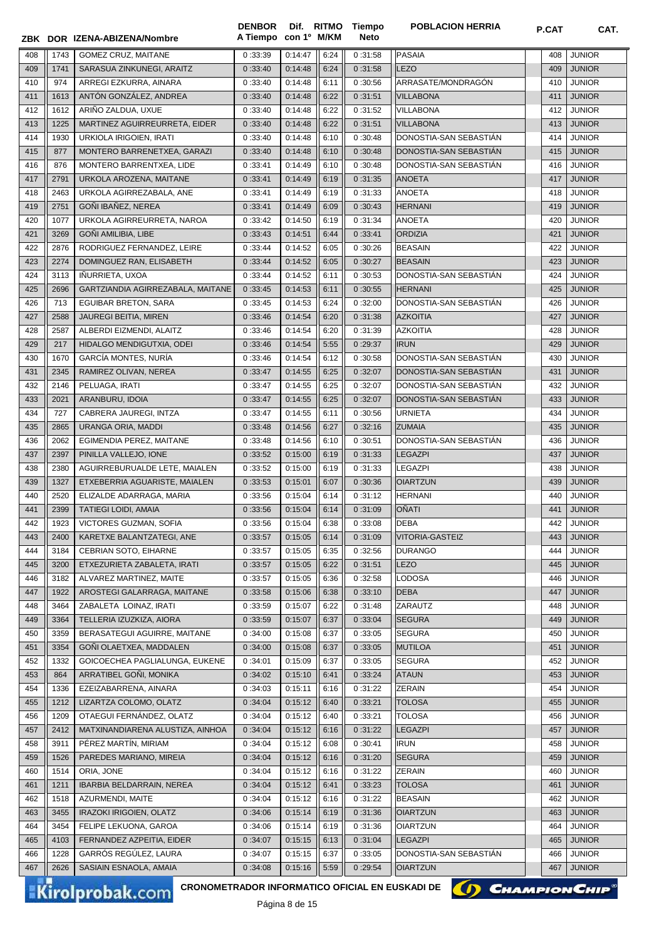|            |              | ZBK DOR IZENA-ABIZENA/Nombre                           | <b>DENBOR</b><br>A Tiempo con 1º M/KM |                     |              | Dif. RITMO Tiempo<br><b>Neto</b> | <b>POBLACION HERRIA</b>                | P.CAT      | CAT.                           |
|------------|--------------|--------------------------------------------------------|---------------------------------------|---------------------|--------------|----------------------------------|----------------------------------------|------------|--------------------------------|
|            |              |                                                        |                                       | 0:14:47             |              |                                  | <b>PASAIA</b>                          |            |                                |
| 408        | 1743         | <b>GOMEZ CRUZ, MAITANE</b>                             | 0:33:39                               |                     | 6:24         | 0:31:58                          | LEZO                                   | 408        | <b>JUNIOR</b>                  |
| 409        | 1741         | SARASUA ZINKUNEGI, ARAITZ<br>ARREGI EZKURRA, AINARA    | 0:33:40                               | 0:14:48             | 6:24         | 0:31:58                          |                                        | 409        | <b>JUNIOR</b><br><b>JUNIOR</b> |
| 410<br>411 | 974          | ANTÓN GONZÁLEZ, ANDREA                                 | 0:33:40                               | 0:14:48<br>0:14:48  | 6:11<br>6:22 | 0:30:56<br>0:31:51               | ARRASATE/MONDRAGÓN<br><b>VILLABONA</b> | 410        | <b>JUNIOR</b>                  |
| 412        | 1613<br>1612 | ARIÑO ZALDUA, UXUE                                     | 0:33:40<br>0:33:40                    | 0:14:48             | 6:22         | 0:31:52                          | <b>VILLABONA</b>                       | 411<br>412 | <b>JUNIOR</b>                  |
| 413        | 1225         | MARTINEZ AGUIRREURRETA, EIDER                          | 0:33:40                               | 0:14:48             | 6:22         | 0:31:51                          | <b>VILLABONA</b>                       | 413        | <b>JUNIOR</b>                  |
| 414        | 1930         | URKIOLA IRIGOIEN, IRATI                                | 0:33:40                               | 0:14:48             | 6:10         | 0:30:48                          | DONOSTIA-SAN SEBASTIAN                 | 414        | <b>JUNIOR</b>                  |
| 415        | 877          | MONTERO BARRENETXEA, GARAZI                            | 0:33:40                               | 0:14:48             | 6:10         | 0:30:48                          | DONOSTIA-SAN SEBASTIÁN                 | 415        | <b>JUNIOR</b>                  |
| 416        | 876          | MONTERO BARRENTXEA, LIDE                               | 0:33:41                               | 0:14:49             | 6:10         | 0:30:48                          | DONOSTIA-SAN SEBASTIAN                 | 416        | <b>JUNIOR</b>                  |
| 417        | 2791         | URKOLA AROZENA, MAITANE                                | 0:33:41                               | 0:14:49             | 6:19         | 0:31:35                          | <b>ANOETA</b>                          | 417        | <b>JUNIOR</b>                  |
| 418        | 2463         | URKOLA AGIRREZABALA, ANE                               | 0:33:41                               | 0:14:49             | 6:19         | 0:31:33                          | <b>ANOETA</b>                          | 418        | <b>JUNIOR</b>                  |
| 419        | 2751         | GOÑI IBAÑEZ, NEREA                                     | 0:33:41                               | 0:14:49             | 6:09         | 0:30:43                          | <b>HERNANI</b>                         | 419        | <b>JUNIOR</b>                  |
| 420        | 1077         | URKOLA AGIRREURRETA, NAROA                             | 0:33:42                               | 0:14:50             | 6:19         | 0:31:34                          | <b>ANOETA</b>                          | 420        | <b>JUNIOR</b>                  |
| 421        | 3269         | GOÑI AMILIBIA, LIBE                                    | 0:33:43                               | 0:14:51             | 6:44         | 0:33:41                          | <b>ORDIZIA</b>                         | 421        | <b>JUNIOR</b>                  |
| 422        | 2876         | RODRIGUEZ FERNANDEZ, LEIRE                             | 0:33:44                               | 0:14:52             | 6:05         | 0:30:26                          | <b>BEASAIN</b>                         | 422        | <b>JUNIOR</b>                  |
| 423        | 2274         | DOMINGUEZ RAN, ELISABETH                               | 0:33:44                               | 0:14:52             | 6:05         | 0:30:27                          | <b>BEASAIN</b>                         | 423        | <b>JUNIOR</b>                  |
| 424        | 3113         | IÑURRIETA, UXOA                                        | 0:33:44                               | 0:14:52             | 6:11         | 0:30:53                          | DONOSTIA-SAN SEBASTIAN                 | 424        | <b>JUNIOR</b>                  |
| 425        | 2696         | GARTZIANDIA AGIRREZABALA, MAITANE                      | 0:33:45                               | 0:14:53             | 6:11         | 0:30:55                          | <b>HERNANI</b>                         | 425        | <b>JUNIOR</b>                  |
| 426        | 713          | <b>EGUIBAR BRETON, SARA</b>                            | 0:33:45                               | 0:14:53             | 6:24         | 0:32:00                          | DONOSTIA-SAN SEBASTIÁN                 | 426        | <b>JUNIOR</b>                  |
| 427        | 2588         | JAUREGI BEITIA, MIREN                                  | 0:33:46                               | 0:14:54             | 6:20         | 0:31:38                          | <b>AZKOITIA</b>                        | 427        | <b>JUNIOR</b>                  |
| 428        | 2587         | ALBERDI EIZMENDI, ALAITZ                               | 0:33:46                               | 0:14:54             | 6:20         | 0:31:39                          | <b>AZKOITIA</b>                        | 428        | <b>JUNIOR</b>                  |
| 429        | 217          | HIDALGO MENDIGUTXIA, ODEI                              | 0:33:46                               | 0:14:54             | 5:55         | 0:29:37                          | <b>IRUN</b>                            | 429        | <b>JUNIOR</b>                  |
| 430        | 1670         | GARCÍA MONTES, NURÍA                                   | 0:33:46                               | 0:14:54             | 6:12         | 0:30:58                          | DONOSTIA-SAN SEBASTIAN                 | 430        | <b>JUNIOR</b>                  |
| 431        | 2345         | RAMIREZ OLIVAN, NEREA                                  | 0:33:47                               | 0:14:55             | 6:25         | 0:32:07                          | DONOSTIA-SAN SEBASTIAN                 | 431        | <b>JUNIOR</b>                  |
| 432        | 2146         | PELUAGA, IRATI                                         | 0:33:47                               | 0:14:55             | 6:25         | 0:32:07                          | DONOSTIA-SAN SEBASTIAN                 | 432        | <b>JUNIOR</b>                  |
| 433        | 2021         | ARANBURU, IDOIA                                        | 0:33:47                               | 0:14:55             | 6:25         | 0:32:07                          | DONOSTIA-SAN SEBASTIAN                 | 433        | <b>JUNIOR</b>                  |
| 434        | 727          | CABRERA JAUREGI, INTZA                                 | 0:33:47                               | 0:14:55             | 6:11         | 0:30:56                          | <b>URNIETA</b>                         | 434        | <b>JUNIOR</b>                  |
| 435        | 2865         | URANGA ORIA, MADDI                                     | 0:33:48                               | 0:14:56             | 6:27         | 0:32:16                          | <b>ZUMAIA</b>                          | 435        | <b>JUNIOR</b>                  |
| 436        | 2062         | EGIMENDIA PEREZ, MAITANE                               | 0:33:48                               | 0:14:56             | 6:10         | 0:30:51                          | DONOSTIA-SAN SEBASTIAN                 | 436        | <b>JUNIOR</b>                  |
| 437        | 2397         | PINILLA VALLEJO, IONE                                  | 0:33:52                               | 0:15:00             | 6:19         | 0:31:33                          | <b>LEGAZPI</b>                         | 437        | <b>JUNIOR</b>                  |
| 438        | 2380         | AGUIRREBURUALDE LETE, MAIALEN                          | 0:33:52                               | 0:15:00             | 6:19         | 0:31:33                          | <b>LEGAZPI</b>                         | 438        | <b>JUNIOR</b>                  |
| 439        | 1327         | ETXEBERRIA AGUARISTE, MAIALEN                          | 0:33:53                               | 0:15:01             | 6:07         | 0:30:36                          | <b>OIARTZUN</b>                        | 439        | <b>JUNIOR</b>                  |
| 440        | 2520         | ELIZALDE ADARRAGA, MARIA                               | 0:33:56                               | 0:15:04             | 6:14         | 0:31:12                          | <b>HERNANI</b>                         | 440        | <b>JUNIOR</b>                  |
| 441        | 2399         | <b>TATIEGI LOIDI, AMAIA</b>                            | 0:33:56                               | 0:15:04             | 6:14         | 0:31:09                          | OÑATI                                  | 441        | <b>JUNIOR</b>                  |
| 442        | 1923         | VICTORES GUZMAN, SOFIA                                 | 0:33:56                               | 0:15:04             | 6:38         | 0:33:08                          | <b>DEBA</b>                            |            | 442 JUNIOR                     |
| 443        | 2400         | KARETXE BALANTZATEGI, ANE                              | 0:33:57                               | 0:15:05             | 6:14         | 0:31:09                          | <b>VITORIA-GASTEIZ</b>                 | 443        | <b>JUNIOR</b>                  |
| 444        | 3184         | CEBRIAN SOTO, EIHARNE                                  | 0:33:57                               | 0:15:05             | 6:35         | 0:32:56                          | <b>DURANGO</b>                         | 444        | <b>JUNIOR</b>                  |
| 445        | 3200         | ETXEZURIETA ZABALETA, IRATI                            | 0:33:57                               | 0:15:05             | 6:22         | 0:31:51                          | <b>LEZO</b>                            | 445        | <b>JUNIOR</b>                  |
| 446        | 3182         | ALVAREZ MARTINEZ, MAITE                                | 0:33:57                               | 0:15:05             | 6:36         | 0:32:58                          | <b>LODOSA</b>                          | 446        | <b>JUNIOR</b>                  |
| 447        | 1922         | AROSTEGI GALARRAGA, MAITANE                            | 0:33:58                               | 0:15:06             | 6:38         | 0:33:10                          | <b>DEBA</b>                            | 447        | JUNIOR                         |
| 448        | 3464         | ZABALETA LOINAZ, IRATI                                 | 0:33:59                               | 0:15:07             | 6:22         | 0:31:48                          | ZARAUTZ                                | 448        | <b>JUNIOR</b>                  |
| 449        | 3364         | TELLERIA IZUZKIZA, AIORA                               | 0:33:59                               | 0:15:07             | 6:37         | 0:33:04                          | <b>SEGURA</b>                          | 449        | <b>JUNIOR</b>                  |
| 450        | 3359         | BERASATEGUI AGUIRRE, MAITANE                           | 0:34:00                               | 0:15:08             | 6:37         | 0:33:05                          | <b>SEGURA</b>                          | 450        | JUNIOR                         |
| 451        | 3354         | GONI OLAETXEA, MADDALEN                                | 0:34:00                               | 0:15:08             | 6:37         | 0:33:05                          | <b>MUTILOA</b>                         | 451        | JUNIOR                         |
| 452        | 1332         | GOICOECHEA PAGLIALUNGA, EUKENE                         | 0:34:01                               | 0:15:09             | 6:37         | 0:33:05                          | <b>SEGURA</b>                          | 452        | <b>JUNIOR</b>                  |
| 453        | 864          | ARRATIBEL GOÑI, MONIKA                                 | 0:34:02                               | 0:15:10             | 6:41         | 0:33:24                          | <b>ATAUN</b>                           | 453        | <b>JUNIOR</b>                  |
| 454        | 1336         | EZEIZABARRENA, AINARA                                  | 0:34:03                               | 0:15:11             | 6:16         | 0:31:22                          | <b>ZERAIN</b>                          | 454        | <b>JUNIOR</b>                  |
| 455        | 1212         | LIZARTZA COLOMO, OLATZ                                 | 0:34:04                               | 0:15:12             | 6:40         | 0:33:21                          | <b>TOLOSA</b>                          | 455        | <b>JUNIOR</b>                  |
| 456        | 1209         | OTAEGUI FERNÁNDEZ, OLATZ                               | 0:34:04                               | 0:15:12             | 6:40         | 0:33:21                          | <b>TOLOSA</b>                          | 456        | <b>JUNIOR</b>                  |
| 457        | 2412         | MATXINANDIARENA ALUSTIZA, AINHOA                       | 0:34:04                               | 0:15:12             | 6:16         | 0:31:22                          | <b>LEGAZPI</b>                         | 457        | <b>JUNIOR</b>                  |
| 458        | 3911         | PÉREZ MARTÍN, MIRIAM                                   | 0:34:04                               | 0:15:12             | 6:08         | 0:30:41                          | <b>IRUN</b>                            | 458        | JUNIOR                         |
| 459        | 1526         | PAREDES MARIANO, MIREIA                                | 0:34:04                               | 0:15:12             | 6:16         | 0:31:20                          | <b>SEGURA</b>                          | 459        | <b>JUNIOR</b>                  |
| 460        | 1514         | ORIA, JONE                                             | 0:34:04                               | 0:15:12             | 6:16         | 0:31:22                          | <b>ZERAIN</b>                          | 460        | <b>JUNIOR</b>                  |
| 461        | 1211         | IBARBIA BELDARRAIN, NEREA                              | 0:34:04                               | 0:15:12             | 6:41         | 0:33:23                          | <b>TOLOSA</b>                          | 461        | <b>JUNIOR</b>                  |
| 462        | 1518         | AZURMENDI, MAITE                                       | 0:34:04                               | 0:15:12             | 6:16         | 0:31:22                          | <b>BEASAIN</b>                         | 462        | JUNIOR                         |
| 463        | 3455         | IRAZOKI IRIGOIEN, OLATZ                                | 0:34:06                               | 0:15:14             | 6:19         | 0:31:36                          | <b>OIARTZUN</b>                        | 463        | <b>JUNIOR</b>                  |
| 464        | 3454         | FELIPE LEKUONA, GAROA                                  | 0:34:06                               | 0:15:14             | 6:19         | 0:31:36                          | <b>OIARTZUN</b>                        | 464        | <b>JUNIOR</b>                  |
| 465        | 4103         | FERNANDEZ AZPEITIA, EIDER                              | 0:34:07                               | 0:15:15             | 6:13         | 0:31:04                          | <b>LEGAZPI</b>                         | 465        | <b>JUNIOR</b>                  |
| 466        | 1228         | GARRÓS REGÚLEZ, LAURA                                  | 0:34:07                               | 0:15:15             | 6:37         | 0:33:05                          | DONOSTIA-SAN SEBASTIAN                 | 466        | <b>JUNIOR</b>                  |
| 467        | 2626         | SASIAIN ESNAOLA, AMAIA                                 | 0:34:08                               | 0:15:16             | 5:59         | 0:29:54                          | <b>OIARTZUN</b>                        | 467        | <b>JUNIOR</b>                  |
|            |              | <b>CRONOMETRADOR INFORMATICO OFICIAL EN EUSKADI DE</b> |                                       |                     |              |                                  |                                        |            |                                |
|            |              | <b>Kirolprobak.com</b>                                 |                                       | $D4$ ainn $D4$ $A5$ |              |                                  | () CHAMPION CHIP                       |            |                                |

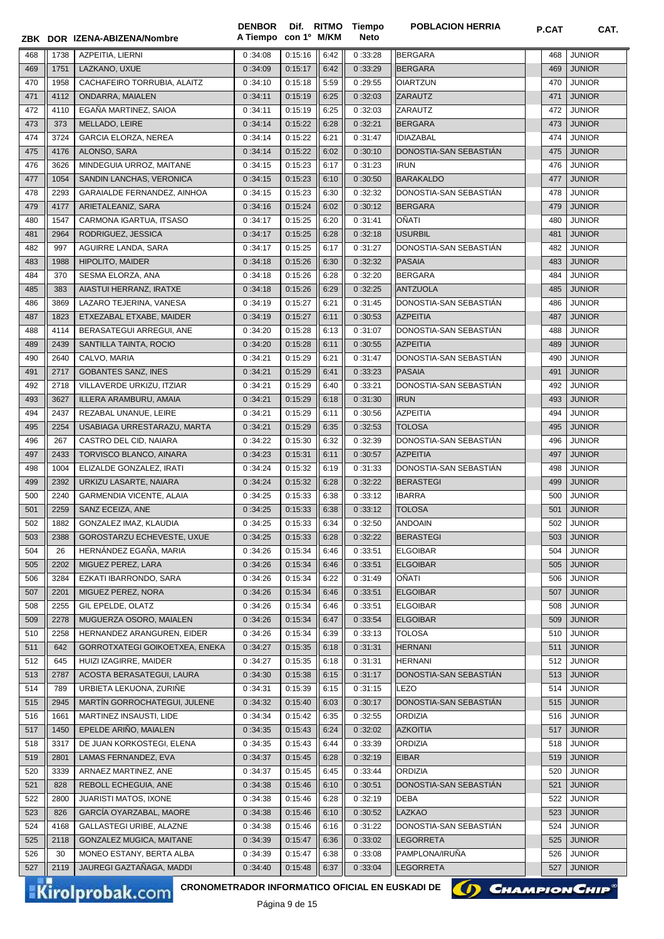|            |             | ZBK DOR IZENA-ABIZENA/Nombre                        | A Tiempo con 1º M/KM |                    |              | Neto               |                                           |            |                                |
|------------|-------------|-----------------------------------------------------|----------------------|--------------------|--------------|--------------------|-------------------------------------------|------------|--------------------------------|
| 468        | 1738        | AZPEITIA, LIERNI                                    | 0:34:08              | 0:15:16            | 6:42         | 0:33:28            | <b>BERGARA</b>                            | 468        | <b>JUNIOR</b>                  |
| 469        | 1751        | LAZKANO, UXUE                                       | 0:34:09              | 0:15:17            | 6:42         | 0:33:29            | <b>BERGARA</b>                            | 469        | <b>JUNIOR</b>                  |
| 470        | 1958        | CACHAFEIRO TORRUBIA, ALAITZ                         | 0:34:10              | 0:15:18            | 5:59         | 0:29:55            | <b>OIARTZUN</b>                           | 470        | <b>JUNIOR</b>                  |
| 471        | 4112        | ONDARRA, MAIALEN                                    | 0:34:11              | 0:15:19            | 6:25         | 0:32:03            | <b>ZARAUTZ</b>                            | 471        | <b>JUNIOR</b>                  |
| 472        | 4110        | EGAÑA MARTINEZ, SAIOA                               | 0:34:11              | 0:15:19            | 6:25         | 0:32:03            | ZARAUTZ                                   | 472        | <b>JUNIOR</b>                  |
| 473        | 373         | MELLADO, LEIRE                                      | 0:34:14              | 0:15:22            | 6:28         | 0:32:21            | <b>BERGARA</b>                            | 473        | <b>JUNIOR</b>                  |
| 474        | 3724        | <b>GARCIA ELORZA, NEREA</b>                         | 0:34:14              | 0:15:22            | 6:21         | 0:31:47            | <b>IDIAZABAL</b>                          | 474        | <b>JUNIOR</b>                  |
| 475        | 4176        | ALONSO, SARA                                        | 0:34:14              | 0:15:22            | 6:02         | 0:30:10            | DONOSTIA-SAN SEBASTIÁN                    | 475        | <b>JUNIOR</b>                  |
| 476        | 3626        | MINDEGUIA URROZ, MAITANE                            | 0:34:15              | 0:15:23            | 6:17         | 0:31:23            | <b>IRUN</b>                               | 476        | <b>JUNIOR</b>                  |
| 477        | 1054        | SANDIN LANCHAS, VERONICA                            | 0:34:15              | 0:15:23            | 6:10         | 0:30:50            | <b>BARAKALDO</b>                          | 477        | <b>JUNIOR</b>                  |
| 478        | 2293        | GARAIALDE FERNANDEZ, AINHOA                         | 0:34:15              | 0:15:23            | 6:30         | 0:32:32            | DONOSTIA-SAN SEBASTIAN                    | 478        | <b>JUNIOR</b>                  |
| 479        | 4177        | ARIETALEANIZ, SARA                                  | 0:34:16              | 0:15:24            | 6:02         | 0:30:12            | <b>BERGARA</b>                            | 479        | <b>JUNIOR</b>                  |
| 480        | 1547        | CARMONA IGARTUA, ITSASO                             | 0:34:17              | 0:15:25            | 6:20         | 0:31:41            | OÑATI                                     | 480        | <b>JUNIOR</b>                  |
| 481        | 2964        | RODRIGUEZ, JESSICA                                  | 0:34:17              | 0:15:25            | 6:28         | 0:32:18            | <b>USURBIL</b>                            | 481        | <b>JUNIOR</b>                  |
| 482        | 997         | AGUIRRE LANDA, SARA                                 | 0:34:17              | 0:15:25            | 6:17         | 0:31:27            | DONOSTIA-SAN SEBASTIAN                    | 482        | JUNIOR                         |
| 483        | 1988        | HIPOLITO, MAIDER                                    | 0:34:18              | 0:15:26            | 6:30         | 0:32:32            | <b>PASAIA</b>                             | 483        | <b>JUNIOR</b>                  |
| 484        | 370         | SESMA ELORZA, ANA                                   | 0:34:18              | 0:15:26            | 6:28         | 0:32:20            | <b>BERGARA</b>                            | 484        | <b>JUNIOR</b>                  |
| 485        | 383         | AIASTUI HERRANZ, IRATXE                             | 0:34:18              | 0:15:26            | 6:29         | 0:32:25            | <b>ANTZUOLA</b>                           | 485        | <b>JUNIOR</b>                  |
| 486        | 3869        | LAZARO TEJERINA, VANESA                             | 0:34:19              | 0:15:27            | 6:21         | 0:31:45            | DONOSTIA-SAN SEBASTIAN                    | 486        | <b>JUNIOR</b>                  |
| 487        | 1823        | ETXEZABAL ETXABE, MAIDER                            | 0:34:19              | 0:15:27            | 6:11         | 0:30:53            | <b>AZPEITIA</b>                           | 487        | <b>JUNIOR</b>                  |
| 488        | 4114        | BERASATEGUI ARREGUI, ANE                            | 0:34:20              | 0:15:28            | 6:13         | 0:31:07            | DONOSTIA-SAN SEBASTIAN                    | 488        | <b>JUNIOR</b>                  |
| 489        | 2439        | SANTILLA TAINTA, ROCIO                              | 0:34:20              | 0:15:28            | 6:11         | 0:30:55            | <b>AZPEITIA</b>                           | 489        | <b>JUNIOR</b>                  |
| 490        | 2640        | CALVO, MARIA                                        | 0:34:21              | 0:15:29            | 6:21         | 0:31:47            | DONOSTIA-SAN SEBASTIAN                    | 490        | <b>JUNIOR</b>                  |
| 491        | 2717        | <b>GOBANTES SANZ, INES</b>                          | 0:34:21              | 0:15:29            | 6:41         | 0:33:23            | <b>PASAIA</b>                             | 491        | <b>JUNIOR</b>                  |
| 492        | 2718        | VILLAVERDE URKIZU, ITZIAR                           | 0:34:21              | 0:15:29            | 6:40         | 0:33:21            | DONOSTIA-SAN SEBASTIÁN                    | 492        | <b>JUNIOR</b>                  |
| 493        | 3627        | ILLERA ARAMBURU, AMAIA                              | 0:34:21              | 0:15:29            | 6:18         | 0:31:30            | <b>IRUN</b>                               | 493        | <b>JUNIOR</b>                  |
| 494        | 2437        | REZABAL UNANUE, LEIRE                               | 0:34:21              | 0:15:29            | 6:11         | 0:30:56            | <b>AZPEITIA</b>                           | 494        | <b>JUNIOR</b>                  |
| 495        | 2254        | USABIAGA URRESTARAZU, MARTA                         | 0:34:21              | 0:15:29            | 6:35         | 0:32:53            | <b>TOLOSA</b>                             | 495        | <b>JUNIOR</b>                  |
| 496<br>497 | 267<br>2433 | CASTRO DEL CID, NAIARA                              | 0:34:22              | 0:15:30<br>0:15:31 | 6:32         | 0:32:39<br>0:30:57 | DONOSTIA-SAN SEBASTIAN<br><b>AZPEITIA</b> | 496<br>497 | <b>JUNIOR</b><br><b>JUNIOR</b> |
|            | 1004        | TORVISCO BLANCO, AINARA<br>ELIZALDE GONZALEZ, IRATI | 0:34:23<br>0:34:24   | 0:15:32            | 6:11<br>6:19 | 0:31:33            | DONOSTIA-SAN SEBASTIAN                    | 498        | <b>JUNIOR</b>                  |
| 498<br>499 | 2392        | URKIZU LASARTE, NAIARA                              | 0:34:24              | 0:15:32            | 6:28         | 0:32:22            | <b>BERASTEGI</b>                          | 499        | <b>JUNIOR</b>                  |
| 500        | 2240        | GARMENDIA VICENTE, ALAIA                            | 0:34:25              | 0:15:33            | 6:38         | 0:33:12            | <b>IBARRA</b>                             | 500        | <b>JUNIOR</b>                  |
| 501        | 2259        | SANZ ECEIZA, ANE                                    | 0:34:25              | 0:15:33            | 6:38         | 0:33:12            | <b>TOLOSA</b>                             | 501        | <b>JUNIOR</b>                  |
| 502        | 1882        | GONZALEZ IMAZ, KLAUDIA                              | 0:34:25              | 0:15:33            | 6:34         | 0:32:50            | <b>ANDOAIN</b>                            | 502        | <b>JUNIOR</b>                  |
| 503        | 2388        | GOROSTARZU ECHEVESTE, UXUE                          | 0:34:25              | 0:15:33            | 6:28         | 0:32:22            | BERASTEGI                                 | 503        | <b>JUNIOR</b>                  |
| 504        | 26          | HERNANDEZ EGAÑA, MARIA                              | 0:34:26              | 0:15:34            | 6:46         | 0:33:51            | <b>ELGOIBAR</b>                           | 504        | JUNIOR                         |
| 505        | 2202        | MIGUEZ PEREZ, LARA                                  | 0:34:26              | 0:15:34            | 6:46         | 0:33:51            | <b>ELGOIBAR</b>                           | 505        | <b>JUNIOR</b>                  |
| 506        | 3284        | EZKATI IBARRONDO, SARA                              | 0:34:26              | 0:15:34            | 6:22         | 0:31:49            | OÑATI                                     | 506        | <b>JUNIOR</b>                  |
| 507        | 2201        | MIGUEZ PEREZ, NORA                                  | 0:34:26              | 0:15:34            | 6:46         | 0:33:51            | <b>ELGOIBAR</b>                           | 507        | <b>JUNIOR</b>                  |
| 508        | 2255        | GIL EPELDE, OLATZ                                   | 0:34:26              | 0:15:34            | 6:46         | 0:33:51            | <b>ELGOIBAR</b>                           | 508        | <b>JUNIOR</b>                  |
| 509        | 2278        | MUGUERZA OSORO, MAIALEN                             | 0:34:26              | 0:15:34            | 6:47         | 0:33:54            | <b>ELGOIBAR</b>                           | 509        | <b>JUNIOR</b>                  |
| 510        | 2258        | HERNANDEZ ARANGUREN, EIDER                          | 0:34:26              | 0:15:34            | 6:39         | 0:33:13            | <b>TOLOSA</b>                             | 510        | <b>JUNIOR</b>                  |
| 511        | 642         | GORROTXATEGI GOIKOETXEA, ENEKA                      | 0:34:27              | 0:15:35            | 6:18         | 0:31:31            | <b>HERNANI</b>                            | 511        | <b>JUNIOR</b>                  |
| 512        | 645         | HUIZI IZAGIRRE, MAIDER                              | 0:34:27              | 0:15:35            | 6:18         | 0:31:31            | <b>HERNANI</b>                            | 512        | <b>JUNIOR</b>                  |
| 513        | 2787        | ACOSTA BERASATEGUI, LAURA                           | 0:34:30              | 0:15:38            | 6:15         | 0:31:17            | DONOSTIA-SAN SEBASTIAN                    | 513        | <b>JUNIOR</b>                  |
| 514        | 789         | URBIETA LEKUONA, ZURIÑE                             | 0:34:31              | 0:15:39            | 6:15         | 0:31:15            | <b>LEZO</b>                               | 514        | <b>JUNIOR</b>                  |
| 515        | 2945        | MARTIN GORROCHATEGUI, JULENE                        | 0:34:32              | 0:15:40            | 6:03         | 0:30:17            | DONOSTIA-SAN SEBASTIAN                    | 515        | <b>JUNIOR</b>                  |
| 516        | 1661        | MARTINEZ INSAUSTI, LIDE                             | 0:34:34              | 0:15:42            | 6:35         | 0:32:55            | <b>ORDIZIA</b>                            | 516        | <b>JUNIOR</b>                  |
| 517        | 1450        | EPELDE ARIÑO, MAIALEN                               | 0:34:35              | 0:15:43            | 6:24         | 0:32:02            | <b>AZKOITIA</b>                           | 517        | <b>JUNIOR</b>                  |
| 518        | 3317        | DE JUAN KORKOSTEGI, ELENA                           | 0:34:35              | 0:15:43            | 6:44         | 0:33:39            | <b>ORDIZIA</b>                            | 518        | <b>JUNIOR</b>                  |
| 519        | 2801        | LAMAS FERNANDEZ, EVA                                | 0:34:37              | 0:15:45            | 6:28         | 0:32:19            | <b>EIBAR</b>                              | 519        | <b>JUNIOR</b>                  |
| 520        | 3339        | ARNAEZ MARTINEZ, ANE                                | 0:34:37              | 0:15:45            | 6:45         | 0:33:44            | <b>ORDIZIA</b>                            | 520        | <b>JUNIOR</b>                  |
| 521        | 828         | REBOLL ECHEGUIA, ANE                                | 0:34:38              | 0:15:46            | 6:10         | 0:30:51            | DONOSTIA-SAN SEBASTIAN                    | 521        | <b>JUNIOR</b>                  |
| 522        | 2800        | JUARISTI MATOS, IXONE                               | 0:34:38              | 0:15:46            | 6:28         | 0:32:19            | <b>DEBA</b>                               | 522        | <b>JUNIOR</b>                  |
| 523        | 826         | GARCÍA OYARZABAL, MAORE                             | 0:34:38              | 0:15:46            | 6:10         | 0:30:52            | LAZKAO                                    | 523        | <b>JUNIOR</b>                  |
| 524        | 4168        | GALLASTEGI URIBE, ALAZNE                            | 0:34:38              | 0:15:46            | 6:16         | 0:31:22            | DONOSTIA-SAN SEBASTIAN                    | 524        | JUNIOR                         |
| 525        | 2118        | GONZALEZ MUGICA, MAITANE                            | 0:34:39              | 0:15:47            | 6:36         | 0:33:02            | <b>LEGORRETA</b>                          | 525        | <b>JUNIOR</b>                  |
| 526        | 30          | MONEO ESTANY, BERTA ALBA                            | 0:34:39              | 0:15:47            | 6:38         | 0:33:08            | PAMPLONA/IRUÑA                            | 526        | <b>JUNIOR</b>                  |
| 527        | 2119        | JAUREGI GAZTAÑAGA, MADDI                            | 0:34:40              | 0:15:48            | 6:37         | 0:33:04            | <b>LEGORRETA</b>                          | 527        | <b>JUNIOR</b>                  |

**DENBOR**

Kirolprobak.com

CRONOMETRADOR INFORMATICO OFICIAL EN EUSKADI DE **(A) CHAMPION CHIP**<sup>®</sup>



**Tiempo**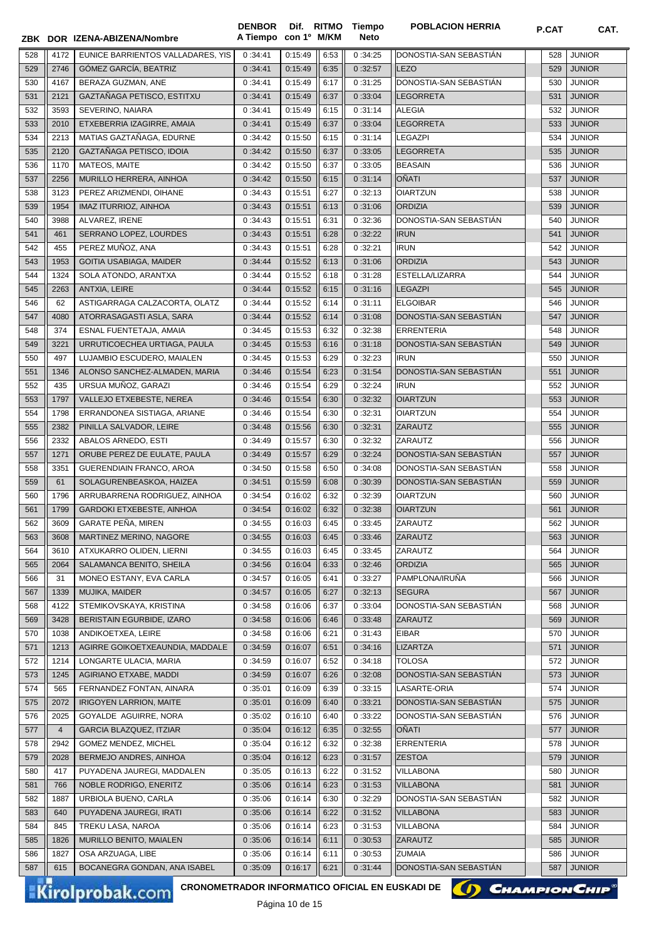**ZBK DOR con 1º M/KM IZENA-ABIZENA/Nombre A Tiempo Neto** 4172 EUNICE BARRIENTOS VALLADARES, YIS 0 :34:41 0:15:49 6:53 0 :34:25 DONOSTIA-SAN SEBASTIÁN 528 JUNIOR 2746 GÓMEZ GARCÍA, BEATRIZ 0 :34:41 0:15:49 6:35 0 :32:57 LEZO 529 JUNIOR 4167 BERAZA GUZMAN, ANE 0 :34:41 0:15:49 6:17 0 :31:25 DONOSTIA-SAN SEBASTIÁN 530 JUNIOR 531 2121 GAZTAÑAGA PETISCO, ESTITXU (0 :34:41 0 :15:49  $\|$  6:37  $\|$  0 :33:04  $\|$ LEGORRETA 531 JUNIOR 532 3593 SEVERINO, NAIARA | 0:34:41 0:15:49 6:15 0 :31:14 ALEGIA 532 JUNIOR 2010 ETXEBERRIA IZAGIRRE, AMAIA 0 :34:41 0:15:49 6:37 0 :33:04 LEGORRETA 533 JUNIOR 534 || 2213 || MATIAS GAZTAÑAGA. EDURNE || 0 :34:42 || 0:15:50 || 6:15 || 0 :31:14 || LEGAZPI || 534 || UNIOR 2120 GAZTAÑAGA PETISCO, IDOIA 0 :34:42 0:15:50 6:37 0 :33:05 LEGORRETA 535 JUNIOR 1170 MATEOS, MAITE 0 :34:42 0:15:50 6:37 0 :33:05 BEASAIN 536 JUNIOR 2256 MURILLO HERRERA, AINHOA 0 :34:42 0:15:50 6:15 0 :31:14 OÑATI 537 JUNIOR 538 3123 PEREZ ARIZMENDI, OIHANE 0:34:43 0:15:51 0:27 0 :32:13 OIARTZUN 538 JUNIOR 1954 IMAZ ITURRIOZ, AINHOA 0 :34:43 0:15:51 6:13 0 :31:06 ORDIZIA 539 JUNIOR 3988 ALVAREZ, IRENE 0 :34:43 0:15:51 6:31 0 :32:36 DONOSTIA-SAN SEBASTIÁN 540 JUNIOR 541 461 SERRANO LOPEZ, LOURDES 0 :34:43 0:15:51 6:28 0 :32:22 |RUN 541 | 541 | JUNIOR 455 PEREZ MUÑOZ, ANA 0 :34:43 0:15:51 6:28 0 :32:21 IRUN 542 JUNIOR 1953 GOITIA USABIAGA, MAIDER 0 :34:44 0:15:52 6:13 0 :31:06 ORDIZIA 543 JUNIOR 1324 SOLA ATONDO, ARANTXA 0 :34:44 0:15:52 6:18 0 :31:28 ESTELLA/LIZARRA 544 JUNIOR 545 || 2263 || ANTXIA, LEIRE | 0 :34:44 | 0:15:52 || 6:15 || 0 :31:16 ||LEGAZPI | | 545 | JUNIOR 62 ASTIGARRAGA CALZACORTA, OLATZ 0 :34:44 0:15:52 6:14 0 :31:11 ELGOIBAR 546 JUNIOR 4080 ATORRASAGASTI ASLA, SARA 0 :34:44 0:15:52 6:14 0 :31:08 DONOSTIA-SAN SEBASTIÁN 547 JUNIOR 548 || 374 || ESNAL FUENTETAJA, AMAIA || 0 :34:45 || 0:15:53 || 6:32 || 0 :32:38 || ERRENTERIA || 548 || JUNIOR 549 | 3221 | URRUTICOECHEA URTIAGA, PAULA | 0 :34:45 | 0:15:53 || 6:16 || 0 :31:18 | DONOSTIA-SAN SEBASTIÁN | | 549 | JUNIOR 497 LUJAMBIO ESCUDERO, MAIALEN 0 :34:45 0:15:53 6:29 0 :32:23 IRUN 550 JUNIOR 551 | 1346 | ALONSO SANCHEZ-ALMADEN, MARIA | 0 :34:46 | 0:15:54 || 6:23 || 0 :31:54 | DONOSTIA-SAN SEBASTIÁN | | 551 | JUNIOR 435 URSUA MUÑOZ, GARAZI 0 :34:46 0:15:54 6:29 0 :32:24 IRUN 552 JUNIOR 1797 VALLEJO ETXEBESTE, NEREA 0 :34:46 0:15:54 6:30 0 :32:32 OIARTZUN 553 JUNIOR 1798 ERRANDONEA SISTIAGA, ARIANE 0 :34:46 0:15:54 6:30 0 :32:31 OIARTZUN 554 JUNIOR 2382 PINILLA SALVADOR, LEIRE 0 :34:48 0:15:56 6:30 0 :32:31 ZARAUTZ 555 JUNIOR 2332 ABALOS ARNEDO, ESTI 0 :34:49 0:15:57 6:30 0 :32:32 ZARAUTZ 556 JUNIOR 1271 ORUBE PEREZ DE EULATE, PAULA 0 :34:49 0:15:57 6:29 0 :32:24 DONOSTIA-SAN SEBASTIÁN 557 JUNIOR 558 3351 GUERENDIAIN FRANCO, AROA (0.34:50 0:15:58  $\parallel$  6:50 0:34:08 DONOSTIA-SAN SEBASTIÁN 558 JUNIOR 559 | 61 | SOLAGURENBEASKOA, HAIZEA | 0 :34:51 | 0:15:59 | 6:08 || 0 :30:39 | DONOSTIA-SAN SEBASTIÁN | | 559 | JUNIOR 1796 ARRUBARRENA RODRIGUEZ, AINHOA 0 :34:54 0:16:02 6:32 0 :32:39 OIARTZUN 560 JUNIOR 561 | 1799 | GARDOKI ETXEBESTE, AINHOA | 0 :34:54 | 0:16:02 || 6:32 || 0 :32:38 | OIARTZUN | 561 | JUNIOR 3609 GARATE PEÑA, MIREN 0 :34:55 0:16:03 6:45 0 :33:45 ZARAUTZ 562 JUNIOR 563 3608 MARTINEZ MERINO, NAGORE 234:55 0:16:03 6:45 0:16:03 0 :33:46 2ARAUTZ 563 JUNIOR  $\parallel$  3610  $\parallel$  ATXUKARRO OLIDEN, LIERNI  $\parallel$  0 :34:55  $\parallel$  0:16:03  $\parallel$  6:45  $\parallel$  0 :33:45  $\parallel$  2ARAUTZ  $\parallel$  564  $\parallel$  564  $\parallel$  JUNIOR 2064 SALAMANCA BENITO, SHEILA 0 :34:56 0:16:04 6:33 0 :32:46 ORDIZIA 565 JUNIOR 31 MONEO ESTANY, EVA CARLA 0 :34:57 0:16:05 6:41 0 :33:27 PAMPLONA/IRUÑA 566 JUNIOR 1339 MUJIKA, MAIDER 0 :34:57 0:16:05 6:27 0 :32:13 SEGURA 567 JUNIOR 4122 STEMIKOVSKAYA, KRISTINA 0 :34:58 0:16:06 6:37 0 :33:04 DONOSTIA-SAN SEBASTIÁN 568 JUNIOR 3428 BERISTAIN EGURBIDE, IZARO 0 :34:58 0:16:06 6:46 0 :33:48 ZARAUTZ 569 JUNIOR 570 || 1038 || ANDIKOETXEA, LEIRE || 0 :34:58 || 0 :34:58 || 0 :16:06 || 6:21 || 0 :31:43 || EIBAR || 570 || UNIOR 571 || 1213 || AGIRRE GOIKOETXEAUNDIA, MADDALE || 0:34:59 || 0:16:07 || 6:51 || 0:34:16 || LIZARTZA 571 || 571 || JUNIOR 572 | 1214 | LONGARTE ULACIA, MARIA | 0 :34:59 | 0:16:07 || 6:52 || 0 :34:18 | | TOLOSA | | | | | | | | | | | 572 | JUNIOR 1245 AGIRIANO ETXABE, MADDI 0 :34:59 0:16:07 6:26 0 :32:08 DONOSTIA-SAN SEBASTIÁN 573 JUNIOR 565 FERNANDEZ FONTAN, AINARA 0 :35:01 0:16:09 6:39 0 :33:15 LASARTE-ORIA 574 JUNIOR 2072 IRIGOYEN LARRION, MAITE 0 :35:01 0:16:09 6:40 0 :33:21 DONOSTIA-SAN SEBASTIÁN 575 JUNIOR 2025 GOYALDE AGUIRRE, NORA 0 :35:02 0:16:10 6:40 0 :33:22 DONOSTIA-SAN SEBASTIÁN 576 JUNIOR 577 4 GARCIA BLAZQUEZ, ITZIAR 0:35:04 0:16:12 6:35 0:32:55 OÑATI 577 JUNIOR 578 2942 GOMEZ MENDEZ, MICHEL 0:35:04 0:16:12 6:32 0 :32:38 ERRENTERIA 578 JUNIOR 579 2028 BERMEJO ANDRES, AINHOA 0:35:04 0:16:12 6:23 0 :31:57 ZESTOA 579 3UNIOR 417 PUYADENA JAUREGI, MADDALEN 0 :35:05 0:16:13 6:22 0 :31:52 VILLABONA 580 JUNIOR 766 NOBLE RODRIGO, ENERITZ 0 :35:06 0:16:14 6:23 0 :31:53 VILLABONA 581 JUNIOR 1887 URBIOLA BUENO, CARLA 0 :35:06 0:16:14 6:30 0 :32:29 DONOSTIA-SAN SEBASTIÁN 582 JUNIOR 640 PUYADENA JAUREGI, IRATI 0 :35:06 0:16:14 6:22 0 :31:52 VILLABONA 583 JUNIOR 845 TREKU LASA, NAROA 0 :35:06 0:16:14 6:23 0 :31:53 VILLABONA 584 JUNIOR 1826 MURILLO BENITO, MAIALEN 0 :35:06 0:16:14 6:11 0 :30:53 ZARAUTZ 585 JUNIOR 586 | 1827 | OSA ARZUAGA, LIBE | 0 :35:06 | 0:16:14 || 6:11 || 0 :30:53 | |ZUMAIA | 586 | JUNIOR 587 615 BOCANEGRA GONDAN, ANA ISABEL (0:35:09 0:16:17 6:21 0:31:44 DONOSTIA-SAN SEBASTIÁN (587 JUNIOR

**Dif.** 

**Tiempo** 

**DENBOR**

Kirolprobak.com

**CRONOMETRADOR INFORMATICO OFICIAL EN EUSKADI DE**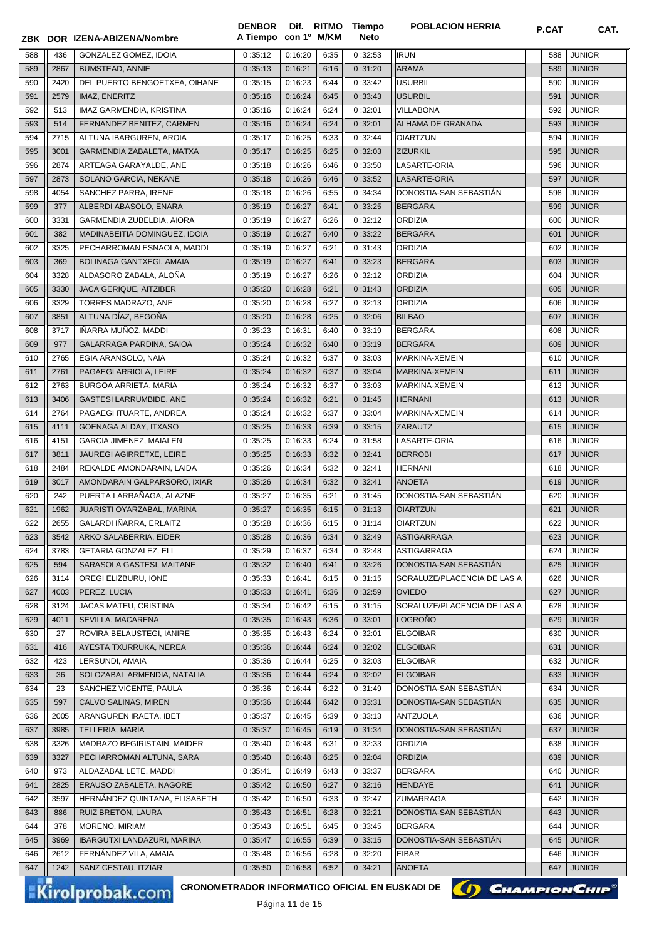|            |             | ZBK DOR IZENA-ABIZENA/Nombre                    | <b>DENBOR</b><br>A Tiempo con 1º M/KM |                    |              | Dif. RITMO Tiempo<br><b>Neto</b> | <b>POBLACION HERRIA</b>                   | P.CAT      | CAT.                           |
|------------|-------------|-------------------------------------------------|---------------------------------------|--------------------|--------------|----------------------------------|-------------------------------------------|------------|--------------------------------|
| 588        | 436         | GONZALEZ GOMEZ, IDOIA                           | 0:35:12                               | 0:16:20            | 6:35         | 0:32:53                          | <b>IRUN</b>                               | 588        | <b>JUNIOR</b>                  |
| 589        | 2867        | <b>BUMSTEAD, ANNIE</b>                          | 0:35:13                               | 0:16:21            | 6:16         | 0:31:20                          | <b>ARAMA</b>                              | 589        | <b>JUNIOR</b>                  |
| 590        | 2420        | DEL PUERTO BENGOETXEA, OIHANE                   | 0:35:15                               | 0:16:23            | 6:44         | 0:33:42                          | <b>USURBIL</b>                            | 590        | <b>JUNIOR</b>                  |
| 591        | 2579        | IMAZ, ENERITZ                                   | 0:35:16                               | 0:16:24            | 6:45         | 0:33:43                          | <b>USURBIL</b>                            | 591        | <b>JUNIOR</b>                  |
| 592        | 513         | IMAZ GARMENDIA, KRISTINA                        | 0:35:16                               | 0:16:24            | 6:24         | 0:32:01                          | <b>VILLABONA</b>                          | 592        | <b>JUNIOR</b>                  |
| 593        | 514         | FERNANDEZ BENITEZ, CARMEN                       | 0:35:16                               | 0:16:24            | 6:24         | 0:32:01                          | ALHAMA DE GRANADA                         | 593        | <b>JUNIOR</b>                  |
| 594        | 2715        | ALTUNA IBARGUREN, AROIA                         | 0:35:17                               | 0:16:25            | 6:33         | 0:32:44                          | <b>OIARTZUN</b>                           | 594        | <b>JUNIOR</b>                  |
| 595        | 3001        | GARMENDIA ZABALETA, MATXA                       | 0:35:17                               | 0:16:25            | 6:25         | 0:32:03                          | <b>ZIZURKIL</b>                           | 595        | <b>JUNIOR</b>                  |
| 596        | 2874        | ARTEAGA GARAYALDE, ANE                          | 0:35:18                               | 0:16:26            | 6:46         | 0:33:50                          | LASARTE-ORIA                              | 596        | <b>JUNIOR</b>                  |
| 597        | 2873        | SOLANO GARCIA, NEKANE                           | 0:35:18                               | 0:16:26            | 6:46         | 0:33:52                          | LASARTE-ORIA                              | 597        | <b>JUNIOR</b>                  |
| 598        | 4054        | SANCHEZ PARRA, IRENE                            | 0:35:18                               | 0:16:26            | 6:55         | 0:34:34                          | DONOSTIA-SAN SEBASTIAN                    | 598        | <b>JUNIOR</b>                  |
| 599        | 377         | ALBERDI ABASOLO, ENARA                          | 0:35:19                               | 0:16:27            | 6:41         | 0:33:25                          | <b>BERGARA</b>                            | 599        | <b>JUNIOR</b>                  |
| 600        | 3331        | GARMENDIA ZUBELDIA, AIORA                       | 0:35:19                               | 0:16:27            | 6:26         | 0:32:12                          | <b>ORDIZIA</b>                            | 600        | <b>JUNIOR</b>                  |
| 601        | 382         | MADINABEITIA DOMINGUEZ, IDOIA                   | 0:35:19                               | 0:16:27            | 6:40         | 0:33:22                          | <b>BERGARA</b>                            | 601        | <b>JUNIOR</b>                  |
| 602        | 3325        | PECHARROMAN ESNAOLA, MADDI                      | 0:35:19                               | 0:16:27            | 6:21         | 0:31:43                          | <b>ORDIZIA</b>                            | 602        | <b>JUNIOR</b>                  |
| 603        | 369         | <b>BOLINAGA GANTXEGI, AMAIA</b>                 | 0:35:19                               | 0:16:27            | 6:41         | 0:33:23                          | <b>BERGARA</b>                            | 603        | <b>JUNIOR</b>                  |
| 604        | 3328        | ALDASORO ZABALA, ALONA                          | 0:35:19                               | 0:16:27            | 6:26         | 0:32:12                          | <b>ORDIZIA</b>                            | 604        | <b>JUNIOR</b>                  |
| 605        | 3330        | JACA GERIQUE, AITZIBER                          | 0:35:20                               | 0:16:28            | 6:21         | 0:31:43                          | <b>ORDIZIA</b>                            | 605        | <b>JUNIOR</b>                  |
| 606        | 3329        | TORRES MADRAZO, ANE                             | 0:35:20                               | 0:16:28            | 6:27         | 0:32:13                          | <b>ORDIZIA</b>                            | 606        | <b>JUNIOR</b>                  |
| 607        | 3851        | ALTUNA DÍAZ, BEGOÑA                             | 0:35:20                               | 0:16:28            | 6:25         | 0:32:06                          | <b>BILBAO</b>                             | 607        | <b>JUNIOR</b>                  |
| 608<br>609 | 3717<br>977 | IÑARRA MUÑOZ, MADDI                             | 0:35:23                               | 0:16:31            | 6:40<br>6:40 | 0:33:19                          | <b>BERGARA</b><br><b>BERGARA</b>          | 608<br>609 | <b>JUNIOR</b><br><b>JUNIOR</b> |
| 610        | 2765        | GALARRAGA PARDINA, SAIOA<br>EGIA ARANSOLO, NAIA | 0:35:24<br>0:35:24                    | 0:16:32<br>0:16:32 | 6:37         | 0:33:19<br>0:33:03               | MARKINA-XEMEIN                            | 610        | <b>JUNIOR</b>                  |
| 611        | 2761        | PAGAEGI ARRIOLA, LEIRE                          | 0:35:24                               | 0:16:32            | 6:37         | 0:33:04                          | MARKINA-XEMEIN                            | 611        | <b>JUNIOR</b>                  |
| 612        | 2763        | <b>BURGOA ARRIETA, MARIA</b>                    | 0:35:24                               | 0:16:32            | 6:37         | 0:33:03                          | MARKINA-XEMEIN                            | 612        | <b>JUNIOR</b>                  |
| 613        | 3406        | <b>GASTESI LARRUMBIDE, ANE</b>                  | 0:35:24                               | 0:16:32            | 6:21         | 0:31:45                          | <b>HERNANI</b>                            | 613        | <b>JUNIOR</b>                  |
| 614        | 2764        | PAGAEGI ITUARTE, ANDREA                         | 0:35:24                               | 0:16:32            | 6:37         | 0:33:04                          | MARKINA-XEMEIN                            | 614        | <b>JUNIOR</b>                  |
| 615        | 4111        | GOENAGA ALDAY, ITXASO                           | 0:35:25                               | 0:16:33            | 6:39         | 0:33:15                          | ZARAUTZ                                   | 615        | <b>JUNIOR</b>                  |
| 616        | 4151        | GARCIA JIMENEZ, MAIALEN                         | 0:35:25                               | 0:16:33            | 6:24         | 0:31:58                          | LASARTE-ORIA                              | 616        | <b>JUNIOR</b>                  |
| 617        | 3811        | JAUREGI AGIRRETXE, LEIRE                        | 0:35:25                               | 0:16:33            | 6:32         | 0:32:41                          | <b>BERROBI</b>                            | 617        | <b>JUNIOR</b>                  |
| 618        | 2484        | REKALDE AMONDARAIN, LAIDA                       | 0:35:26                               | 0:16:34            | 6:32         | 0:32:41                          | <b>HERNANI</b>                            | 618        | <b>JUNIOR</b>                  |
| 619        | 3017        | AMONDARAIN GALPARSORO, IXIAR                    | 0:35:26                               | 0:16:34            | 6:32         | 0:32:41                          | <b>ANOETA</b>                             | 619        | <b>JUNIOR</b>                  |
| 620        | 242         | PUERTA LARRAÑAGA, ALAZNE                        | 0:35:27                               | 0:16:35            | 6:21         | 0:31:45                          | DONOSTIA-SAN SEBASTIÁN                    | 620        | <b>JUNIOR</b>                  |
| 621        | 1962        | JUARISTI OYARZABAL, MARINA                      | 0:35:27                               | 0:16:35            | 6:15         | 0:31:13                          | <b>OIARTZUN</b>                           | 621        | <b>JUNIOR</b>                  |
| 622        |             | 2655 GALARDI IÑARRA, ERLAITZ                    | 0:35:28                               | 0:16:36            | 6:15         | 0:31:14                          | <b>OIARTZUN</b>                           |            | 622 JUNIOR                     |
| 623        | 3542        | ARKO SALABERRIA, EIDER                          | 0:35:28                               | 0:16:36            | 6:34         | 0:32:49                          | <b>ASTIGARRAGA</b>                        | 623        | <b>JUNIOR</b>                  |
| 624        | 3783        | GETARIA GONZALEZ, ELI                           | 0:35:29                               | 0:16:37            | 6:34         | 0:32:48                          | ASTIGARRAGA                               | 624        | <b>JUNIOR</b>                  |
| 625        | 594         | SARASOLA GASTESI, MAITANE                       | 0:35:32                               | 0:16:40            | 6:41         | 0:33:26                          | DONOSTIA-SAN SEBASTIAN                    | 625        | <b>JUNIOR</b>                  |
| 626        | 3114        | OREGI ELIZBURU, IONE                            | 0:35:33                               | 0:16:41            | 6:15         | 0:31:15                          | SORALUZE/PLACENCIA DE LAS A               | 626        | <b>JUNIOR</b>                  |
| 627        | 4003        | PEREZ, LUCIA                                    | 0:35:33                               | 0:16:41            | 6:36         | 0:32:59                          | <b>OVIEDO</b>                             | 627        | <b>JUNIOR</b>                  |
| 628        | 3124        | JACAS MATEU, CRISTINA                           | 0:35:34                               | 0:16:42            | 6:15         | 0:31:15                          | SORALUZE/PLACENCIA DE LAS A               | 628        | <b>JUNIOR</b>                  |
| 629        | 4011        | SEVILLA, MACARENA                               | 0:35:35                               | 0:16:43            | 6:36         | 0:33:01                          | LOGROÑO                                   | 629        | <b>JUNIOR</b>                  |
| 630        | 27          | ROVIRA BELAUSTEGI, IANIRE                       | 0:35:35                               | 0:16:43            | 6:24         | 0:32:01                          | <b>ELGOIBAR</b>                           | 630        | JUNIOR                         |
| 631        | 416         | AYESTA TXURRUKA, NEREA                          | 0:35:36                               | 0:16:44            | 6:24         | 0:32:02                          | <b>ELGOIBAR</b>                           | 631        | <b>JUNIOR</b>                  |
| 632        | 423         | LERSUNDI, AMAIA                                 | 0:35:36                               | 0:16:44            | 6:25         | 0:32:03                          | <b>ELGOIBAR</b>                           | 632        | <b>JUNIOR</b>                  |
| 633        | 36          | SOLOZABAL ARMENDIA, NATALIA                     | 0:35:36                               | 0:16:44            | 6:24         | 0:32:02                          | <b>ELGOIBAR</b>                           | 633        | <b>JUNIOR</b>                  |
| 634        | 23          | SANCHEZ VICENTE, PAULA                          | 0:35:36                               | 0:16:44            | 6:22         | 0:31:49                          | DONOSTIA-SAN SEBASTIAN                    | 634        | <b>JUNIOR</b>                  |
| 635        | 597<br>2005 | CALVO SALINAS, MIREN<br>ARANGUREN IRAETA, IBET  | 0:35:36                               | 0:16:44<br>0:16:45 | 6:42<br>6:39 | 0:33:31<br>0:33:13               | DONOSTIA-SAN SEBASTIAN<br><b>ANTZUOLA</b> | 635        | <b>JUNIOR</b><br><b>JUNIOR</b> |
| 636<br>637 | 3985        | TELLERIA, MARÍA                                 | 0:35:37<br>0:35:37                    | 0:16:45            | 6:19         | 0:31:34                          | DONOSTIA-SAN SEBASTIÁN                    | 636<br>637 | <b>JUNIOR</b>                  |
| 638        | 3326        | MADRAZO BEGIRISTAIN, MAIDER                     | 0:35:40                               | 0:16:48            | 6:31         | 0:32:33                          | <b>ORDIZIA</b>                            | 638        | <b>JUNIOR</b>                  |
| 639        | 3327        | PECHARROMAN ALTUNA, SARA                        | 0:35:40                               | 0:16:48            | 6:25         | 0:32:04                          | <b>ORDIZIA</b>                            | 639        | <b>JUNIOR</b>                  |
| 640        | 973         | ALDAZABAL LETE, MADDI                           | 0:35:41                               | 0:16:49            | 6:43         | 0:33:37                          | <b>BERGARA</b>                            | 640        | <b>JUNIOR</b>                  |
| 641        | 2825        | ERAUSO ZABALETA, NAGORE                         | 0:35:42                               | 0:16:50            | 6:27         | 0:32:16                          | <b>HENDAYE</b>                            | 641        | <b>JUNIOR</b>                  |
| 642        | 3597        | HERNANDEZ QUINTANA, ELISABETH                   | 0:35:42                               | 0:16:50            | 6:33         | 0:32:47                          | ZUMARRAGA                                 | 642        | <b>JUNIOR</b>                  |
| 643        | 886         | RUIZ BRETON, LAURA                              | 0:35:43                               | 0:16:51            | 6:28         | 0:32:21                          | DONOSTIA-SAN SEBASTIAN                    | 643        | <b>JUNIOR</b>                  |
| 644        | 378         | MORENO, MIRIAM                                  | 0:35:43                               | 0:16:51            | 6:45         | 0:33:45                          | <b>BERGARA</b>                            | 644        | <b>JUNIOR</b>                  |
| 645        | 3969        | IBARGUTXI LANDAZURI, MARINA                     | 0:35:47                               | 0:16:55            | 6:39         | 0:33:15                          | DONOSTIA-SAN SEBASTIAN                    | 645        | <b>JUNIOR</b>                  |
| 646        | 2612        | FERNANDEZ VILA, AMAIA                           | 0:35:48                               | 0:16:56            | 6:28         | 0:32:20                          | <b>EIBAR</b>                              | 646        | <b>JUNIOR</b>                  |
| 647        | 1242        | SANZ CESTAU, ITZIAR                             | 0:35:50                               | 0:16:58            | 6:52         | 0:34:21                          | ANOETA                                    | 647        | <b>JUNIOR</b>                  |
|            |             | CRONOMETRADOR INFORMATICO OFICIAL EN EUSKADI DE |                                       |                    |              |                                  |                                           |            |                                |
|            |             | <b>Kirolprobak.com</b>                          |                                       | $D1$ ainn 11 do 15 |              |                                  | () CHAMPION CHIP                          |            |                                |

Página 11 de 15

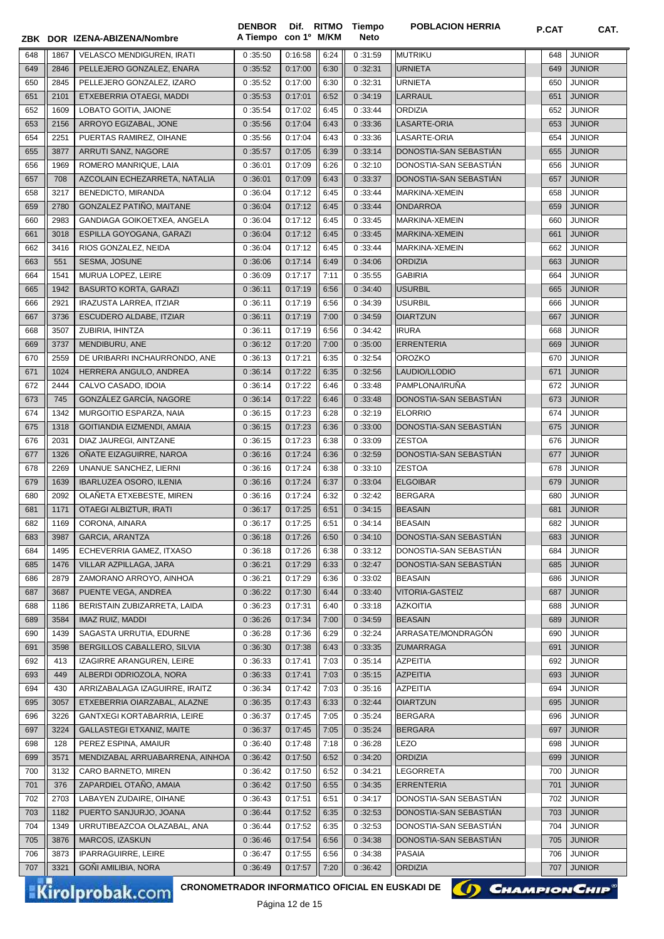|     |      | ZBK DOR IZENA-ABIZENA/Nombre    | A Tiempo con 1º M/KM |         |      | Neto    |                        | <b>P.VAI</b> | UAI.          |
|-----|------|---------------------------------|----------------------|---------|------|---------|------------------------|--------------|---------------|
| 648 | 1867 | VELASCO MENDIGUREN, IRATI       | 0:35:50              | 0:16:58 | 6:24 | 0:31:59 | <b>MUTRIKU</b>         | 648          | <b>JUNIOR</b> |
| 649 | 2846 | PELLEJERO GONZALEZ, ENARA       | 0:35:52              | 0:17:00 | 6:30 | 0:32:31 | <b>URNIETA</b>         | 649          | <b>JUNIOR</b> |
| 650 | 2845 | PELLEJERO GONZALEZ, IZARO       | 0:35:52              | 0:17:00 | 6:30 | 0:32:31 | <b>URNIETA</b>         | 650          | <b>JUNIOR</b> |
| 651 | 2101 | ETXEBERRIA OTAEGI, MADDI        | 0:35:53              | 0:17:01 | 6:52 | 0:34:19 | LARRAUL                | 651          | <b>JUNIOR</b> |
| 652 | 1609 | LOBATO GOITIA, JAIONE           | 0:35:54              | 0:17:02 | 6:45 | 0:33:44 | ORDIZIA                | 652          | <b>JUNIOR</b> |
| 653 | 2156 | ARROYO EGIZABAL, JONE           | 0:35:56              | 0:17:04 | 6:43 | 0:33:36 | LASARTE-ORIA           | 653          | <b>JUNIOR</b> |
| 654 | 2251 | PUERTAS RAMIREZ, OIHANE         | 0:35:56              | 0:17:04 | 6:43 | 0:33:36 | LASARTE-ORIA           | 654          | <b>JUNIOR</b> |
| 655 | 3877 | ARRUTI SANZ, NAGORE             | 0:35:57              | 0:17:05 | 6:39 | 0:33:14 | DONOSTIA-SAN SEBASTIAN | 655          | <b>JUNIOR</b> |
| 656 | 1969 | ROMERO MANRIQUE, LAIA           | 0:36:01              | 0:17:09 | 6:26 | 0:32:10 | DONOSTIA-SAN SEBASTIAN | 656          | <b>JUNIOR</b> |
| 657 | 708  | AZCOLAIN ECHEZARRETA, NATALIA   | 0:36:01              | 0:17:09 | 6:43 | 0:33:37 | DONOSTIA-SAN SEBASTIAN | 657          | <b>JUNIOR</b> |
| 658 | 3217 | BENEDICTO, MIRANDA              | 0:36:04              | 0:17:12 | 6:45 | 0:33:44 | MARKINA-XEMEIN         | 658          | <b>JUNIOR</b> |
| 659 | 2780 | GONZALEZ PATIÑO, MAITANE        | 0:36:04              | 0:17:12 | 6:45 | 0:33:44 | <b>ONDARROA</b>        | 659          | <b>JUNIOR</b> |
| 660 | 2983 | GANDIAGA GOIKOETXEA, ANGELA     | 0:36:04              | 0:17:12 | 6:45 | 0:33:45 | MARKINA-XEMEIN         | 660          | <b>JUNIOR</b> |
| 661 | 3018 | ESPILLA GOYOGANA, GARAZI        | 0:36:04              | 0:17:12 | 6:45 | 0:33:45 | MARKINA-XEMEIN         | 661          | <b>JUNIOR</b> |
| 662 | 3416 | RIOS GONZALEZ, NEIDA            | 0:36:04              | 0:17:12 | 6:45 | 0:33:44 | MARKINA-XEMEIN         | 662          | <b>JUNIOR</b> |
| 663 | 551  | SESMA, JOSUNE                   | 0:36:06              | 0:17:14 | 6:49 | 0:34:06 | <b>ORDIZIA</b>         | 663          | <b>JUNIOR</b> |
| 664 | 1541 | MURUA LOPEZ, LEIRE              | 0:36:09              | 0:17:17 | 7:11 | 0:35:55 | <b>GABIRIA</b>         | 664          | <b>JUNIOR</b> |
| 665 | 1942 | <b>BASURTO KORTA, GARAZI</b>    | 0:36:11              | 0:17:19 | 6:56 | 0:34:40 | <b>USURBIL</b>         | 665          | <b>JUNIOR</b> |
| 666 | 2921 | <b>IRAZUSTA LARREA, ITZIAR</b>  | 0:36:11              | 0:17:19 | 6:56 | 0:34:39 | <b>USURBIL</b>         | 666          | <b>JUNIOR</b> |
| 667 | 3736 | ESCUDERO ALDABE, ITZIAR         | 0:36:11              | 0:17:19 | 7:00 | 0:34:59 | <b>OIARTZUN</b>        | 667          | <b>JUNIOR</b> |
| 668 | 3507 | ZUBIRIA, IHINTZA                | 0:36:11              | 0:17:19 | 6:56 | 0:34:42 | <b>IRURA</b>           | 668          | <b>JUNIOR</b> |
| 669 | 3737 | MENDIBURU, ANE                  | 0:36:12              | 0:17:20 | 7:00 | 0:35:00 | <b>ERRENTERIA</b>      | 669          | <b>JUNIOR</b> |
| 670 | 2559 | DE URIBARRI INCHAURRONDO, ANE   | 0:36:13              | 0:17:21 | 6:35 | 0:32:54 | <b>OROZKO</b>          | 670          | <b>JUNIOR</b> |
| 671 | 1024 | HERRERA ANGULO, ANDREA          | 0:36:14              | 0:17:22 | 6:35 | 0:32:56 | LAUDIO/LLODIO          | 671          | <b>JUNIOR</b> |
| 672 | 2444 | CALVO CASADO, IDOIA             | 0:36:14              | 0:17:22 | 6:46 | 0:33:48 | PAMPLONA/IRUNA         | 672          | <b>JUNIOR</b> |
| 673 | 745  | GONZÁLEZ GARCÍA, NAGORE         | 0:36:14              | 0:17:22 | 6:46 | 0:33:48 | DONOSTIA-SAN SEBASTIAN | 673          | <b>JUNIOR</b> |
| 674 | 1342 | MURGOITIO ESPARZA, NAIA         | 0:36:15              | 0:17:23 | 6:28 | 0:32:19 | <b>ELORRIO</b>         | 674          | <b>JUNIOR</b> |
| 675 | 1318 | GOITIANDIA EIZMENDI, AMAIA      | 0:36:15              | 0:17:23 | 6:36 | 0:33:00 | DONOSTIA-SAN SEBASTIAN | 675          | <b>JUNIOR</b> |
| 676 | 2031 | DIAZ JAUREGI, AINTZANE          | 0:36:15              | 0:17:23 | 6:38 | 0:33:09 | <b>ZESTOA</b>          | 676          | <b>JUNIOR</b> |
| 677 | 1326 | ONATE EIZAGUIRRE, NAROA         | 0:36:16              | 0:17:24 | 6:36 | 0:32:59 | DONOSTIA-SAN SEBASTIAN | 677          | <b>JUNIOR</b> |
| 678 | 2269 | UNANUE SANCHEZ, LIERNI          | 0:36:16              | 0:17:24 | 6:38 | 0:33:10 | <b>ZESTOA</b>          | 678          | <b>JUNIOR</b> |
| 679 | 1639 | <b>IBARLUZEA OSORO, ILENIA</b>  | 0:36:16              | 0:17:24 | 6:37 | 0:33:04 | <b>ELGOIBAR</b>        | 679          | <b>JUNIOR</b> |
| 680 | 2092 | OLAÑETA ETXEBESTE, MIREN        | 0:36:16              | 0:17:24 | 6:32 | 0:32:42 | <b>BERGARA</b>         | 680          | <b>JUNIOR</b> |
| 681 | 1171 | OTAEGI ALBIZTUR, IRATI          | 0:36:17              | 0:17:25 | 6:51 | 0:34:15 | <b>BEASAIN</b>         | 681          | <b>JUNIOR</b> |
| 682 | 1169 | CORONA, AINARA                  | 0:36:17              | 0:17:25 | 6:51 | 0:34:14 | <b>BEASAIN</b>         | 682          | <b>JUNIOR</b> |
| 683 | 3987 | <b>GARCIA, ARANTZA</b>          | 0:36:18              | 0:17:26 | 6:50 | 0:34:10 | DONOSTIA-SAN SEBASTIÁN | 683          | <b>JUNIOR</b> |
| 684 | 1495 | ECHEVERRIA GAMEZ, ITXASO        | 0:36:18              | 0:17:26 | 6:38 | 0:33:12 | DONOSTIA-SAN SEBASTIAN | 684          | <b>JUNIOR</b> |
| 685 | 1476 | VILLAR AZPILLAGA, JARA          | 0:36:21              | 0:17:29 | 6:33 | 0:32:47 | DONOSTIA-SAN SEBASTIAN | 685          | <b>JUNIOR</b> |
| 686 | 2879 | ZAMORANO ARROYO, AINHOA         | 0:36:21              | 0:17:29 | 6:36 | 0:33:02 | <b>BEASAIN</b>         | 686          | <b>JUNIOR</b> |
| 687 | 3687 | PUENTE VEGA, ANDREA             | 0:36:22              | 0:17:30 | 6:44 | 0:33:40 | VITORIA-GASTEIZ        | 687          | <b>JUNIOR</b> |
| 688 | 1186 | BERISTAIN ZUBIZARRETA, LAIDA    | 0:36:23              | 0:17:31 | 6:40 | 0:33:18 | <b>AZKOITIA</b>        | 688          | <b>JUNIOR</b> |
| 689 | 3584 | IMAZ RUIZ, MADDI                | 0:36:26              | 0:17:34 | 7:00 | 0:34:59 | <b>BEASAIN</b>         | 689          | <b>JUNIOR</b> |
| 690 | 1439 | SAGASTA URRUTIA, EDURNE         | 0:36:28              | 0:17:36 | 6:29 | 0:32:24 | ARRASATE/MONDRAGÓN     | 690          | JUNIOR        |
| 691 | 3598 | BERGILLOS CABALLERO, SILVIA     | 0:36:30              | 0:17:38 | 6:43 | 0:33:35 | <b>ZUMARRAGA</b>       | 691          | <b>JUNIOR</b> |
| 692 | 413  | IZAGIRRE ARANGUREN, LEIRE       | 0:36:33              | 0:17:41 | 7:03 | 0:35:14 | <b>AZPEITIA</b>        | 692          | <b>JUNIOR</b> |
| 693 | 449  | ALBERDI ODRIOZOLA, NORA         | 0:36:33              | 0:17:41 | 7:03 | 0:35:15 | <b>AZPEITIA</b>        | 693          | <b>JUNIOR</b> |
| 694 | 430  | ARRIZABALAGA IZAGUIRRE, IRAITZ  | 0:36:34              | 0:17:42 | 7:03 | 0:35:16 | <b>AZPEITIA</b>        | 694          | <b>JUNIOR</b> |
| 695 | 3057 | ETXEBERRIA OIARZABAL, ALAZNE    | 0:36:35              | 0:17:43 | 6:33 | 0:32:44 | <b>OIARTZUN</b>        | 695          | <b>JUNIOR</b> |
| 696 | 3226 | GANTXEGI KORTABARRIA, LEIRE     | 0:36:37              | 0:17:45 | 7:05 | 0:35:24 | <b>BERGARA</b>         | 696          | <b>JUNIOR</b> |
| 697 | 3224 | GALLASTEGI ETXANIZ, MAITE       | 0:36:37              | 0:17:45 | 7:05 | 0:35:24 | <b>BERGARA</b>         | 697          | <b>JUNIOR</b> |
| 698 | 128  | PEREZ ESPINA, AMAIUR            | 0:36:40              | 0:17:48 | 7:18 | 0:36:28 | <b>LEZO</b>            | 698          | JUNIOR        |
| 699 | 3571 | MENDIZABAL ARRUABARRENA, AINHOA | 0:36:42              | 0:17:50 | 6:52 | 0:34:20 | <b>ORDIZIA</b>         | 699          | <b>JUNIOR</b> |
| 700 | 3132 | CARO BARNETO, MIREN             | 0:36:42              | 0:17:50 | 6:52 | 0:34:21 | LEGORRETA              | 700          | <b>JUNIOR</b> |
| 701 | 376  | ZAPARDIEL OTAÑO, AMAIA          | 0:36:42              | 0:17:50 | 6:55 | 0:34:35 | <b>ERRENTERIA</b>      | 701          | <b>JUNIOR</b> |
| 702 | 2703 | LABAYEN ZUDAIRE, OIHANE         | 0:36:43              | 0:17:51 | 6:51 | 0:34:17 | DONOSTIA-SAN SEBASTIAN | 702          | <b>JUNIOR</b> |
| 703 | 1182 | PUERTO SANJURJO, JOANA          | 0:36:44              | 0:17:52 | 6:35 | 0:32:53 | DONOSTIA-SAN SEBASTIAN | 703          | <b>JUNIOR</b> |
| 704 | 1349 | URRUTIBEAZCOA OLAZABAL, ANA     | 0:36:44              | 0:17:52 | 6:35 | 0:32:53 | DONOSTIA-SAN SEBASTIAN | 704          | <b>JUNIOR</b> |
| 705 | 3876 | MARCOS, IZASKUN                 | 0:36:46              | 0:17:54 | 6:56 | 0:34:38 | DONOSTIA-SAN SEBASTIAN | 705          | <b>JUNIOR</b> |
| 706 | 3873 | <b>IPARRAGUIRRE, LEIRE</b>      | 0:36:47              | 0:17:55 | 6:56 | 0:34:38 | <b>PASAIA</b>          | 706          | <b>JUNIOR</b> |
| 707 | 3321 | GOÑI AMILIBIA, NORA             | 0:36:49              | 0:17:57 | 7:20 | 0:36:42 | <b>ORDIZIA</b>         | 707          | <b>JUNIOR</b> |
|     |      |                                 |                      |         |      |         |                        |              |               |

**Tiempo** 

**DENBOR**

Kirolprobak.com

CRONOMETRADOR INFORMATICO OFICIAL EN EUSKADI DE **(A) CHAMPION CHIP**<sup>®</sup>

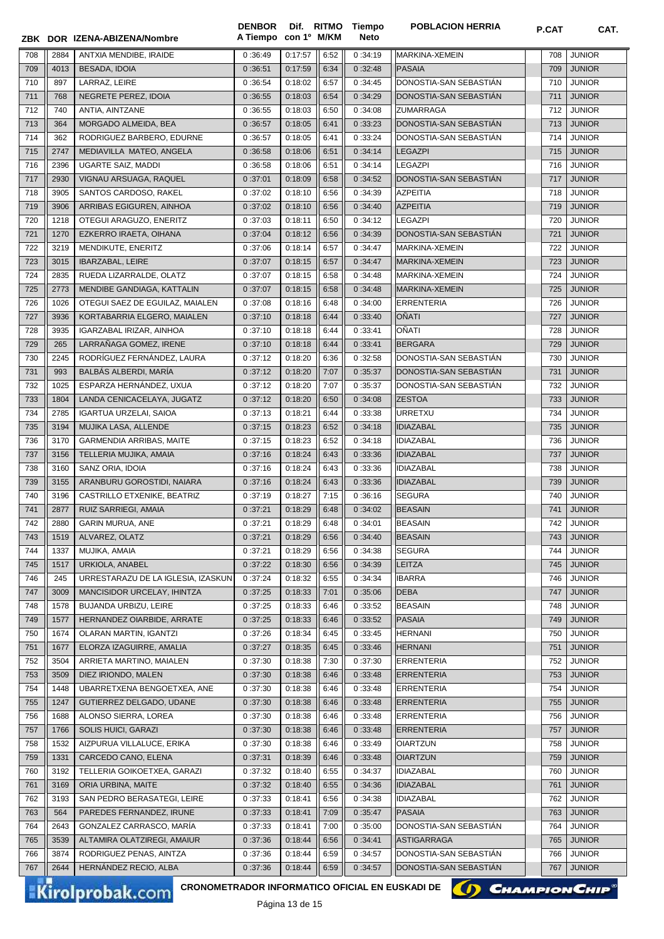|     |      | ZBK DOR IZENA-ABIZENA/Nombre                                              | <b>DENBOR</b><br>A Tiempo con 1º M/KM |                        |      | Dif. RITMO Tiempo<br>Neto | <b>POBLACION HERRIA</b> | <b>P.CAT</b>      | CAT.                  |
|-----|------|---------------------------------------------------------------------------|---------------------------------------|------------------------|------|---------------------------|-------------------------|-------------------|-----------------------|
| 708 | 2884 | ANTXIA MENDIBE, IRAIDE                                                    | 0:36:49                               | 0:17:57                | 6:52 | 0:34:19                   | MARKINA-XEMEIN          | 708               | <b>JUNIOR</b>         |
| 709 | 4013 | <b>BESADA, IDOIA</b>                                                      | 0:36:51                               | 0:17:59                | 6:34 | 0:32:48                   | <b>PASAIA</b>           | 709               | <b>JUNIOR</b>         |
| 710 | 897  | LARRAZ, LEIRE                                                             | 0:36:54                               | 0:18:02                | 6:57 | 0:34:45                   | DONOSTIA-SAN SEBASTIÁN  | 710               | <b>JUNIOR</b>         |
| 711 | 768  | NEGRETE PEREZ, IDOIA                                                      | 0:36:55                               | 0:18:03                | 6:54 | 0:34:29                   | DONOSTIA-SAN SEBASTIAN  | 711               | <b>JUNIOR</b>         |
| 712 | 740  | ANTIA, AINTZANE                                                           | 0:36:55                               | 0:18:03                | 6:50 | 0:34:08                   | <b>ZUMARRAGA</b>        | 712               | <b>JUNIOR</b>         |
| 713 | 364  | MORGADO ALMEIDA, BEA                                                      | 0:36:57                               | 0:18:05                | 6:41 | 0:33:23                   | DONOSTIA-SAN SEBASTIAN  | 713               | <b>JUNIOR</b>         |
| 714 | 362  | RODRIGUEZ BARBERO, EDURNE                                                 | 0:36:57                               | 0:18:05                | 6:41 | 0:33:24                   | DONOSTIA-SAN SEBASTIAN  | 714               | <b>JUNIOR</b>         |
| 715 | 2747 | MEDIAVILLA MATEO, ANGELA                                                  | 0:36:58                               | 0:18:06                | 6:51 | 0:34:14                   | <b>LEGAZPI</b>          | 715               | <b>JUNIOR</b>         |
| 716 | 2396 | <b>UGARTE SAIZ, MADDI</b>                                                 | 0:36:58                               | 0:18:06                | 6:51 | 0:34:14                   | <b>LEGAZPI</b>          | 716               | <b>JUNIOR</b>         |
| 717 | 2930 | VIGNAU ARSUAGA, RAQUEL                                                    | 0:37:01                               | 0:18:09                | 6:58 | 0:34:52                   | DONOSTIA-SAN SEBASTIAN  | 717               | <b>JUNIOR</b>         |
| 718 | 3905 | SANTOS CARDOSO, RAKEL                                                     | 0:37:02                               | 0:18:10                | 6:56 | 0:34:39                   | <b>AZPEITIA</b>         | 718               | <b>JUNIOR</b>         |
| 719 | 3906 | ARRIBAS EGIGUREN, AINHOA                                                  |                                       | 0:18:10                | 6:56 | 0:34:40                   | <b>AZPEITIA</b>         | 719               | <b>JUNIOR</b>         |
| 720 | 1218 |                                                                           | 0:37:02<br>0:37:03                    | 0:18:11                |      |                           | <b>LEGAZPI</b>          |                   | <b>JUNIOR</b>         |
|     |      | OTEGUI ARAGUZO, ENERITZ                                                   |                                       |                        | 6:50 | 0:34:12                   |                         | 720               |                       |
| 721 | 1270 | EZKERRO IRAETA, OIHANA                                                    | 0:37:04                               | 0:18:12                | 6:56 | 0:34:39                   | DONOSTIA-SAN SEBASTIAN  | 721               | <b>JUNIOR</b>         |
| 722 | 3219 | MENDIKUTE, ENERITZ                                                        | 0:37:06                               | 0:18:14                | 6:57 | 0:34:47                   | MARKINA-XEMEIN          | 722               | <b>JUNIOR</b>         |
| 723 | 3015 | IBARZABAL, LEIRE                                                          | 0:37:07                               | 0:18:15                | 6:57 | 0:34:47                   | MARKINA-XEMEIN          | 723               | <b>JUNIOR</b>         |
| 724 | 2835 | RUEDA LIZARRALDE, OLATZ                                                   | 0:37:07                               | 0:18:15                | 6:58 | 0:34:48                   | MARKINA-XEMEIN          | 724               | <b>JUNIOR</b>         |
| 725 | 2773 | MENDIBE GANDIAGA, KATTALIN                                                | 0:37:07                               | 0:18:15                | 6:58 | 0:34:48                   | MARKINA-XEMEIN          | 725               | <b>JUNIOR</b>         |
| 726 | 1026 | OTEGUI SAEZ DE EGUILAZ, MAIALEN                                           | 0:37:08                               | 0:18:16                | 6:48 | 0:34:00                   | <b>ERRENTERIA</b>       | 726               | <b>JUNIOR</b>         |
| 727 | 3936 | KORTABARRIA ELGERO, MAIALEN                                               | 0:37:10                               | 0:18:18                | 6:44 | 0:33:40                   | OÑATI                   | 727               | <b>JUNIOR</b>         |
| 728 | 3935 | IGARZABAL IRIZAR, AINHOA                                                  | 0:37:10                               | 0:18:18                | 6:44 | 0:33:41                   | OÑATI                   | 728               | <b>JUNIOR</b>         |
| 729 | 265  | LARRAÑAGA GOMEZ, IRENE                                                    | 0:37:10                               | 0:18:18                | 6:44 | 0:33:41                   | <b>BERGARA</b>          | 729               | <b>JUNIOR</b>         |
| 730 | 2245 | RODRÍGUEZ FERNÁNDEZ, LAURA                                                | 0:37:12                               | 0:18:20                | 6:36 | 0:32:58                   | DONOSTIA-SAN SEBASTIAN  | 730               | <b>JUNIOR</b>         |
| 731 | 993  | BALBÁS ALBERDI, MARÍA                                                     | 0:37:12                               | 0:18:20                | 7:07 | 0:35:37                   | DONOSTIA-SAN SEBASTIAN  | 731               | <b>JUNIOR</b>         |
| 732 | 1025 | ESPARZA HERNÁNDEZ, UXUA                                                   | 0:37:12                               | 0:18:20                | 7:07 | 0:35:37                   | DONOSTIA-SAN SEBASTIAN  | 732               | <b>JUNIOR</b>         |
| 733 | 1804 | LANDA CENICACELAYA, JUGATZ                                                | 0:37:12                               | 0:18:20                | 6:50 | 0:34:08                   | <b>ZESTOA</b>           | 733               | <b>JUNIOR</b>         |
| 734 | 2785 | <b>IGARTUA URZELAI, SAIOA</b>                                             | 0:37:13                               | 0:18:21                | 6:44 | 0:33:38                   | URRETXU                 | 734               | <b>JUNIOR</b>         |
| 735 | 3194 | MUJIKA LASA, ALLENDE                                                      | 0:37:15                               | 0:18:23                | 6:52 | 0:34:18                   | <b>IDIAZABAL</b>        | 735               | <b>JUNIOR</b>         |
| 736 | 3170 | <b>GARMENDIA ARRIBAS, MAITE</b>                                           | 0:37:15                               | 0:18:23                | 6:52 | 0:34:18                   | <b>IDIAZABAL</b>        | 736               | <b>JUNIOR</b>         |
| 737 | 3156 | TELLERIA MUJIKA, AMAIA                                                    | 0:37:16                               | 0:18:24                | 6:43 | 0:33:36                   | <b>IDIAZABAL</b>        | 737               | <b>JUNIOR</b>         |
| 738 | 3160 | SANZ ORIA, IDOIA                                                          | 0:37:16                               | 0:18:24                | 6:43 | 0:33:36                   | <b>IDIAZABAL</b>        | 738               | <b>JUNIOR</b>         |
| 739 | 3155 | ARANBURU GOROSTIDI, NAIARA                                                | 0:37:16                               | 0:18:24                | 6:43 | 0:33:36                   | <b>IDIAZABAL</b>        | 739               | <b>JUNIOR</b>         |
| 740 | 3196 | CASTRILLO ETXENIKE, BEATRIZ                                               | 0:37:19                               | 0:18:27                | 7:15 | 0:36:16                   | <b>SEGURA</b>           | 740               | <b>JUNIOR</b>         |
| 741 | 2877 | RUIZ SARRIEGI, AMAIA                                                      | 0:37:21                               | 0:18:29                | 6:48 | 0:34:02                   | <b>BEASAIN</b>          | 741               | <b>JUNIOR</b>         |
| 742 | 2880 | <b>GARIN MURUA, ANE</b>                                                   | 0:37:21                               | 0:18:29                | 6:48 | 0:34:01                   | <b>BEASAIN</b>          | $\overline{7}$ 42 | <b>JUNIOR</b>         |
| 743 | 1519 | ALVAREZ, OLATZ                                                            | 0:37:21                               | 0:18:29                | 6:56 | 0:34:40                   | <b>BEASAIN</b>          | 743               | <b>JUNIOR</b>         |
| 744 | 1337 | MUJIKA, AMAIA                                                             | 0:37:21                               | 0:18:29                | 6:56 | 0:34:38                   | <b>SEGURA</b>           | 744               | <b>JUNIOR</b>         |
| 745 | 1517 | URKIOLA, ANABEL                                                           | 0:37:22                               | 0:18:30                | 6:56 | 0:34:39                   | LEITZA                  | 745               | <b>JUNIOR</b>         |
| 746 | 245  | URRESTARAZU DE LA IGLESIA, IZASKUN                                        | 0:37:24                               | 0:18:32                | 6:55 | 0:34:34                   | <b>IBARRA</b>           | 746               | <b>JUNIOR</b>         |
| 747 | 3009 | MANCISIDOR URCELAY, IHINTZA                                               | 0:37:25                               | 0:18:33                | 7:01 | 0:35:06                   | <b>DEBA</b>             | 747               | <b>JUNIOR</b>         |
| 748 | 1578 | BUJANDA URBIZU, LEIRE                                                     | 0:37:25                               | 0:18:33                | 6:46 | 0:33:52                   | <b>BEASAIN</b>          | 748               | <b>JUNIOR</b>         |
| 749 | 1577 | HERNANDEZ OIARBIDE, ARRATE                                                | 0:37:25                               | 0:18:33                | 6:46 | 0:33:52                   | PASAIA                  | 749               | <b>JUNIOR</b>         |
| 750 | 1674 | OLARAN MARTIN, IGANTZI                                                    | 0:37:26                               | 0:18:34                | 6:45 | 0:33:45                   | <b>HERNANI</b>          | 750               | <b>JUNIOR</b>         |
| 751 | 1677 | ELORZA IZAGUIRRE, AMALIA                                                  | 0:37:27                               | 0:18:35                | 6:45 | 0:33:46                   | <b>HERNANI</b>          | 751               | <b>JUNIOR</b>         |
| 752 | 3504 | ARRIETA MARTINO, MAIALEN                                                  | 0:37:30                               | 0:18:38                | 7:30 | 0:37:30                   | <b>ERRENTERIA</b>       | 752               | <b>JUNIOR</b>         |
| 753 | 3509 | DIEZ IRIONDO, MALEN                                                       | 0:37:30                               | 0:18:38                | 6:46 | 0:33:48                   | <b>ERRENTERIA</b>       | 753               | <b>JUNIOR</b>         |
| 754 | 1448 | UBARRETXENA BENGOETXEA, ANE                                               | 0:37:30                               | 0:18:38                | 6:46 | 0:33:48                   | <b>ERRENTERIA</b>       | 754               | <b>JUNIOR</b>         |
| 755 | 1247 | GUTIERREZ DELGADO, UDANE                                                  | 0:37:30                               | 0:18:38                | 6:46 | 0:33:48                   | <b>ERRENTERIA</b>       | 755               | <b>JUNIOR</b>         |
| 756 | 1688 | ALONSO SIERRA, LOREA                                                      | 0:37:30                               | 0:18:38                | 6:46 | 0:33:48                   | <b>ERRENTERIA</b>       | 756               | <b>JUNIOR</b>         |
| 757 | 1766 | SOLIS HUICI, GARAZI                                                       | 0:37:30                               | 0:18:38                | 6:46 | 0:33:48                   | <b>ERRENTERIA</b>       | 757               | <b>JUNIOR</b>         |
| 758 | 1532 | AIZPURUA VILLALUCE, ERIKA                                                 | 0:37:30                               | 0:18:38                | 6:46 | 0:33:49                   | <b>OIARTZUN</b>         | 758               | <b>JUNIOR</b>         |
| 759 | 1331 | CARCEDO CANO, ELENA                                                       | 0:37:31                               | 0:18:39                | 6:46 | 0:33:48                   | <b>OIARTZUN</b>         | 759               | <b>JUNIOR</b>         |
| 760 | 3192 | TELLERIA GOIKOETXEA, GARAZI                                               | 0:37:32                               | 0:18:40                | 6:55 | 0:34:37                   | <b>IDIAZABAL</b>        | 760               | <b>JUNIOR</b>         |
| 761 | 3169 | ORIA URBINA, MAITE                                                        | 0:37:32                               | 0:18:40                | 6:55 | 0:34:36                   | <b>IDIAZABAL</b>        | 761               | <b>JUNIOR</b>         |
| 762 | 3193 | SAN PEDRO BERASATEGI, LEIRE                                               | 0:37:33                               | 0:18:41                | 6:56 | 0:34:38                   | <b>IDIAZABAL</b>        | 762               | <b>JUNIOR</b>         |
| 763 | 564  | PAREDES FERNANDEZ, IRUNE                                                  | 0:37:33                               | 0:18:41                | 7:09 | 0:35:47                   | <b>PASAIA</b>           | 763               | <b>JUNIOR</b>         |
| 764 | 2643 | GONZALEZ CARRASCO, MARÍA                                                  | 0:37:33                               | 0:18:41                | 7:00 | 0:35:00                   | DONOSTIA-SAN SEBASTIAN  | 764               | <b>JUNIOR</b>         |
| 765 | 3539 | ALTAMIRA OLATZIREGI, AMAIUR                                               | 0:37:36                               | 0:18:44                | 6:56 | 0:34:41                   | <b>ASTIGARRAGA</b>      | 765               | <b>JUNIOR</b>         |
| 766 | 3874 | RODRIGUEZ PENAS, AINTZA                                                   | 0:37:36                               | 0:18:44                | 6:59 | 0:34:57                   | DONOSTIA-SAN SEBASTIAN  | 766               | <b>JUNIOR</b>         |
| 767 | 2644 | HERNANDEZ RECIO, ALBA                                                     | 0:37:36                               | 0:18:44                | 6:59 | 0:34:57                   | DONOSTIA-SAN SEBASTIAN  | 767               | <b>JUNIOR</b>         |
|     |      |                                                                           |                                       |                        |      |                           |                         |                   |                       |
|     |      | CRONOMETRADOR INFORMATICO OFICIAL EN EUSKADI DE<br><b>Kirolprobak.com</b> |                                       | <b>Dóning 12 do 15</b> |      |                           |                         |                   | <b>CHAMPION CHIP®</b> |

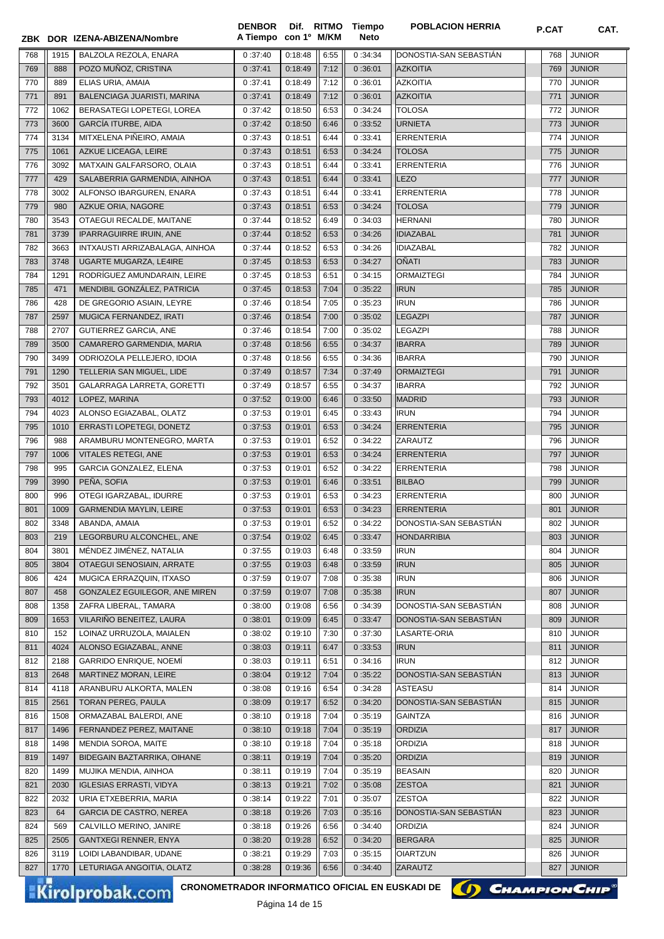|            |            | ZBK DOR IZENA-ABIZENA/Nombre                         | <b>DENBOR</b><br>A Tiempo con 1º M/KM | Dif. RITMO         |              | Tiempo<br><b>Neto</b> | <b>POBLACION HERRIA</b>    | P.CAT      | CAT.                           |
|------------|------------|------------------------------------------------------|---------------------------------------|--------------------|--------------|-----------------------|----------------------------|------------|--------------------------------|
| 768        | 1915       | BALZOLA REZOLA, ENARA                                | 0:37:40                               | 0:18:48            | 6:55         | 0:34:34               | DONOSTIA-SAN SEBASTIAN     | 768        | <b>JUNIOR</b>                  |
| 769        | 888        | POZO MUÑOZ, CRISTINA                                 | 0:37:41                               | 0:18:49            | 7:12         | 0:36:01               | <b>AZKOITIA</b>            | 769        | <b>JUNIOR</b>                  |
| 770        | 889        | ELIAS URIA, AMAIA                                    | 0:37:41                               | 0:18:49            | 7:12         | 0:36:01               | <b>AZKOITIA</b>            | 770        | <b>JUNIOR</b>                  |
| 771        | 891        | BALENCIAGA JUARISTI, MARINA                          | 0:37:41                               | 0:18:49            | 7:12         | 0:36:01               | <b>AZKOITIA</b>            | 771        | <b>JUNIOR</b>                  |
| 772        | 1062       | BERASATEGI LOPETEGI, LOREA                           | 0:37:42                               | 0:18:50            | 6:53         | 0:34:24               | <b>TOLOSA</b>              | 772        | <b>JUNIOR</b>                  |
| 773        | 3600       | <b>GARCÍA ITURBE, AIDA</b>                           | 0:37:42                               | 0:18:50            | 6:46         | 0:33:52               | <b>URNIETA</b>             | 773        | <b>JUNIOR</b>                  |
| 774        | 3134       | MITXELENA PIÑEIRO, AMAIA                             | 0:37:43                               | 0:18:51            | 6:44         | 0:33:41               | <b>ERRENTERIA</b>          | 774        | <b>JUNIOR</b>                  |
| 775        | 1061       | AZKUE LICEAGA, LEIRE                                 | 0:37:43                               | 0:18:51            | 6:53         | 0:34:24               | <b>TOLOSA</b>              | 775        | <b>JUNIOR</b>                  |
| 776        | 3092       | MATXAIN GALFARSORO, OLAIA                            | 0:37:43                               | 0:18:51            | 6:44         | 0:33:41               | <b>ERRENTERIA</b>          | 776        | <b>JUNIOR</b>                  |
| 777        | 429        | SALABERRIA GARMENDIA, AINHOA                         | 0:37:43                               | 0:18:51            | 6:44         | 0:33:41               | LEZO                       | 777        | <b>JUNIOR</b>                  |
| 778        | 3002       | ALFONSO IBARGUREN, ENARA                             | 0:37:43                               | 0:18:51            | 6:44         | 0:33:41               | <b>ERRENTERIA</b>          | 778        | <b>JUNIOR</b>                  |
| 779        | 980        | AZKUE ORIA, NAGORE                                   | 0:37:43                               | 0:18:51            | 6:53         | 0:34:24               | <b>TOLOSA</b>              | 779        | <b>JUNIOR</b>                  |
| 780        | 3543       | OTAEGUI RECALDE, MAITANE                             | 0:37:44                               | 0:18:52            | 6:49         | 0:34:03               | <b>HERNANI</b>             | 780        | <b>JUNIOR</b>                  |
| 781        | 3739       | <b>IPARRAGUIRRE IRUIN, ANE</b>                       | 0:37:44                               | 0:18:52            | 6:53         | 0:34:26               | <b>IDIAZABAL</b>           | 781        | <b>JUNIOR</b>                  |
| 782        | 3663       | INTXAUSTI ARRIZABALAGA, AINHOA                       | 0:37:44                               | 0:18:52            | 6:53         | 0:34:26               | <b>IDIAZABAL</b>           | 782        | <b>JUNIOR</b>                  |
| 783        | 3748       | UGARTE MUGARZA, LE4IRE                               | 0:37:45                               | 0:18:53            | 6:53         | 0:34:27               | OÑATI                      | 783        | <b>JUNIOR</b>                  |
| 784        | 1291       | RODRÍGUEZ AMUNDARAIN, LEIRE                          | 0:37:45                               | 0:18:53            | 6:51         | 0:34:15               | <b>ORMAIZTEGI</b>          | 784        | <b>JUNIOR</b>                  |
| 785<br>786 | 471<br>428 | MENDIBIL GONZÁLEZ, PATRICIA                          | 0:37:45                               | 0:18:53<br>0:18:54 | 7:04<br>7:05 | 0:35:22               | <b>IRUN</b><br><b>IRUN</b> | 785<br>786 | <b>JUNIOR</b><br><b>JUNIOR</b> |
| 787        | 2597       | DE GREGORIO ASIAIN, LEYRE<br>MUGICA FERNANDEZ, IRATI | 0:37:46<br>0:37:46                    | 0:18:54            | 7:00         | 0:35:23<br>0:35:02    | <b>LEGAZPI</b>             | 787        | <b>JUNIOR</b>                  |
| 788        | 2707       | GUTIERREZ GARCIA, ANE                                |                                       | 0:18:54            | 7:00         | 0:35:02               | <b>LEGAZPI</b>             | 788        | <b>JUNIOR</b>                  |
| 789        | 3500       | CAMARERO GARMENDIA, MARIA                            | 0:37:46<br>0:37:48                    | 0:18:56            | 6:55         | 0:34:37               | <b>IBARRA</b>              | 789        | <b>JUNIOR</b>                  |
| 790        | 3499       | ODRIOZOLA PELLEJERO, IDOIA                           | 0:37:48                               | 0:18:56            | 6:55         | 0:34:36               | <b>IBARRA</b>              | 790        | <b>JUNIOR</b>                  |
| 791        | 1290       | TELLERIA SAN MIGUEL, LIDE                            | 0:37:49                               | 0:18:57            | 7:34         | 0:37:49               | <b>ORMAIZTEGI</b>          | 791        | <b>JUNIOR</b>                  |
| 792        | 3501       | GALARRAGA LARRETA, GORETTI                           | 0:37:49                               | 0:18:57            | 6:55         | 0:34:37               | <b>IBARRA</b>              | 792        | <b>JUNIOR</b>                  |
| 793        | 4012       | LOPEZ, MARINA                                        | 0:37:52                               | 0:19:00            | 6:46         | 0:33:50               | <b>MADRID</b>              | 793        | <b>JUNIOR</b>                  |
| 794        | 4023       | ALONSO EGIAZABAL, OLATZ                              | 0:37:53                               | 0:19:01            | 6:45         | 0:33:43               | <b>IRUN</b>                | 794        | <b>JUNIOR</b>                  |
| 795        | 1010       | ERRASTI LOPETEGI, DONETZ                             | 0:37:53                               | 0:19:01            | 6:53         | 0:34:24               | <b>ERRENTERIA</b>          | 795        | <b>JUNIOR</b>                  |
| 796        | 988        | ARAMBURU MONTENEGRO, MARTA                           | 0:37:53                               | 0:19:01            | 6:52         | 0:34:22               | ZARAUTZ                    | 796        | <b>JUNIOR</b>                  |
| 797        | 1006       | VITALES RETEGI, ANE                                  | 0:37:53                               | 0:19:01            | 6:53         | 0:34:24               | <b>ERRENTERIA</b>          | 797        | <b>JUNIOR</b>                  |
| 798        | 995        | GARCIA GONZALEZ, ELENA                               | 0:37:53                               | 0:19:01            | 6:52         | 0:34:22               | <b>ERRENTERIA</b>          | 798        | <b>JUNIOR</b>                  |
| 799        | 3990       | PEÑA, SOFIA                                          | 0:37:53                               | 0:19:01            | 6:46         | 0:33:51               | <b>BILBAO</b>              | 799        | <b>JUNIOR</b>                  |
| 800        | 996        | OTEGI IGARZABAL, IDURRE                              | 0:37:53                               | 0:19:01            | 6:53         | 0:34:23               | <b>ERRENTERIA</b>          | 800        | <b>JUNIOR</b>                  |
| 801        | 1009       | <b>GARMENDIA MAYLIN, LEIRE</b>                       | 0:37:53                               | 0:19:01            | 6:53         | 0:34:23               | <b>ERRENTERIA</b>          | 801        | <b>JUNIOR</b>                  |
| 802        | 3348       | ABANDA, AMAIA                                        | 0:37:53                               | 0:19:01            | 6:52         | 0:34:22               | DONOSTIA-SAN SEBASTIÁN     | 802        | <b>JUNIOR</b>                  |
| 803        | 219        | LEGORBURU ALCONCHEL, ANE                             | 0:37:54                               | 0:19:02            | 6:45         | 0:33:47               | <b>HONDARRIBIA</b>         | 803        | <b>JUNIOR</b>                  |
| 804        | 3801       | MÉNDEZ JIMÉNEZ, NATALIA                              | 0:37:55                               | 0:19:03            | 6:48         | 0:33:59               | <b>IRUN</b>                | 804        | <b>JUNIOR</b>                  |
| 805        | 3804       | OTAEGUI SENOSIAIN, ARRATE                            | 0:37:55                               | 0:19:03            | 6:48         | 0:33:59               | <b>IRUN</b>                | 805        | <b>JUNIOR</b>                  |
| 806        | 424        | MUGICA ERRAZQUIN, ITXASO                             | 0:37:59                               | 0:19:07            | 7:08         | 0:35:38               | <b>IRUN</b>                | 806        | <b>JUNIOR</b>                  |
| 807        | 458        | GONZALEZ EGUILEGOR, ANE MIREN                        | 0:37:59                               | 0:19:07            | 7:08         | 0:35:38               | <b>IRUN</b>                | 807        | <b>JUNIOR</b>                  |
| 808        | 1358       | ZAFRA LIBERAL, TAMARA                                | 0:38:00                               | 0:19:08            | 6:56         | 0:34:39               | DONOSTIA-SAN SEBASTIAN     | 808        | <b>JUNIOR</b>                  |
| 809        | 1653       | VILARIÑO BENEITEZ, LAURA                             | 0:38:01                               | 0:19:09            | 6:45         | 0:33:47               | DONOSTIA-SAN SEBASTIÁN     | 809        | <b>JUNIOR</b>                  |
| 810        | 152        | LOINAZ URRUZOLA, MAIALEN                             | 0:38:02                               | 0:19:10            | 7:30         | 0:37:30               | LASARTE-ORIA               | 810        | <b>JUNIOR</b>                  |
| 811        | 4024       | ALONSO EGIAZABAL, ANNE                               | 0:38:03                               | 0:19:11            | 6:47         | 0:33:53               | <b>IRUN</b>                | 811        | <b>JUNIOR</b>                  |
| 812        | 2188       | <b>GARRIDO ENRIQUE, NOEMÍ</b>                        | 0:38:03                               | 0:19:11            | 6:51         | 0:34:16               | <b>IRUN</b>                | 812        | <b>JUNIOR</b>                  |
| 813        | 2648       | MARTINEZ MORAN, LEIRE                                | 0:38:04                               | 0:19:12            | 7:04         | 0:35:22               | DONOSTIA-SAN SEBASTIAN     | 813        | <b>JUNIOR</b>                  |
| 814        | 4118       | ARANBURU ALKORTA, MALEN                              | 0:38:08                               | 0:19:16            | 6:54         | 0:34:28               | ASTEASU                    | 814        | <b>JUNIOR</b>                  |
| 815        | 2561       | TORAN PEREG, PAULA                                   | 0:38:09                               | 0:19:17            | 6:52         | 0:34:20               | DONOSTIA-SAN SEBASTIAN     | 815        | <b>JUNIOR</b>                  |
| 816        | 1508       | ORMAZABAL BALERDI, ANE                               | 0:38:10                               | 0:19:18            | 7:04         | 0:35:19               | <b>GAINTZA</b>             | 816        | <b>JUNIOR</b>                  |
| 817        | 1496       | FERNANDEZ PEREZ, MAITANE                             | 0:38:10                               | 0:19:18            | 7:04         | 0:35:19               | <b>ORDIZIA</b>             | 817        | <b>JUNIOR</b>                  |
| 818        | 1498       | MENDIA SOROA, MAITE                                  | 0:38:10                               | 0:19:18            | 7:04         | 0:35:18               | <b>ORDIZIA</b>             | 818        | <b>JUNIOR</b>                  |
| 819        | 1497       | BIDEGAIN BAZTARRIKA, OIHANE                          | 0:38:11                               | 0:19:19            | 7:04         | 0:35:20               | <b>ORDIZIA</b>             | 819        | <b>JUNIOR</b>                  |
| 820        | 1499       | MUJIKA MENDIA, AINHOA                                | 0:38:11                               | 0:19:19            | 7:04         | 0:35:19               | <b>BEASAIN</b>             | 820        | <b>JUNIOR</b>                  |
| 821        | 2030       | <b>IGLESIAS ERRASTI, VIDYA</b>                       | 0:38:13                               | 0:19:21            | 7:02         | 0:35:08               | <b>ZESTOA</b>              | 821        | <b>JUNIOR</b>                  |
| 822        | 2032       | URIA ETXEBERRIA, MARIA                               | 0:38:14                               | 0:19:22            | 7:01         | 0:35:07               | <b>ZESTOA</b>              | 822        | <b>JUNIOR</b>                  |
| 823        | 64         | <b>GARCIA DE CASTRO, NEREA</b>                       | 0:38:18                               | 0:19:26            | 7:03         | 0:35:16               | DONOSTIA-SAN SEBASTIAN     | 823        | <b>JUNIOR</b>                  |
| 824        | 569        | CALVILLO MERINO, JANIRE                              | 0:38:18                               | 0:19:26            | 6:56         | 0:34:40               | <b>ORDIZIA</b>             | 824        | <b>JUNIOR</b>                  |
| 825        | 2505       | <b>GANTXEGI RENNER, ENYA</b>                         | 0:38:20                               | 0:19:28            | 6:52         | 0:34:20               | <b>BERGARA</b>             | 825        | <b>JUNIOR</b>                  |
| 826        | 3119       | LOIDI LABANDIBAR, UDANE                              | 0:38:21                               | 0:19:29            | 7:03         | 0:35:15               | <b>OIARTZUN</b>            | 826        | <b>JUNIOR</b>                  |
| 827        | 1770       | LETURIAGA ANGOITIA, OLATZ                            | 0:38:28                               | 0:19:36            | 6:56         | 0:34:40               | ZARAUTZ                    | 827        | <b>JUNIOR</b>                  |

Kirolprobak.com

CRONOMETRADOR INFORMATICO OFICIAL EN EUSKADI DE **(A) CHAMPION CHIP**<sup>®</sup>



Página 14 de 15